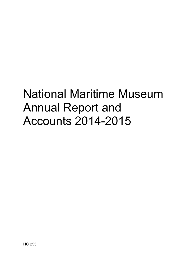# National Maritime Museum Annual Report and Accounts 2014-2015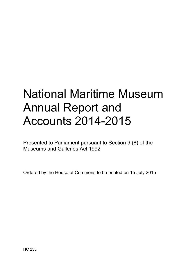# National Maritime Museum Annual Report and Accounts 2014-2015

Presented to Parliament pursuant to Section 9 (8) of the Museums and Galleries Act 1992

Ordered by the House of Commons to be printed on 15 July 2015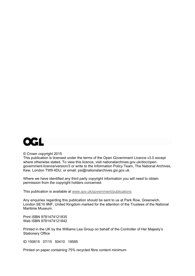

#### © Crown copyright 2015

This publication is licensed under the terms of the Open Government Licence v3.0 except where otherwise stated. To view this licence, visit nationalarchives.gov.uk/doc/opengovernment-licence/version/3 or write to the Information Policy Team, The National Archives, Kew, London TW9 4DU, or email: psi@nationalarchives.gsi.gov.uk.

Where we have identified any third party copyright information you will need to obtain permission from the copyright holders concerned.

This publication is available at www.gov.uk/government/publications

Any enquiries regarding this publication should be sent to us at Park Row, Greenwich, London SE10 9NF, United Kingdom marked for the attention of the Trustees of the National Maritime Museum.

Print ISBN 9781474121835 Web ISBN 9781474121842

Printed in the UK by the Williams Lea Group on behalf of the Controller of Her Majesty's Stationery Office

ID 150615 07/15 50410 19585

Printed on paper containing 75% recycled fibre content minimum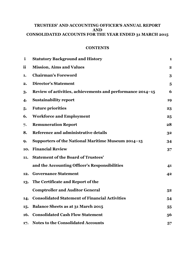# **TRUSTEES' AND ACCOUNTING OFFICER'S ANNUAL REPORT AND CONSOLIDATED ACCOUNTS FOR THE YEAR ENDED 31 MARCH 2015**

# **CONTENTS**

| $\mathbf{i}$ | <b>Statutory Background and History</b>                    | 1                       |
|--------------|------------------------------------------------------------|-------------------------|
| ii           | <b>Mission, Aims and Values</b>                            | 2                       |
| 1.           | <b>Chairman's Foreword</b>                                 | 3                       |
| 2.           | <b>Director's Statement</b>                                | $\overline{\mathbf{5}}$ |
| 3.           | Review of activities, achievements and performance 2014–15 | 6                       |
| 4.           | <b>Sustainability report</b>                               | 19                      |
| 5.           | <b>Future priorities</b>                                   | 23                      |
| 6.           | <b>Workforce and Employment</b>                            | 25                      |
| 7.           | <b>Remuneration Report</b>                                 | 28                      |
| 8.           | Reference and administrative details                       | 32                      |
| 9.           | Supporters of the National Maritime Museum 2014-15         | 34                      |
| 10.          | <b>Financial Review</b>                                    | 37                      |
| 11.          | <b>Statement of the Board of Trustees'</b>                 |                         |
|              | and the Accounting Officer's Responsibilities              | 41                      |
| 12.          | <b>Governance Statement</b>                                | 42                      |
| 13.          | The Certificate and Report of the                          |                         |
|              | <b>Comptroller and Auditor General</b>                     | 52                      |
| 14.          | <b>Consolidated Statement of Financial Activities</b>      | 54                      |
| 15.          | <b>Balance Sheets as at 31 March 2015</b>                  | 55                      |
| 16.          | <b>Consolidated Cash Flow Statement</b>                    | 56                      |
| 17.          | <b>Notes to the Consolidated Accounts</b>                  | 57                      |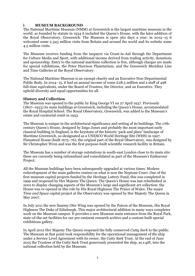# **i MUSEUM BACKGROUND**

The National Maritime Museum (NMM) at Greenwich is the largest maritime museum in the world: as founded by statute in 1934 it included the Queen's House, with the later addition of the Royal Observatory, Greenwich. The Museum is open 362 days a year: in 2014–15 it welcomed some 2.343 million visits from Britain and around the world and its website some 4.5 million visits.

The Museum receives funding from the taxpayer via Grant-in-Aid through the Department for Culture Media and Sport, with additional income derived from trading activity, donations and sponsorship. Entry to the national maritime collection is free, although charges are made for special exhibitions, the Peter Harrison Planetarium, and the Greenwich Meridian Line and Time Galleries at the Royal Observatory.

The National Maritime Museum is an exempt charity and an Executive Non-Departmental Public Body. In 2014–15, it had an annual income of some £28.5 million and a staff of 498 full-time equivalents, under the Board of Trustees, the Director, and an Executive. They uphold diversity and equal opportunities for all.

#### **History and Collection**

The Museum was opened to the public by King George VI on 27 April 1937. Previously (1807–1933) its main buildings at Greenwich, including the Queen's House, accommodated the Royal Hospital School. The Royal Observatory, Greenwich, was added to the Museum's estate and curatorial remit in 1953.

The Museum is unique in the architectural significance and setting of its buildings. The 17thcentury Queen's House, designed by Inigo Jones and probably the most important early classical building in England, is the keystone of the historic 'park and place' landscape of Maritime Greenwich, so-designated as a UNESCO World Heritage Site (WHS) in 1997. Flamsteed House (built 1675–76), the original part of the Royal Observatory, was designed by Sir Christopher Wren and was the first purpose-built scientific research facility in Britain.

The Museum has a number of storage outstations in south-east London close to its main site: these are currently being rationalized and consolidated as part of the Museum's Endeavour Project.

All the Museum buildings have been subsequently upgraded at various times. Modern redevelopment of the main galleries centres on what is now the Neptune Court. One of the first museum capital projects funded by the Heritage Lottery Fund, this was completed in 1999 and reopened by Her Majesty The Queen. The Queen's House was last refurbished in 2001 to display changing aspects of the Museum's large and significant art collection: the House was re-opened in this role by His Royal Highness The Prince of Wales. The major *Time and Space* capital project at the Observatory was opened by Her Majesty The Queen in May 2007.

In July 2011 the new Sammy Ofer Wing was opened by the Patron of the Museum, His Royal Highness The Duke of Edinburgh. This major architectural addition in many ways completes work on the Museum campus. It provides a new Museum main entrance from the Royal Park, state-of-the-art facilities for our pre-eminent research archive and a custom-built special exhibitions gallery.

In April 2012 Her Majesty The Queen reopened the fully conserved *Cutty Sark* to the public. The Museum at that point took responsibility for the operational management of the ship under a Service Level Agreement with its owner, the Cutty Sark Trust. At the end of June 2015 the Trustees of the Cutty Sark Trust generously presented the ship, as a gift, into the national collection held by the Museum.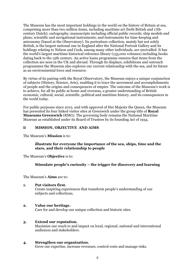The Museum has the most important holdings in the world on the history of Britain at sea, comprising more than two million items, including maritime art (both British and 17thcentury Dutch); cartography; manuscripts including official public records; ship models and plans; scientific and navigational instruments; and instruments for time-keeping and astronomy (based at the Observatory). Its portraiture collection, mainly but not solely British, is the largest national one in England after the National Portrait Gallery and its holdings relating to Nelson and Cook, among many other individuals, are unrivalled. It has the world's largest maritime historical reference library (135,000 volumes) including books dating back to the 15th century. An active loans programme ensures that items from the collection are seen in the UK and abroad. Through its displays, exhibitions and outreach programmes the Museum also explores our current relationship with the sea, and its future as an environmental force and resource.

By virtue of its pairing with the Royal Observatory, the Museum enjoys a unique conjunction of subjects (History, Science, Arts), enabling it to trace the movement and accomplishments of people and the origins and consequences of empire. The outcome of the Museum's work is to achieve, for all its public at home and overseas, a greater understanding of British economic, cultural, social, scientific, political and maritime history, and its consequences in the world today.

For public purposes since 2012, and with approval of Her Majesty the Queen, the Museum has presented its four linked visitor sites at Greenwich under the group title of **Royal Museums Greenwich** (RMG). The governing body remains the National Maritime Museum as established under its Board of Trustees by its founding Act of 1934.

## **ii MISSION, OBJECTIVE AND AIMS**

The Museum's **Mission** is to:

# **illustrate for everyone the importance of the sea, ships, time and the stars, and their relationship to people**

The Museum's **Objective** is to:

# **Stimulate people's curiosity – the trigger for discovery and learning**

The Museum's **Aims** are to:

#### **1. Put visitors first.**

Create inspiring experiences that transform people's understanding of our subjects and collections.

# **2. Value our heritage.**

Care for and develop our unique collection and historic sites.

# **3. Extend our reputation.**

Maximize our reach to and impact on local, regional, national and international audiences and stakeholders.

#### **4. Strengthen our organization.**

Grow our expertise, increase revenues, control costs and manage risks.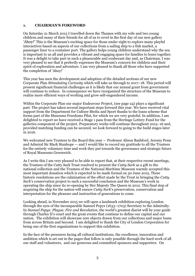## **1. CHAIRMAN'S FOREWORD**

On Saturday 21 March 2015 I travelled down the Thames with my wife and two young children and many of their friends for all of us to revel in the first day of our new gallery 'Ahoy!' This is the Museum's exciting space for those under eight to explore many playful interactives based on aspects of our collections from a sailing ship to a fish market, a passenger liner to a container port. The gallery helps young children understand why the sea is important to us all and provides a vibrant and engaging space for families to learn together. It was a delight to take part in such a pleasurable and exuberant day and, as Chairman, I was very pleased to see that it perfectly expresses the Museum's concern for children and their spirit of exploration and adventure. I am very pleased to thank all those who have supported the completion of 'Ahoy!'

This year has seen the development and adoption of the detailed sections of our new Corporate Plan *Stimulating Curiosity* which will take us through to 2017–18. This period will present significant financial challenges as it is likely that our annual grant from government will continue to reduce. In consequence we have reorganized the structure of the Museum to realize more efficient ways of working and grow self-engendered income.

Within the Corporate Plan our major Endeavour Project, (see page 24) plays a significant part. The project has taken several important steps forward this year. We have received vital support from the Department for Culture Media and Sport thanks to the loans scheme that forms part of the Museums Freedoms Pilot, for which we are very grateful. In addition, I am delighted to report we have received a Stage 1 pass from the Heritage Lottery Fund for the galleries component of the project. Preparatory works will continue throughout 2015–16 and, provided matching funding can be secured, we look forward to going to the build stages later in 2016.

We welcomed new Trustees to the Board this year — Professor Alison Bashford, Jeremy Penn and Admiral Sir Mark Stanhope — and I would like to record my gratitude to all the Trustees for the entirely voluntary time and work they put towards the governance and strategic future of Royal Museums Greenwich.

As I write this I am very pleased to be able to report that, at their respective recent meetings, the Trustees of the Cutty Sark Trust resolved to present the *Cutty Sark* as a gift to the national collection and the Trustees of the National Maritime Museum warmly accepted this most important donation which is expected to be made formal on 30 June 2015. These historic resolutions are the culmination of the effort made by the Trust in bringing the *Cutty Sark*'s conservation project to such a successful conclusion and the Museum's work in operating the ship since its re-opening by Her Majesty The Queen in 2012. This final step of acquiring the ship for the nation will ensure *Cutty Sark*'s preservation, conservation and interpretation for the pleasure and instruction of generations to come.

Looking ahead, in November 2015 we will open a landmark exhibition exploring London through the eyes of the incomparable Samuel Pepys (1633–1703) Secretary to the Admiralty. In *Samuel Pepys: Plague, Fire and Revolution*, the world's greatest diarist will be your guide through Charles II's court and the great events that continue to define our capital and our nation. The exhibition will showcase 200 objects drawn from our collections and major loans from across Britain and beyond. I am delighted to thank the City of London Corporation for being one of the first organizations to support this exhibition.

In the face of the pressures facing all cultural institutions, the excellence, innovation and ambition which is set out in the pages that follow is only possible through the hard work of all our staff and volunteers, and our generous and committed sponsors and supporters. On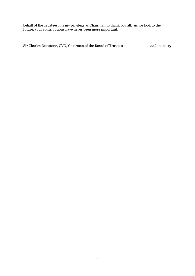behalf of the Trustees it is my privilege as Chairman to thank you all. As we look to the future, your contributions have never been more important.

Sir Charles Dunstone, CVO, Chairman of the Board of Trustees 22 June 2015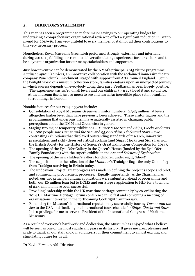# **2. DIRECTOR'S STATEMENT**

This year has seen a programme to realize major savings to our operating budget by undertaking a comprehensive organizational review to offset a significant reduction in Grantin-Aid for 2015–16. I am very grateful to every member of staff for all their contributions to this very necessary process.

Nonetheless, Royal Museums Greenwich performed strongly, externally and internally, during 2014–15 fulfilling our remit to deliver stimulating experiences for our visitors and to be a dynamic organization for our many stakeholders and supporters.

Just how inventive can be demonstrated by the NMM's principal 2015 visitor programme, *Against Captain's Orders*, an innovative collaboration with the acclaimed immersive theatre company Punchdrunk Enrichment, staged with support from Arts Council England. Set in the twilight world of a museum collection store, families embark upon an unexpected journey in which success depends on everybody doing their part. Feedback has been hugely positive:

 'The experience was 10/10 on all levels and our children (9 & 12) loved it and so did we. At the museum itself: just so much to see and learn. An incredible place set in beautiful surroundings in London.'

Notable features for our 2014–15 year include:

- x Consolidation of Royal Museums Greenwich visitor numbers (2.343 million) at levels altogether higher level than have previously been achieved. These visitor figures and the programming that underpins them have materially assisted in changing public perceptions about the NMM and Greenwich in general.
- x Staging two major temporary exhibitions *Turner & the Sea* and *Ships, Clocks andStars.* 134,000 people saw *Turner and the Sea*, and 95,000 *Ships, Clocksand Stars* – two contrasting exhibitions that displayed outstanding standards of research, innovative presentation, and richly deserved critical acclaim (and *Ships, Clocks and Stars* has won the British Society for the History of Science's Great Exhibitions Competition for 2014);
- The opening of the Eyal Ofer Gallery in the Queen's House (funded by the Eyal Ofer Family Foundation) with the superb exhibition the *Art and Science of Exploration*
- The opening of the new children's gallery for children under eight, 'Ahoy!'
- x The acquisition in to the collection of the *Minotaur*'s Trafalgar flag the only Union flag from Trafalgar surviving in Britain today.
- The Endeavour Project: great progress was made in defining the project's scope and brief, and commencing procurement processes. Equally importantly, as the Chairman has noted, our two principal funding applications were submitted ahead of programme and both, our £6 million loan bid to DCMS and our Stage 1 application to HLF for a total bid of £4.9 million, have been successful.
- x Providing leadership within the UK maritime heritage community by co-ordinating the 2014 UK Maritime Heritage Forum conference in Belfast and convening a meeting of organisations interested in the forthcoming Cook 250th anniversary.
- x Enhancing the Museum's international reputation by successfully touring *Turner and the Sea* to the USA and finalizing the international tour schedule for *Ships, Clocks and Stars*. It is a privilege for me to serve as President of the International Congress of Maritime Museums.

As a result of everyone's hard work and dedication, the Museum has enjoyed what I believe will be seen as one of the most significant years in its history. It gives me great pleasure and pride to thank all our staff and our volunteers for their commitment to a most exciting and stimulating future for us all.

Dr Kevin Fewster, AM, Director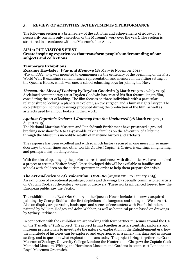## **3. REVIEW OF ACTIVITIES, ACHIEVEMENTS & PERFORMANCE**

The following section is a brief review of the activities and achievements of 2014–15 (so necessarily contains only a selection of the Museum's work over the year). The section is structured in accordance with the Museum's four Aims.

#### **AIM 1: PUT VISITORS FIRST**

## **Create inspiring experiences that transform people's understanding of our subjects and collections**

#### **Temporary Exhibitions:**

**Rozanne Hawksley:** *War and Memory* (28 May–16 November 2014) *War and Memory* was mounted to commemorate the centenary of the beginning of the First World War. It examines remembrance, representation and memory in the fitting setting of the Queen's House, which was once a school educating boys for joining the Navy.

*Unseen: the Lives of Looking by Dryden Goodwin* (5 March 2015 to 26 July 2015) Acclaimed contemporary artist Dryden Goodwin has created his first feature-length film, considering the act of looking. The film focuses on three individuals with a particular relationship to looking: a planetary explorer, an eye surgeon and a human rights lawyer. The solo exhibition includes drawings produced during the production of the film, as well as artefacts used by all four lookers in their work.

#### *Against Captain's Orders: A Journey into the Uncharted* (28 March 2015 to 31 August 2015)

The National Maritime Museum and Punchdrunk Enrichment have presented a groundbreaking new show for 6 to 12-year-olds, taking families on the adventure of a lifetime through the Museum's incredible wealth of maritime history and artefacts.

The response has been excellent and with so much history secured in one museum, so many doorways to other times and other worlds, *Against Captain's Orders* is exciting, enlightening, and perhaps a tiny bit dangerous…

With the aim of opening up the performances to audiences with disabilities we have launched a project to create a 'Visitor Story'. Once developed this will be available to families and schools with children on the autism spectrum in order to help them prepare for a visit.

*The Art and Science of Exploration, 1768–80* (August 2014 to January 2015) An exhibition of exceptional paintings, prints and drawings by specially commissioned artists on Captain Cook's 18th-century voyages of discovery. These works influenced forever how the European public saw the Pacific.

The exhibition in the Eyal Ofer Gallery in the Queen's House includes the newly acquired paintings by George Stubbs – the first depictions of a kangaroo and a dingo in Western art. Also on display are portraits, landscapes and scenes of encounters with Pacific islanders painted by William Hodges and John Webber, as well as botanical prints based on drawings by Sydney Parkinson.

In connection with the exhibition we are working with four partner museums around the UK on the *Travellers' Tails* project. The project brings together artists, scientists, explorers and museum professionals to investigate the nature of exploration in the Enlightenment era, how the multitude of histories can be explored and experienced in a gallery, heritage and museum setting, and to question what exploration means today. The project brings together the Grant Museum of Zoology, University College London; the Hunterian in Glasgow; the Captain Cook Memorial Museum, Whitby; the Horniman Museum and Gardens in south-east London; and Royal Museums Greenwich.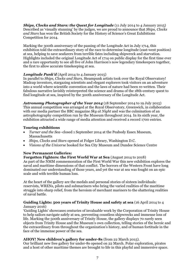**Ships, Clocks and Stars: the Quest for Longitude** (11 July 2014 to 4 January 2015) Described as 'visually stunning' by the judges, we are proud to announce that *Ships, Clocks and Stars* has won the British Society for the History of Science's Great Exhibitions Competition for 2014.

Marking the 300th anniversary of the passing of the Longitude Act in July 1714, this exhibition told the extraordinary story of the race to determine longitude (east-west position) at sea, helping to save seafarers from terrible fates including shipwreck and starvation. Highlights included the original Longitude Act of 1714 on public display for the first time ever and a rare opportunity to see all five of John Harrison's now legendary timekeepers together, the first to allow accurate timekeeping at sea.

# *Longitude Punk'd* (April 2014 to 4 January 2015)

In parallel to *Ships, Clocks and Stars,* Steampunk artists took over the Royal Observatory! Madcap inventors, stargazing scientists and elegant explorers took visitors on an adventure into a world where scientific convention and the laws of nature had been re-written. Their fabulous narrative lavishly reinterpreted the science and drama of the 18th-century quest to find longitude at sea, inspired by the 300th anniversary of the Longitude Act.

*Astronomy Photographer of the Year 2014* (18 September 2014 to 19 July 2015) This annual competition was arranged at the Royal Observatory, Greenwich, in collaboration with our media partner the BBC magazine *Sky at Night* and was the culmination of an astrophotography competition run by the Museum throughout 2014. In its sixth year, the exhibition attracted a wide range of media attention and received a record 1700 entries.

# **Touring exhibitions**

- x *Turner and the Sea*–closed 1 September 2014 at the Peabody Essex Museum, Massachusetts
- x *Ships, Clocks and Stars* opened at Folger Library, Washington D.C.
- x *Visions of the Universe* booked for Sea City Museum and Dundee Science Centre

# **New Permanent Galleries:**

**Forgotten Fighters: the First World War at Sea** (August 2014 to 2018) As part of the NMM commemoration of the First World War this new exhibition explores the naval and maritime dimensions of that conflict. The horrors of the Western Front have long dominated our understanding of those years, and yet the war at sea was fought on an epic scale and with terrible human loss.

At the heart of the gallery are the medals and personal stories of sixteen individuals: reservists, WRENs, pilots and submariners who bring the varied realities of the maritime struggle into sharp relief, from the heroism of merchant mariners to the shattering realities of naval battle.

# **Guiding Lights: 500 years of Trinity House and safety at sea** (16 April 2014 to 4 January 2016)

'Guiding Lights' showcases centuries of invaluable work by the Corporation of Trinity House to help sailors navigate safely at sea, preventing countless shipwrecks and immense loss of life. Marking the 500th anniversary of Trinity House, the gallery displays 70 rarely seen objects from Trinity House and the Museum's own collection, telling stories of the heroic and the extraordinary from throughout the organization's history, and of human fortitude in the face of the immense power of the sea.

# **AHOY! New children's gallery for under-8s** (from 22 March 2015).

Our brilliant new free gallery for under-8s opened on 22 March. Polar exploration, pirates and a host of other maritime themes are brought to life in this playful and immersive space.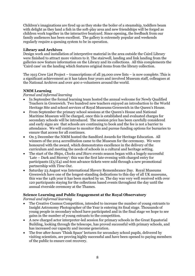Children's imaginations are fired up as they stoke the boiler of a steamship, toddlers beam with delight as they land a fish in the soft-play area and new friendships will be forged as children work together in the interactive boatyard. Since opening, the feedback from our family audiences has been excellent. The gallery is extremely popular and weekends regularly require a queuing system to be in operation.

# **Library and Archives**

Design work and installation of interpretive material in the area outside the Caird Library were finished to attract more visitors to it. The stairwell, landing and link landing from the galleries now feature information on the Library and its collections. All this complements the 'Caird case' on the landing which features original items from the library collection.

The 1915 Crew List Project – transcriptions of all 39,000 crew lists – is now complete. This is a significant achievement as it has taken four years and involved Museum staff, colleagues at the National Archives and over 400 e-volunteers around the world.

# **NMM Learning**

#### *Formal and informal learning*

- In September the formal learning team hosted the annual welcome for Newly Qualified Teachers in Greenwich. Two hundred new teachers enjoyed an introduction to the World Heritage Site and school services of Royal Museums Greenwich in the Queen's House.
- x From September the primary school sessions at the Queen's House and National Maritime Museum will be charged, once this is established and evaluated charges for secondary schools will be introduced. The session price has been carefully considered and early signs are that schools are continuing to book and the fee is not a barrier to attendance. We will continue to monitor this and pursue funding options for bursaries to ensure that access for all continues.
- On 5 December the NMM hosted the Sandford Awards for Heritage Education. All winners of the 2014 accreditation came to the Museum for the ceremony. We were honoured with the award, which demonstrates excellence in the delivery of the curriculum and meeting the needs of schools in a cultural and heritage setting.
- x The start of the *Ships, Clocks and Stars* events season began with a hugely successful 'Late – Dark and Stormy': this was the first late-evening with charged entry for participants ( $\text{\textsterling}_5/\text{\textsterling}_4$ ) and 600 advance tickets were sold through a new promotional partnership with *Time Out*.
- Saturday 23 August was International Slavery Remembrance Day. Royal Museums Greenwich have one of the longest-standing dedications to this day of all UK museums, this was the 14th year it has been marked by us. The day was very well received with over 120 participants staying for the collections based events throughout the day until the annual riverside ceremony at the Thames.

# **Science Learning and Public Engagement at the Royal Observatory**

*Formal and informal learning* 

- x The Creative Cosmos Competition, intended to increase the number of young entrants to Insight Astronomy Photographer of the Year is entering its final stage. Thousands of young people in secondary school have participated and in the final stage we hope to see gains in the number of young entrants to the competition.
- x A new charged actor interpreter-led session for primary schools in the Great Equatorial Building, looking through the telescope, has proved successful with primary schools, and has increased our capacity and income generation.
- x The free after-hours 'Think Space' lectures for secondary school pupils, delivered by visiting scientists, are proving highly successful and have been opened to paying members of the public to ensure cost recovery.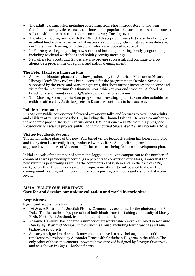- The adult-learning offer, including everything from short introductory to two-year foundation astrophysics courses, continues to be popular: the various courses continue to sell out with more than 100 students on site every Tuesday evening.
- The observing programme with the 28-inch telescope continues to be a sell-out offer, with excellent feedback whether or not skies are clear or cloudy. On 14 February we delivered our 'Valentine's Evening with the Stars', which was booked to capacity.
- In February we began piloting new strands of income-generating family programming, including weekend workshops and holiday activity mornings.
- New offers for Scouts and Guides are also proving successful, and continue to grow alongside a programme of regional and national engagement.

# **The Peter Harrison Planetarium**

- x A new 'blockbuster' planetarium show produced by the American Museum of Natural History (*Dark Universe*) was been licensed for the programme in October. Strongly supported by the Press and Marketing teams, this show further increases the income and visits for the planetarium this financial year, which at year end stood at 4% ahead of target for visitor numbers and 13% ahead of admissions revenue.
- The 'Morning Stars' planetarium programme, providing a planetarium offer suitable for children affected by Autistic Spectrum Disorder, continues to be a success.

# **Public Astronomer**

In 2014 our Public Astronomer delivered astronomy talks and lectures to over 4000 adults and children at venues across the UK, including the Channel Islands. He was a co-author on the academic paper '*The Solar Stormwatch CME catalogue: Results from the first space weather citizen science project'* published in the journal *Space Weather* in December 2014.

# **Visitor Feedback System**

The initial testing phase of the new iPad-based visitor feedback system has been completed and the system is currently being evaluated with visitors. Along with improvements suggested by members of Museum staff, the results are being fed into a development plan.

Initial analysis of the number of comments logged digitally in comparison to the number of comments cards previously received (as a percentage conversion of visitors) shows that the new system is performing as well as the comments card system and, in the case of *Cutty Sark*, better than the previous system. Improvements will be introduced to it over the coming months along with improved forms of reporting comments and visitor satisfaction levels.

# **AIM 2: VALUE OUR HERITAGE**

# **Care for and develop our unique collection and world historic sites**

# **Acquisitions**

Significant acquisitions have included

- x 'At Sea: A Portrait of a Scottish Fishing Community', 2009–12, by the photographer Paul Duke. This is a series of 32 portraits of individuals from the fishing community of Moray Firth, North East Scotland, from a limited edition of five.
- x Rozanne Hawksley has donated a number of art works which were exhibited in *Rozanne Hawksley: War and Memory* in the Queen's House, including four drawings and nine textile-based objects.
- An early unsigned marine clock movement, believed to have belonged to one of the timekeepers developed by Alexander Bruce with Christiaan Huygens in the 1660s. The only other of these movements known to have survived is signed by Severyn Oosterwijk and was shown in *Ships, Clock and Stars*.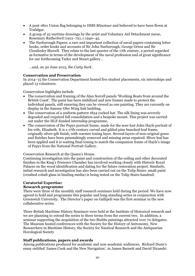- x A post-1801 Union flag belonging to HMS *Minotaur* and believed to have been flown at Trafalgar.
- x A group of 25 wartime drawings by the artist and Voluntary Aid Detachment nurse, Rosemary Rutherford (1912–72), *c.*1940–45.
- x The Narborough Papers: a rare and important collection of naval papers containing letter books, order books and accounts of Sir John Narborough, George Orton and Sir Cloudesley Shovell. They relate to the last quarter of the 17th century, a period regarded as formative in terms of the development of the naval profession and of great significance for our forthcoming Tudor and Stuart gallery…

…and, on 30 June 2015, the *Cutty Sark*.

#### **Conservation and Preservation**

In 2014–15 the Conservation Department hosted five student placements, six internships and placed 13 volunteers.

Conservation highlights include

- The conservation and framing of the Alan Sorrell panels 'Working Boats from around the British Coast'. The paint has been stabilized and new frames made to protect the individual panels, still ensuring they can be viewed as one painting. They are currently on display in the Sammy Ofer Wing link building.
- $\bullet$  The conservation of a uniform-pattern 1834 cocked hat. The silk lining was severely degraded and required full consolidation and a bespoke mount. This project was carried out under the HLF-funded internship programme.
- The conservation of the Pepys portrait frame, made for the now-lost John Hayls portrait of his wife, Elizabeth. It is a 17th-century carved and gilded pine bunched-leaf frame, originally silver-gilt finish, with warmer toning layer. Several layers of non-original gesso and finishes have been painstakingly removed and missing areas repaired. Sliver leaf has been applied and it is waiting final toning to match the companion frame of Hayls's image of Pepys from the National Portrait Gallery.

Conservation Research at the Queen's House.

Continuing investigation into the paint and construction of the ceiling and other decorated finishes in the King's Presence Chamber has involved working closely with Historic Royal Palaces on the wood identification and dating for the future restoration project. Similarly, initial research and investigation has also been carried out on the Tulip Stairs: smalt paint (crushed cobalt glass in binding media) is being tested on the Tulip Stairs handrail.

# **Curatorial Expertise:**

# **Research programme**

There were three of the monthly staff research seminars held during the period. We have now agreed to hold and programme this popular and long-standing series in conjunction with Greenwich University. The Director's paper on Gallipoli was the first seminar in the new collaborative series.

Three British Maritime History Seminars were held at the Institute of Historical research and we are planning to extend the series to three terms from the current two. In addition, a seminar supporting the acquisition of the two Stubbs paintings attracted over 70 delegates. The Museum hosted conferences with the Society for the History of Astronomy, New Researchers in Maritime History, the Society for Nautical Research and the Antiquarian Horological Society

# **Staff publications, papers and awards**

Among publications produced for academic and non-academic audiences, Richard Dunn's essay entitled 'James Cook and the New Navigation', in James Barnett and David Nicandri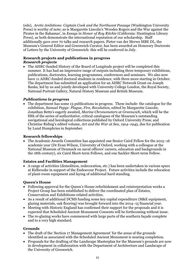(eds), *Arctic Ambitions: Captain Cook and the Northwest Passage* (Washington University Press) is worthy of note; as is Margarette Lincoln's 'Woodes Rogers and the War against the Pirates in the Bahamas', in *Essays in Honor of Roy Ritchie* (California: Huntington Library Press), as both demonstrate the international reputation of our scholarship. Staff additionally gave over 70 talks and research papers. Pieter van der Merwe MBE DL, the Museum's General Editor and Greenwich Curator, has been awarded an Honorary Doctorate of Letters by the University of Greenwich: this will be conferred in July.

# **Research projects and publications in progress** *Research projects*

• The AHRC-funded History of the Board of Longitude project will be completed this summer. It has had an impressive range of outputs including three temporary exhibitions, publications, doctorates, learning programmes, conferences and seminars. We also now have 11 AHRC-funded doctoral students in residence, with three more starting in October. The department has submitted an application for an AHRC Network Grant on Joseph Banks, led by us and jointly developed with University College London, the Royal Society, National Portrait Gallery, Natural History Museum and British Museum.

# *Publications in progress*

• The department has some 13 publications in progress. These include: the catalogue for the exhibition, *Samuel Pepys: Plague, Fire, Revolution*, edited by Margarette Lincoln; Jonathan Betts's eagerly awaited, *Marine Chronometers at Greenwich*, which will be the fifth of the series of authoritative, critical catalogues of the Museum's outstanding navigational and horological collections published by Oxford University Press; and Christine Riding's edited volume, *Art and the War at Sea, 1914–1945*, due for publication by Lund Humphries in September.

# **Research fellowships**

• The Academic Awards Committee has appointed one Senior Caird Fellow for the 2015–16 academic year (Dr Evan Wilson, University of Oxford, working with a colleague at the National Museum of Denmark on naval officers' careers, education and backgrounds in the 18th century), six Caird Short-term Fellows, and one Sackler Short-term Fellow.

# **Estates and Facilities Management**

• A range of activities (demolition, redecoration, etc.) has been undertaken in various spurs at Kidbrooke in support of the Endeavour Project. Future activities include the relocation of plant-room equipment and laying of additional hard standing.

# **Queen's House**

- Following approval for the Queen's House refurbishment and reinterpretation works a Project Group has been established to deliver the coordinated plan of Estates, Conservation and Exhibitions-related activities.
- $\bullet$  As a result of additional DCMS funding some key capital expenditure (M&E equipment, glazing materials, oak flooring) was brought forward into the 2014–15 financial year.
- $\bullet$  Meeting with Historic England has confirmed their support for the proposals and it is expected that Scheduled Ancient Monument Consents will be forthcoming without issue.
- The re-glazing works have commenced with large parts of the southern facade complete and to a very high standard.

# **Grounds**

- The draft of the 'Section 17 Management Agreement' for the areas of the grounds identified as associated with the Scheduled Ancient Monument is nearing completion.
- Proposals for the drafting of the Landscape Masterplan for the Museum's grounds are now in development in collaboration with the Department of Architecture and Landscape of the University of Greenwich.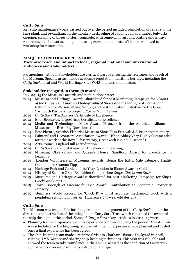# *Cutty Sark*

Key ship maintenance works carried out over the period included completion of repairs to the king plank and re-caulking on the monkey-deck; oiling of capping rail and timber bulwarks ongoing; cleaning of bilges to stern complete, with removal of rust and coating under way; rust removal to bulwarks, and paint coating carried out and stuns'l booms removed to workshop for restoration.

# **AIM 3: EXTEND OUR REPUTATION**

# **Maximize reach and impact to local, regional, national and international audiences and stakeholders**

Partnerships with our stakeholders are a critical part of ensuring the relevance and reach of the Museum. Specific areas include academic reputation; maritime heritage, including the *Cutty Sark*; local and World Heritage Site (WHS) matters and tourism.

# **Stakeholder recognition through awards:**

In 2014–15 the Museum's awards and nominations were:

- 2014 Museum and Heritage Awards: shortlisted for best Marketing Campaign for *Visions of the Universe: Amazing Photography of Space and the Stars*; best Permanent Exhibition for *Nelson, Navy, Nation*; and best Education Initiative for the Great Yarmouth Partnership project, *Stories from the Sea*
- 2014 *Cutty Sark*: TripAdvisor Certificate of Excellence
- 2014 Elior *Brasserie*: TripAdvisor Certificate of Excellence
- 2014 Media and Technology Muse Award (Bronze) from the American Alliance of Museums for ROG 'Big Questions' films
- 2014 Best Picture, Scottish Fisheries Museum Short Film Festival: J.J. Prior documentary
- 2014 Painters' and Decorators' Association Awards: Hilton Abbey Very Highly Commended for their work at the Royal Observatory, Greenwich (i.e. equal second)
- 2014 Arts Council England full accreditation
- 2014 *Cutty Sark*: Sandford Award for Excellence in Learning
- 2014 Museum, Observatory and Queen's House: Sandford Award for Excellence in Learning
- 2014 London Volunteers in Museums Awards, Going the Extra Mile category, Highly Commended Graeme Tipp
- 2014 Heritage Park and Garden of the Year, London in Bloom Awards: Gold
- 2014 History of Science Great Exhibition Competition: *Ships, Clocks and Stars*
- 2015 Museums and Heritage Awards: shortlisted for best Marketing Campaign for *Ships, Clocks and Stars*
- 2015 Royal Borough of Greenwich Civic Award: Contribution to Economic Prosperity category
- 2015 Guinness World Record for 'Clock B' most accurate mechanical clock with a pendulum swinging in free air (Harrison's 250-year-old design)

# *Cutty Sark*

The Museum was responsible for the operational management of the *Cutty Sark*, under the direction and instruction of the independent Cutty Sark Trust which remained the owner of the ship throughout the period. Some of *Cutty's Sark's* key activities in 2014–15 were

- Planning for the proposed rig-climb experience continued during the period. A trial climb was scheduled for the beginning of June with the full experience to be planned and costed once a final experience has been agreed.
- The ship-keeping team made a reciprocal visit to Chatham Historic Dockyard in April, visiting HMS *Gannet* and sharing ship-keeping techniques. This visit was valuable and allowed the team to take confidence in their skills, as well as the condition of *Cutty Sark* compared to a vessel of similar construction and age.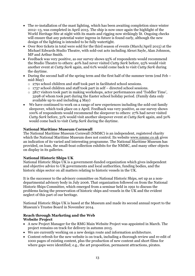- The re-installation of the mast lighting, which has been awaiting completion since winter 2012–13, was completed in April 2015. The ship is now once again the highlight of the World Heritage Site at night with its masts and rigging now strikingly lit. Ongoing checks will ensure that any potential water ingress in future is found early, although the new design of the lighting is intended to be fully watertight.
- Over 800 tickets in total were sold for the third season of events (March/April 2015) at the Michael Edwards Studio Theatre, with sold-out acts including Alexei Sayle, Alan Johnson, MP and Arthur Smith.
- Feedback was very positive, as our survey shows 95% of respondents would recommend the Studio Theatre to others: 40% had never visited *Cutty Sark* before, 93% would visit another event at *Cutty Sark* again, and 61% would come back to visit *Cutty Sark* during the daytime.
- During the second half of the spring term and the first half of the summer term (end Feb mid-May)
	- o 2791 school children and staff took part in facilitated school sessions.
	- $\circ$  1737 school children and staff took part in self directed school sessions.
	- $\circ$  5817 visitors took part in making workshops, actor performances and 'Toddler Time', 3298 of whom took part during the Easter school holiday period. (Family data only available up to and including 4 May)
- We have continued to work on a range of new experiences including the sold-out family sleepover, which took place on 2 April. Feedback was very positive, as our survey shows 100% of respondents would recommend the sleepover to others: 27% had never visited *Cutty Sark* before, 31% would visit another sleepover event at *Cutty Sark* again, and 50% would come back to visit *Cutty Sark* during the daytime.

# **National Maritime Museum Cornwall**

The National Maritime Museum Cornwall (NMMC) is an independent, registered charity which the National Maritime Museum does not control. Its website www.nmmc.co.uk gives an indication of its varied and interesting programme. The National Maritime Museum has provided, on loan, the small-boat collection exhibits for the NMMC, and many other objects on display in its galleries.

# **National Historic Ships UK**

National Historic Ships UK is a government-funded organization which gives independent and objective advice to UK governments and local authorities, funding bodies, and the historic ships sector on all matters relating to historic vessels in the UK.

It is the successor to the advisory committee on National Historic Ships, set up as a nondepartmental advisory body in July 2006. That organization followed on from the National Historic Ships Committee, which emerged from a seminar held in 1991 to discuss the problems facing the preservation of historic ships and vessels in the UK and the evident neglect of this part of our heritage.

National Historic Ships UK is based at the Museum and made its second annual report to the Museum's Trustee Board in November 2014.

# **Reach through Marketing and the Web Website Project**

- A new Project Manager for the RMG Main Website Project was appointed in March. The project remains on track for delivery in autumn 2015.
- We are currently working on a new design route and information architecture.
- Content refresh for the new website is on track, including a thorough review and re-edit of 1000 pages of existing content, plus the production of new content and short films for where gaps were identified; e.g., the art proposition, permanent attractions, pirates.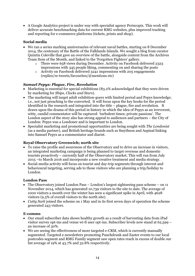x A Google Analytics project is under way with specialist agency Periscopix. This work will deliver accurate benchmarking data for current RMG websites, plus improved tracking and reporting for e-commerce platforms (tickets, prints and shop).

# **Social media**

- We ran a series marking anniversaries of relevant naval battles, starting on 8 December 2014, the centenary of the Battle of the Falklands Islands. We sought a blog from curator Quintin Coleville that gave an overview of the battle, alongside content from the Archives Team Item of the Month, and linked to the 'Forgotten Fighters' gallery.
	- o There were 658 views during December. Activity on Facebook delivered 2323 impressions with 345 people liking, commenting on and sharing the posts
	- o Activity on Facebook delivered 3241 impressions with 205 engagements (replies/re-tweets/favourites/@mentions etc)

# *Samuel Pepys: Plague, Fire, Revolution*

- Marketing is essential for special exhibitions  $(83.2\%$  acknowledged that they were driven by marketing for *Ships, Clocks and Stars*).
- The marketing will target adult exhibition-goers with limited period and Pepys knowledge; i.e., not just preaching to the converted. It will focus upon the key hooks for the period identified in the research and integrated into the title – plague, fire and revolution. It draws upon the drama of this period in history in which the idea of Pepys as an irreverent, witty, candid commentator will be captured: 'turbulent times; private passions'. The London aspect of the story also has strong appeal to audiences and partners – the City of London: Pepys was a Londoner and is important to London.
- x Specialist marketing and promotional opportunities are being sought with *The Londonist* (as a media partner), and British heritage brands such as Smythson and Aspinal linking into Samuel Pepys as a commentator and diarist.

# **Royal Observatory Greenwich; north site**

- x To raise the profile and awareness of the Observatory and to drive an increase in visitors, an integrated marketing campaign is being planned to target overseas and domestic tourists proactively – currently half of the Observatory market. This will run from July 2015 –to March 2016 and incorporate a new creative treatment and media strategy.
- Social-media activity will focus on tourist and day-trip segments through interest and behavioural targeting, serving ads to those visitors who are planning a trip/holiday to London.

# **London Pass**

- The Observatory joined London Pass London's largest sightseeing pass scheme on  $11$ November 2014, which has generated 10,739 visitors to the site to date. The average of 1000 visitors a month over the winter has seen a significant spike in April, with 4628 visitors (9.5% of overall visitors to the north site).
- *Cutty Sark* joined the scheme on 1 May and in its first seven days of operation the scheme generated 243 visitors.

# **E-comms**

- Our email subscriber data shows healthy growth as a result of harvesting data from iPad visitor survey opt-ins and venue wi-fi user opt-ins. Subscriber levels now stand at 62,599 – an increase of 30%.
- $\bullet$  We are seeing the effectiveness of more targeted e-CRM, which is currently manually segmented. Targeted e-newsletters promoting Punchdrunk and Easter events to our local postcodes segment and RMG Family segment saw open rates reach in excess of double our list average of 19% at 43.7% and 32.8% respectively.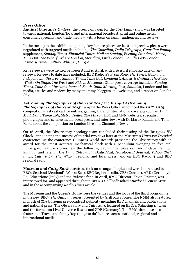#### **Press Office**

*Against Captain's Orders*: the press campaign for the 2015 family show was targeted towards national, London/local and international broadcast, print and online news, consumer, specialist and trade media – with a focus on family audiences, and reviews.

In the run-up to the exhibition opening, key feature pieces, articles and preview pieces were negotiated with targeted media including: *The Guardian*, *Daily Telegraph*, *Guardian Family* supplement, *Sunday Times*, *Financial Times*, *Mail on Sunday*, *Evening Standard*, *Metro*, *Time Out*, *The Wharf*, *Where London*, *Meridian*, *Little London*, *Families NW London*, *Primary Times*, *Culture Whisper*, *Gurgle*.

Key reviewers were invited between 8 and 15 April, with a 16 April embargo date on any reviews. Reviews to date have included: BBC Radio 4's F*ront Row*, *The Times*, *Guardian*, *Independent*, *Observer*, *Sunday Times*, *Time Out*, *Londonist*, *Angels & Urchins*, *The Stage*, *What's On Stage*, *The Week* and *Kids in Museums*. Other press coverage included: *Sunday Times*, *Time Out*, *Museums Journal, South China Morning Post*, *Smallish*, London and local media, articles and reviews by many 'mummy' bloggers and websites, and a report on *London Live*.

#### *Astronomy Photographer of the Year 2014* and *Insight Astronomy*

*Photographer of the Year 2015*. In April the Press Office announced the *IAPY2015* competition's last cast call for entries, gaining UK and international coverage such as: *Daily Mail*, *Daily Telegraph*, *Metro*, *Hello!, The Mirror*, BBC and CNN websites, specialist photography and science media, local press, and interviews with Dr Marek Kukula and Tom Kerss about the competition on London Live and Channel 5 News.

On 16 April, the Observatory horology team concluded their testing of the **Burgess 'B' Clock**, announcing the success of its trial two days later at the Museum's *Harrison Decoded* conference. At the conference Guinness World Records presented the Observatory with an award for the 'most accurate mechanical clock with a pendulum swinging in free air'. Embargoed feature stories ran the following day in the *Observer* and *Independent on Sunday*, and later in the *Daily Telegraph*, *Daily Mail*, *Horological Journal*, *Yahoo*, *Tech times*, *Culture 24*, *The Wharf*, regional and local press, and on BBC Radio 4 and BBC regional radio.

**Museum and** *Cutty Sark* **curators** took on a range of topics and were interviewed by BBC2 Scotland (Scotland's War at Sea), BBC Regional radio, CBS (Canada), ARD (Germany), Rai Educazione (Italy) and the *Independent*. In April, RMG Director, Kevin Fewster, was interviewed for, and appeared throughout, BBC2's *Gallipoli: when Murdoch went to War'* and in the accompanying *Radio Times* article.

The Museum and the Queen's House were the venues and the focus of the third programme in the new BBC4 *The Quizeum* series, presented by Griff Rhys Jones. The NMM also featured in much of *The Quizeum* pre-broadcast publicity including BBC channels and publications and national press. The Observatory and *Cutty Sark* featured on BBC1's *Saturday Kitchen* and the former on Live! Universe Russia and ZDF (Germany). The RMG sites have also featured in Travel and family 'top things to do' features across national, regional and international media.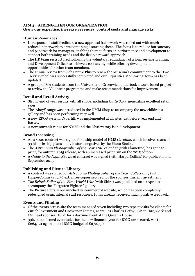# **AIM 4: STRENGTHEN OUR ORGANIZATION Grow our expertise, increase revenues, control costs and manage risks**

# **Human Resources**

- In response to staff feedback, a new appraisal framework was rolled out with much reduced paperwork to a welcome single starting sheet. The focus is to reduce bureaucracy and paperwork for managers, enabling them to focus on performance and development to support both training needs and the flexible reward approach.
- The HR team restructured following the voluntary redundancy of a long serving Training and Development Officer to achieve a cost saving, while offering development opportunities for other team members.
- The annual review from Job Centre Plus to renew the Museum's commitment to the 'Two Ticks' symbol was successfully completed and our 'Equalities Monitoring' form has been updated.
- A group of MA students from the University of Greenwich undertook a work-based project to review the Volunteer programme and make recommendations for improvement.

# **Retail and Retail Activity**

- x Strong end of year results with all shops, including *Cutty Sark*, generating excellent retail sales.
- The 'Ahoy!' range was introduced in the NMM Shop to accompany the new children's gallery and has been performing very well.
- A new EPOS system, Cybertill, was implemented at all sites just before year end and Easter.
- x A new souvenir range for NMM and the Observatory is in development.

# **Brand Licensing**

- x An £8000 contract was signed for a ship model of HMS *Caroline*, which involves scans of 33 historic ship plans and 7 historic negatives by the Photo Studio.
- x The *Astronomy Photographer of the Year 2016* calendar (with Flametree) has gone to print, for autumn 2015 release, with an increased print run on the 2015 edition
- x A *Guide to the Night Sky 2016* contract was signed (with HarperCollins) for publication in September 2015.

# **Publishing and Picture Library**

- x A contract was signed for *Astronomy Photographer of the Year, Collection 4* (with HarperCollins) and 50 extra free copies secured for the sponsor, Insight Investment
- *The British Sailor of the First World War* (with Shire) was published on 10 April to accompany the 'Forgotten Fighters' gallery.
- The Picture Library re-launched its commercial website, which has been completely redesigned using internal staff resources. It has already received much positive feedback.

# **Events and Filming**

- x Of the events across site the team managed seven including two repeat visits for clients for Zurich Investment and Grosvenor Estates, as well as Charles Derby LLP at *Cutty Sark* and CSE lead sponsor HSBC for a daytime event at the Queen's House.
- x 39% of confirmed event sales for the new financial year for RMG are secured, worth £264,121 against total RMG budget of £672,750.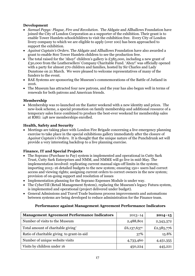# **Development**

- x *Samuel Pepys: Plague, Fire and Revolution*. The Aldgate and Allhallows Foundation have joined the City of London Corporation as a supporter of the exhibition. Their grant is to enable Tower Hamlets schoolchildren to visit the exhibition free. Every City of London livery company to which we are eligible to apply (over 100) has been approached to support the exhibition.
- x *Against Captain's Orders*. The Aldgate and Allhallows Foundation have also awarded a grant to enable 800 Tower Hamlets children to see the production free.
- The total raised for the 'Ahoy!' children's gallery is £385,000, including a new grant of £30,000 from the Leathersellers' Company Charitable Fund. 'Ahoy!' was officially opened with a party for almost 270 children and families, hosted by Sir Charles and Lady Dunstone on 21 March. We were pleased to welcome representatives of many of the funders to the event.
- x BAE Systems are sponsoring the Museum's commemorations of the Battle of Jutland in 2016.
- The Museum has attracted four new patrons, and the year has also begun well in terms of renewals for both patrons and American friends.

# **Membership**

• Membership was re-launched on the Easter weekend with a new identity and prices. The new-look scheme, a special promotion on family membership and additional resource of a temporary sales force combined to produce the best-ever weekend for membership sales at RMG: 148 new memberships enrolled.

# **Health, Safety and Security**

x Meetings are taking place with London Fire Brigade concerning a live emergency planning exercise to take place in the special exhibitions gallery immediately after the closure of *Against Captain's Orders*. It is thought that the unique nature of the Punchdrunk set will provide a very interesting backdrop to a live planning exercise.

# **Finance, IT and Special Projects**

- The Soprano (Purchase to Pay) system is implemented and operational in Cutty Sark Trust, Cutty Sark Enterprises and NMM, and NMME will go live in mid-May. The implementation involved: replicating current manual sign-off limits in the system; importing 2015–16 detailed budgets to the new system; ensuring 150+ users had correct access and viewing rights; assigning current orders to correct owners in the new system; provision of on-going support and resolution of issues
- Implementation planning for the Soprano Expenses Module is under way.
- The CyberTill (Retail Management System), replacing the Museum's legacy Futura system, is implemented and operational (project delivered under budget).
- x General Admissions and Travel Trade business process improvements and automations between systems are being developed to reduce administration for the Finance team.

| <b>Management Agreement Performance Indicators</b> | $2013 - 14$             | $2014 - 15$ |
|----------------------------------------------------|-------------------------|-------------|
| Number of visits to the Museum                     | 2,488,801               | 2,343,372   |
| Total amount of charitable giving*                 | £6,137,637 <sup>1</sup> | £2,585,776  |
| Ratio of charitable giving to grant-in-aid         | 37%                     | 15.8%       |
| Number of unique website visits                    | 4,733,460               | 4,451,355   |
| Visits by children under 16                        | 450,224                 | 445,221     |

# **Performance against Management Agreement Performance Indicators**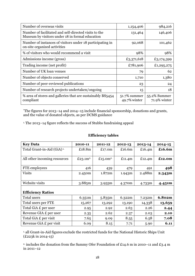| Number of overseas visits                                                                                | 1,154,406                       | 984,216                      |
|----------------------------------------------------------------------------------------------------------|---------------------------------|------------------------------|
| Number of facilitated and self-directed visits to the<br>Museum by visitors under 18 in formal education | 131,464                         | 146,406                      |
| Number of instances of visitors under 18 participating in<br>on-site organized activities                | 92,068                          | 101,462                      |
| % of visitors who would recommend a visit                                                                | 98%                             | 98%                          |
| Admissions income (gross)                                                                                | £3,371,618                      | £3,174,399                   |
| Trading income (net profit)                                                                              | £781,906                        | £1,295,275                   |
| Number of UK loan venues                                                                                 | 79                              | 62                           |
| Number of objects conserved                                                                              | 1,710                           | 1,380                        |
| Number of peer-reviewed publications                                                                     | 23                              | 24                           |
| Number of research projects undertaken/ongoing                                                           | 15                              | 18                           |
| % area of stores and galleries that are sustainably BS5454<br>compliant                                  | $51.7\%$ summer<br>49.7% winter | 55.2% Summer<br>71.9% winter |

\*The figures for 2013–14 and 2014–15 include financial sponsorship, donations and grants, and the value of donated objects, as per DCMS guidance

1. The 2013–14 figure reflects the success of Stubbs fundraising appeal

| <b>Key Data</b>                        | 2010-11    | 2011-12     | 2012-13   | 2013-14   | $2014 - 15$ |
|----------------------------------------|------------|-------------|-----------|-----------|-------------|
| Total Grant-in-Aid (GiA) <sup>1.</sup> | £18.8m     | £17.0 $m$   | £16.6 $m$ | £16.4 $m$ | £16.6m      |
|                                        |            |             |           |           |             |
| All other incoming resources           | £23.1 $m2$ | £15.0 $m^2$ | £11.4 $m$ | £12.4 $m$ | £12.0m      |
|                                        |            |             |           |           |             |
| FTE employees                          | 416        | 439         | 479       | 491       | 498         |
| <b>Visits</b>                          | 2.450m     | 1.872m      | 1.943m    | 2.488m    | 2.343m      |
|                                        |            |             |           |           |             |
| Website visits                         | 3.885m     | 3.955m      | 4.370m    | 4.733m    | 4.451m      |
|                                        |            |             |           |           |             |
| <b>Efficiency Ratios</b>               |            |             |           |           |             |
| Total users                            | 6.351m     | 5.835m      | 6.322m    | 7.232m    | 6.802m      |
| Total users per FTE                    | 15,267     | 13,292      | 13,190    | 14,338    | 13,659      |
| Total GiA £ per user                   | 2.95       | 2.92        | 2.63      | 2.26      | 2.44        |
| Revenue GIA £ per user                 | 2.35       | 2.62        | 2.37      | 2.03      | 2.10        |
| Total GiA £ per visit                  | 7.65       | 9.09        | 8.55      | 6.58      | 7.08        |
| Revenue GiA £ per visit                | 6.09       | 8.15        | 7.71      | 5.90      | 6.11        |

# **Efficiency tables**

1. all Grant-in-Aid figures exclude the restricted funds for the National Historic Ships Unit  $(E223k \text{ in } 2014-15)$ 

2. includes the donation from the Sammy Ofer Foundation of £14.6 m in 2010–11 and £3.4 m in 2011–12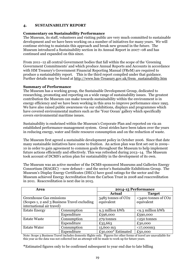# **4. SUSTAINABILITY REPORT**

# **Commentary on Sustainability Performance**

The Museum, its staff, volunteers and visiting public are very much committed to sustainable development and we have been working on a number of initiatives for many years. We will continue striving to maintain this approach and break new ground in the future. The Museum introduced a Sustainability section in its Annual Report in 2007–08 and has continued and expanded on this since.

From 2011–12 all central Government bodies that fall within the scope of the 'Greening Government Commitments' and which produce Annual Reports and Accounts in accordance with HM Treasury's Government Financial Reporting Manual (FReM) are required to produce a sustainability report. This is the third report compiled under that guidance. Further details may be found at http://www.hm-Treasury.gov.uk/frem\_sustainability.htm

#### **Summary of Performance**

The Museum has a working group, the Sustainable Development Group, dedicated to researching, promoting and reporting on a wide range of sustainability issues. The greatest contribution the Museum can make towards sustainability within the environment is in energy efficiency and we have been working in this area to improve performance since 1995. We have also raised public awareness via our exhibitions, displays and programmes which have covered environmental matters such as the 'Your Ocean' gallery which specifically covers environmental maritime issues.

Sustainability is enshrined within the Museum's Corporate Plan and reported on via an established performance-management system. Great strides have been taken over the years in reducing energy, water and finite resource consumption and on the reduction of waste.

The Museum first agreed a sustainable development policy in October 2006. Since that date many sustainable initiatives have come to fruition. An action plan was first set out in 2009– 10 in order to gain agreement to common goals throughout the Museum to help implement future actions efficiently and effectively. This was refreshed during 2013–14. The Museum took account of DCMS's action plan for sustainability in the development of its own.

The Museum was an active member of the DCMS-sponsored Museums and Galleries Energy Consortium (MAGEC) —now defunct— and the sector's Sustainable Exhibitions Group. The Museum's Display Energy Certificates (DECs) have good ratings for the sector and the Museum achieved Energy Accreditation from the Carbon Trust in 2008 and reaccreditation in 2011. Reaccreditation is next due in 2015.

| Area                                         |             | 2014-15 Performance |                     |  |
|----------------------------------------------|-------------|---------------------|---------------------|--|
|                                              |             | <b>Actual</b>       | <b>Target</b>       |  |
| Greenhouse Gas emissions                     |             | 3485 tonnes of CO2  | <3400 tonnes of CO2 |  |
| (Scopes 1, 2 and 3 Business Travel excluding |             | equivalent          | equivalent          |  |
| international air travel)                    |             |                     |                     |  |
| <b>Estate Energy</b>                         | Consumption | 9.3 million kWh     | <9.3 million kWh    |  |
|                                              | Expenditure | £596,000            | £590,000            |  |
| <b>Estate Waste</b>                          | Consumption | 279 tonnes          | <250 tonnes         |  |
|                                              | Expenditure | £35,663             | £30,000             |  |
| <b>Estate Water</b>                          | Consumption | 15,600 m3           | $<$ 17,000m3        |  |
|                                              | Expenditure | £30,000* Estimated  | £50,000             |  |

Note: Scope 3 Business Travel includes domestic flights only. Figures for other forms of travel are unavailable for this year as the data was not collected but an attempt will be made to work up for future years.

**\***Estimated figures only to be confirmed subsequent to year end due to late billing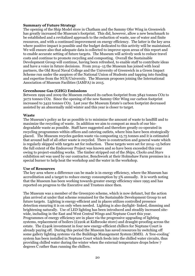# **Summary of Future Strategy**

The opening of the Ship Model store in Chatham and the Sammy Ofer Wing in Greenwich has greatly increased the Museum's footprint. This did, however, allow a new benchmark to be established and a revitalized approach to the reduction of waste, use of water and finite resources, and with a continued improvement on energy efficiency. The latter is the key area where positive impact is possible and the budget dedicated to this activity will be maintained. We will ensure also that adequate data is collected to improve upon areas of this report and to enable accurate setting of future targets. The Museum will actively seek to reduce travel costs and continue to promote recycling and composting. Overall the Sustainable Development Group will continue, having been refreshed, to enable staff to contribute ideas and have a voice in future decisions. From 2014–15 the Museum has joined with local partners, the Old Royal Naval College and the University of Greenwich in a Green Impact Scheme run under the auspices of the National Union of Students and tapping into funding and expertise from the NUS/University. The Museum proposes joining the International Association of Museum Facilities (IAMFA) in 2015.

#### **Greenhouse Gas (GHG) Emissions**

Between 1999 and 2009 the Museum reduced its carbon footprint from 3842 tonnes CO2 to 3072 tonnes CO2. Since the opening of the new Sammy Ofer Wing our carbon footprint increased to 3422 tonnes CO2. Last year the Museum Estate's carbon footprint decreased assisted by an abnormally mild winter and this year is closer to target.

#### **Waste**

The Museum's policy as far as possible is to minimize the amount of waste to landfill and to maximize the recycling of waste. In addition we aim to compost as much of our biodegradable waste as possible. Staff have suggested and therefore greatly co-operated in recycling programmes within offices and catering outlets, where bins have been strategically placed. The Museum recycles garden waste via composting 15.75 tonnes and it is estimated that around half of all other waste is recycled. There is construction and general waste which is regularly skipped with targets set for reduction. These targets were set for 2014–15 before the full extent of the Endeavour Project was known and so have been exceeded this year owing to project-enabling works. The timber stripped out of the *Ships, Clocks and Stars* exhibition set was used by our contractor, Benchwork at their Holmshaw Farm premises in a special burner to help heat the workshop and the water in the workshop.

#### **Use of Resources**

The key area where a difference can be made is in energy efficiency, where the Museum has accreditation and a target to reduce energy consumption by 5% annually. It is worth noting that the Museum has been working towards greater energy efficiency since 1995 and has reported on progress to the Executive and Trustees since then.

The Museum was a member of the Green500 scheme, which is now defunct, but the action plan arrived at under that scheme remained for the Sustainable Development Group to set future targets. Lighting is energy-efficient and in places utilizes controlled presence detection ensuring it is on only when needed. Lighting is also daylight- linked, dimming and brightening naturally. Use of LED lighting has been introduced and steadily increased sitewide, including in the East and West Central Wings and Neptune Court this year. Programmes of energy efficiency are in place via the progressive upgrading of lighting systems, replacement of boilers (£220k at Kidbrooke store) and draught-proofing across the estate. The £240k investment in four new energy-efficient chillers for Neptune Court is already paying off. During this period the Museum has saved resources by switching off some gallery lighting systems via the Buildings Management System (BMS). A 'free-cooling' system has been installed in Neptune Court which feeds into the chilled water circuits, thus providing chilled water during the winter when the external temperature drops below 7 degrees  $\bar{C}$  rather than running the chillers.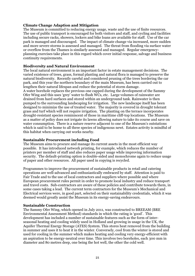# **Climate Change Adaption and Mitigation**

The Museum is committed to reducing energy usage, waste and the use of finite resources. The use of public transport is encouraged for both visitors and staff, and cycling and facilities including secure racks, showers, lockers and bike loans are available for staff. Use of the car park is managed and discouraged. The impact of climate change via increased, more sudden and more severe storms is assessed and managed. The threat from flooding via surface water or overflow from the Thames is similarly assessed and managed. Regular emergencyplanning exercises take place in this regard which cover initial response, salvage and business continuity requirements.

# **Biodiversity and Natural Environment**

The local natural environment is an important factor in estate management decisions. The varied existence of trees, grass, formal planting and natural flora is managed to preserve the natural biodiversity. Recently careful and considered pruning of the trees bordering the car park, and this year the northern boundary of the main Museum, has been carried out to lengthen their natural lifespan and reduce the potential of storm damage.

A water borehole replaces the previous one capped during the development of the Sammy Ofer Wing and this uses 'grey' water to flush WCs, etc. Large volumes of rainwater are drained from hard surfaces and stored within an underground tank. Rainwater is then pumped to the surrounding landscaping for irrigation. The new landscape itself has been designed to minimize the use of treated water. The majority is covered in drought tolerant grass and turf which will not require irrigation. The planting on the terrace incorporates drought-resistant species reminiscent of those in maritime cliff-top locations. The Museum as a matter of policy does not irrigate its lawns allowing nature to take its course and save on water consumption. There is a nature reserve adjacent to one of the Museum's outstations which is said to be home to all three species of indigenous newt. Estates activity is mindful of this habitat when carrying out works nearby.

# **Sustainable Procurement including Food**

The Museum aims to procure and manage its current assets in the most efficient way possible. It has introduced network printing, for example, which reduces the number of printers per member of staff and also reduces paper usage while improving information security. The default-printing option is double-sided and monochrome again to reduce usage of paper and other resources. All paper used in copying is recycled.

Programmes to improve the procurement of sustainable products in retail and catering operations are well-advanced and enthusiastically embraced by staff. Attention is paid to Fair Trade and to the use of local contractors and suppliers where possible and where European procurement rules permit in order to promote local industry and reduce transport and travel costs. Sub-contractors are aware of these policies and contribute towards them, in some cases taking a lead. The current term contractors for the Museum's Mechanical and Electrical services were, in good part, selected on their sustainability credentials, which it was deemed would greatly assist the Museum in its energy-saving endeavours.

#### **Sustainable Construction**

The Sammy Ofer Wing, which opened in July 2011, was constructed to BREEAM (BRE Environmental Assessment Method) standards in which the rating is 'good'. This development has included a number of sustainable features such as the form of interseasonal heating and cooling widely used in Holland and growing in usage in the UK, the Aquifer Thermal Energy Storage (ATES) System. This stores heat removed from the building in summer and uses it to heat it in the winter. Conversely, cool from the winter is stored and used for cooling in the summer which makes heating and cooling very energy-efficient with an aspiration to be energy-neutral over time. This involves two boreholes, each 300 mm in diameter and 80 metres deep, one being the hot well, the other the cold well.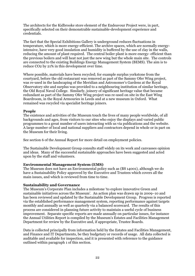The architects for the Kidbrooke store element of the Endeavour Project were, in part, specifically selected on their demonstrable sustainable-development experience and credentials.

The fact that the Special Exhibitions Gallery is underground reduces fluctuations in temperature, which is more energy-efficient. The archive spaces, which are normally energyintensive, have very good insulation and humidity is buffered by the use of clay in the walls, reducing the amount of plant required. The central boiler plant is more energy- efficient than the previous boilers and will heat not just the new wing but the whole main site. The controls are connected to the existing Buildings Energy Management System (BEMS). The aim is to reduce CO2 by 21% in this development over time.

Where possible, materials have been recycled; for example surplus yorkstone from the courtyard, before the old restaurant was removed as part of the Sammy Ofer Wing project, was re-used in the landscaping of the Meridian and Astronomer's Gardens at the Royal Observatory site and surplus was provided to a neighbouring institution of similar heritage, the Old Royal Naval College. Similarly, joinery of significant heritage value that became redundant as part of the Sammy Ofer Wing project was re-used on site in the East Wing Boardroom, in the Royal Armouries in Leeds and at a new museum in Oxford. What remained was recycled via specialist heritage joiners.

#### **People**

The existence and activities of the Museum touch the lives of many people worldwide, of all backgrounds and ages, from visitors to our sites who enjoy the displays and varied public programmes to a great number of users interacting with us via publications and the website. A large number of local and national suppliers and contractors depend in whole or in part on the Museum for their living.

See section 6 of the Annual Report for more detail on employment policies.

The Sustainable Development Group consults staff widely on its work and canvasses opinion and ideas. Many of the successful sustainable approaches have been suggested and acted upon by the staff and volunteers.

# **Environmental Management System (EMS)**

The Museum does not have an Environmental policy such as (BS 14001), although we do have a Sustainability Policy approved by the Executive and Trustees which covers all the main issues, and which is reviewed from time to time.

#### **Sustainability and Governance**

The Museum's Corporate Plan includes a milestone 'to explore innovative Green and sustainable initiatives across the Museum'. An action plan was drawn up in 2009–10 and has been reviewed and updated by the Sustainable Development Group. Progress is reported via the established performance management system, reporting performance against targets monthly and annually as well as quarterly via a balanced scorecard. The results of this process are considered in planning future activity to maintain a useful cycle of business improvement. Separate specific reports are made annually on particular issues, for instance the Annual Utilities Report is compiled by the Museum's Estates and Facilities Management Department for review by the Executive and, if appropriate, Trustee Boards.

Data is collected principally from information held by the Estates and Facilities Management, and Finance and IT Departments, be they budgetary or records of usage. All data collected is auditable and available for inspection, and it is presented with reference to the guidance outlined within paragraph 1 of this section.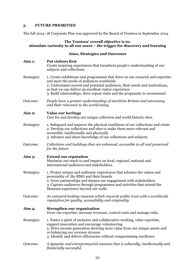# **5. FUTURE PRIORITIES**

The full 2014–18 Corporate Plan was approved by the Board of Trustees in September 2014.

# **The Trustees' overall objective is to: stimulate curiosity in all our users – the trigger for discovery and learning**

# **Aims, Strategies and** *Outcomes*

| Aim 1:      | <b>Put visitors first</b><br>Create inspiring experiences that transform people's understanding of our<br>subjects and collections.                                                                                                                                                                                                                |
|-------------|----------------------------------------------------------------------------------------------------------------------------------------------------------------------------------------------------------------------------------------------------------------------------------------------------------------------------------------------------|
| Strategies: | 1. Create exhibitions and programmes that draw on our research and expertise<br>and meet the needs of audiences worldwide<br>2. Understand current and potential audiences, their needs and motivations,<br>so that we can deliver an excellent visitor experience<br>3. Build relationships, drive repeat visits and the propensity to recommend. |
| Outcome:    | People have a greater understanding of maritime Britain and astronomy<br>and their relevance to the world today.                                                                                                                                                                                                                                   |
| Aim 2:      | Value our heritage<br>Care for and develop our unique collection and world historic sites.                                                                                                                                                                                                                                                         |
| Strategies: | 1. Safeguard and improve the physical conditions of our collections and estate<br>2. Develop our collections and sites to make them more relevant and<br>accessible, intellectually and physically<br>3. Advance and share knowledge of our collections and subjects.                                                                              |
| Outcome:    | Collections and buildings that are enhanced, accessible to all and preserved<br>for the future.                                                                                                                                                                                                                                                    |
| Aim $3:$    | <b>Extend our reputation</b><br>Maximize our reach to and impact on local, regional, national and<br>international audiences and stakeholders.                                                                                                                                                                                                     |
| Strategies: | 1. Project unique and authentic experiences that advance the values and<br>personality of the RMG and their brands<br>2. Grow partnerships and deepen our engagement with stakeholders<br>3. Capture audiences through programmes and activities that extend the<br>Museum experience beyond our walls.                                            |
| Outcome:    | An outward-looking museum which rewards public trust with a worldwide<br>reputation for quality, accessibility and originality.                                                                                                                                                                                                                    |
| Aim $4:$    | <b>Strengthen our organization</b><br>Grow our expertise, increase revenues, control costs and manage risks.                                                                                                                                                                                                                                       |
| Strategies: | 1. Foster a spirit of inclusive and collaborative working, value expertise,<br>support innovation and encourage volunteering<br>2. Drive income generation deriving more value from our unique assets and<br>re-balancing our revenue streams<br>3. Identify and deliver efficiencies without compromising excellence.                             |
| Outcome:    | A dynamic and entrepreneurial museum that is culturally, intellectually and<br>financially successful.                                                                                                                                                                                                                                             |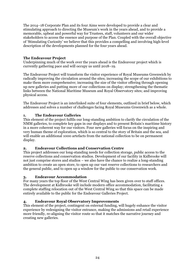The 2014–18 Corporate Plan and its four Aims were developed to provide a clear and stimulating approach to directing the Museum's work in the years ahead, and to provide a memorable, upbeat and powerful way for Trustees, staff, volunteers and our wider stakeholders to access the essence and purpose of the Plan. Coupled with the overall objective of 'Stimulating Curiosity' we believe that this provides a compelling and involving high-level description of the developments planned for the four years ahead.

# **The Endeavour Project**

Underpinning much of the work over the years ahead is the Endeavour project which is currently gathering pace and will occupy us until 2018–19.

The Endeavour Project will transform the visitor experience of Royal Museums Greenwich by radically improving the circulation around the sites; increasing the scope of our exhibitions to make them more comprehensive; increasing the size of the visitor offering through opening up new galleries and putting more of our collections on display; strengthening the thematic links between the National Maritime Museum and Royal Observatory sites; and improving physical access.

The Endeavour Project is an interlinked suite of four elements, outlined in brief below, which addresses and solves a number of challenges facing Royal Museums Greenwich as a whole.

# **1. The Endeavour Galleries**

This element of the project fulfils our long-standing ambition to clarify the circulation of the NMM galleries, to complete key gaps in our displays and to present Britain's maritime history in a more coherent way for our visitors. Four new galleries will focus on the inspiring and very human theme of exploration, which is so central to the story of Britain and the sea, and will enable an additional 1000 artefacts from the national collection to be on permanent display.

# **2. Endeavour Collections and Conservation Centre**

This project addresses our long-standing needs for collection storage, public access to the reserve collections and conservation studios. Development of our facility in Kidbrooke will not just comprise stores and studios – we also have the chance to realize a long-standing ambition to create an open store, to open up our vast reserve collections to researchers and the general public, and to open up a window for the public to our conservation work.

# **3. Endeavour Accommodation**

For many years the top floor of the West Central Wing has been given over to staff offices. The development at Kidbrooke will include modern office accommodation, facilitating a complete staffing relocation out of the West Central Wing so that this space can be made entirely available to the public for the Endeavour Galleries Project.

# **4. Endeavour Royal Observatory Improvements**

This element of the project, contingent on external funding, will hugely enhance the visitor experience by redesigning the visitor entrance, making the admissions and retail experience more friendly, re-aligning the visitor route so that it matches the narrative journey and creating new galleries.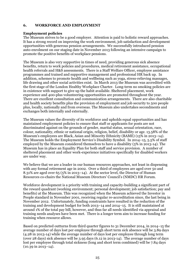# **6. WORKFORCE AND EMPLOYMENT**

## **Employment policies**

The Museum strives to be a good employer. Attention is paid to holistic reward approaches. It has a strong record on improving the work environment, job satisfaction and development opportunities with generous pension arrangements. We successfully introduced pension auto-enrolment on our staging date in November 2013 following an intensive campaign to promote the positive benefits of workplace pensions.

The Museum is also very supportive in times of need, providing generous sick absence benefits, return to work policies and procedures, medical retirement assistance, occupational health referrals and H&S assessments. There is a Staff Welfare Officer, employee assistance programmes and trained and supportive management and professional HR back up. In addition, schemes to promote health and wellbeing such as yoga, stress-relieving massages, life drawing and other social activities exist. In March 2013 the Museum was accredited with the first stage of the London Healthy Workplace Charter. Long-term no smoking policies are in existence with support to give up the habit available. Sheltered placement, work experience and 400-plus volunteering opportunities are promoted throughout the year. There are excellent consultation and communication arrangements. There are also charitable and health society benefits plus the provision of employment and job security to 500 people plus, locally, nationally and from overseas. The Museum also undertakes secondments and exchanges both internally and externally.

The Museum values the diversity of its workforce and upholds equal opportunities and has maintained employment policies to ensure that staff or applicants for posts are not discriminated against on the grounds of gender, marital status, sexual orientation, race, colour, nationality, ethnic or national origin, religion, belief, disability or age. 13.58% of the Museum's employees are Black, Asian and Minority Ethnicity (BAME) (15% in 2013–14). The Museum holds the Employment Service's Disability Symbol. In 2014–15, 5.5% of staff employed by the Museum considered themselves to have a disability (5% in 2013-14). The Museum has in place an Equality Plan for both staff and service provision. A number of sheltered placement and other work-experience initiatives specifically for disabled workers are under way.

We believe that we are a leader in our human resources approaches, not least in dispensing with any formal retirement age in 2002. Over a third of employees are aged over 50 and 8.31% are aged over 65 (5% in 2013–14). At the sector level, the Director of Human Resources co-chairs the National Museum Directors' Council's (NMDC) HR Forum.

Workforce development is a priority with training and capacity-building a significant part of the reward quadrant (working environment; personal development; job satisfaction; pay and benefits) at the Museum. This was recognized when the Museum achieved the Investor in People standard in November 2001, receiving regular re-accreditation since, the last being in November 2012. Unfortunately, funding constraints have resulted in the reduction of the training and development budget for both 2013–14 and 2014–15. It is still maintained at around 1% of the total pay bill, however, and thus far all needs identified via appraisal and training needs analyses have been met. There is a longer term aim to increase funding for training when resource allows.

Based on predicted outturns from third quarter figures to 31 December 2014, in 2014–15 the average number of days lost per employee through short term sick absence will be 3.89 days (4.28 in 2013-14) while the average number of days lost per employee through long term (over 28 days) sick absence will be 3.95 days (6.12 in 2013-14). The average number of days lost per employee through total sickness (long and short term combined) will be 7.84 days  $(10.39 \text{ in } 2013 - 14)$ .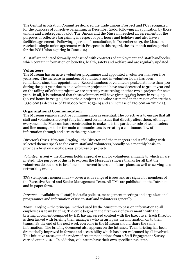The Central Arbitration Committee declared the trade unions Prospect and PCS recognized for the purposes of collective bargaining in December 2006, following an application by those unions and a subsequent ballot. The Unions and the Museum reached an agreement for the purposes of collective bargaining in respect of pay, hours and holidays and also have a facilities agreement. Following a period of consultation, in December 2013, the Museum reached a single-union agreement with Prospect in this regard, the six-month notice period for the PCS Union expiring in June 2014.

All staff are inducted formally and issued with contracts of employment and staff handbooks, which contain information on benefits, health, safety and welfare and are regularly updated.

# **Volunteers**

The Museum has an active volunteer programme and appointed a volunteer manager five years ago. The increase in numbers of volunteers and in volunteer hours has been remarkable since this appointment. Record numbers of volunteers peaked at more than 500 during the past year due to an e-volunteer project and have now decreased to 301 at year end on the tailing off of that project; we are currently researching another two e-projects for next year. In all, it is estimated that these volunteers will have given 35,693 hours in 2014–15 (46,126 hours in 2013-14 due to the e-project) at a value estimated in the region of more than £350,000 (a decrease of £110,000 from 2013–14 and an increase of £10,000 on 2012-13).

#### **Organizational Communication**

The Museum regards effective communication as essential. The objective is to ensure that all staff and volunteers are kept fully informed on all issues that directly affect them. Although everyone in the Museum has a contribution to make, it is the particular role of team leaders and line managers to be the main communicators by creating a continuous flow of information through and across the organization.

*Director's Cross-Museum Briefing* - the Director and the managers and staff dealing with selected themes speak to the entire staff and volunteers, broadly on a monthly basis, to provide a brief on specific areas, progress or projects.

*Volunteer Event* – the Museum holds a special event for volunteers annually to which all are invited. The purpose of this is to express the Museum's sincere thanks for all that the volunteers do but also to brief them on current issues and future plans, as well as serving as a networking event.

*TMs* (temporary memoranda) **–** cover a wide range of issues and are signed by members of the Executive Board and Senior Management Team. All TMs are published on the Intranet and in paper form.

*Intranet* – available to all staff, it details policies, management meetings and organizational programmes and information of use to staff and volunteers generally.

*Team Briefing* – the principal method used by the Museum to pass on information to all employees is team briefing. The cycle begins in the first week of every month with the briefing document compiled by HR, having agreed content with the Executive. Each Director is then tasked with briefing their managers who in turn pass the information on to their teams. By the end of the next week everyone in the Museum should share the same information. The briefing document also appears on the Intranet. Team briefing has been dramatically improved in format and accessibility which has been welcomed by all involved. This initiative arose out of a review of recommendations from a Staff Engagement Survey carried out in 2010. In addition, volunteers have their own specific newsletter.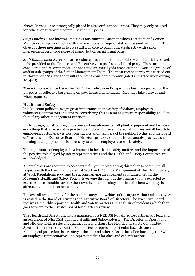*Notice Boards* **–** are strategically placed in sites or functional areas. They may only be used for official or authorized communication purposes.

*Staff Lunches* **–** are informal meetings for communication in which Directors and Senior Managers can speak directly with cross-sectional groups of staff over a sandwich lunch. The object of these meetings is to give staff a chance to communicate directly with senior management on a wide range of issues, but on an informal basis.

*Staff Engagement Surveys* – are conducted from time to time to allow confidential feedback to be provided to the Trustees and Executive via a professional third party. These are considered and recommendations are acted on, usually via cross-sectional working groups of staff or sub groups of the Senior Management Team. The most recent survey was carried out in November 2013 and the results are being considered, promulgated and acted upon during  $2014 - 15.$ 

*Trade Unions* – Since December 2013 the trade union Prospect has been recognized for the purposes of collective bargaining on pay, hours and holidays. Meetings take place as and when required.

#### **Health and Safety**

It is Museum policy to assign great importance to the safety of visitors, employees, volunteers, contractors and others, considering this as a management responsibility equal to that of any other management function.

In the design, construction, operation and maintenance of all plant, equipment and facilities, everything that is reasonably practicable is done to prevent personal injuries and ill health to employees, customers, visitors, contractors and members of the public. To this end the Board of Trustees and Executive Board of Directors provide, so far as is reasonably practical, such training and equipment as is necessary to enable employees to work safely.

The importance of employee involvement in health and safety matters and the importance of the positive role played by safety representatives and the Health and Safety Committee are acknowledged.

All employees are required to co-operate fully in implementing this policy to comply in all respects with the Health and Safety at Work Act 1974, the Management of Health and Safety at Work Regulations 1999 and the accompanying arrangements contained within the Museum's Health and Safety Policy. Everyone throughout the organization is expected to exercise all reasonable care for their own health and safety and that of others who may be affected by their acts or omissions.

The overall responsibility for the health, safety and welfare of the organization and employees is vested in the Board of Trustees and Executive Board of Directors. The Executive Board receives a monthly report on Health and Safety matters and analysis of incidents which then goes forward to the Trustee Board for quarterly review.

The Health and Safety function is managed by a NEBOSH-qualified Departmental Head and an experienced NEBOSH-qualified Health and Safety Adviser. The Director of Operations and HR also holds a relevant qualification and chairs the Health and Safety Committee. Specialist members serve on the Committee to represent particular hazards such as radiological protection, laser safety, asbestos and other risks in the collections, together with an employee representative, and representatives for sites and other functions.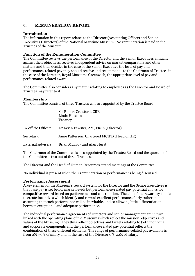# **7. REMUNERATION REPORT**

# **Introduction**

The information in this report relates to the Director (Accounting Officer) and Senior Executives (Directors) of the National Maritime Museum. No remuneration is paid to the Trustees of the Museum.

# **Function of the Remuneration Committee**

The Committee reviews the performance of the Director and the Senior Executives annually against their objectives, receives independent advice on market comparators and other matters and then decides in the case of the Senior Executive the level of pay and performance-related pay they should receive and recommends to the Chairman of Trustees in the case of the Director, Royal Museums Greenwich, the appropriate level of pay and performance-related award.

The Committee also considers any matter relating to employees as the Director and Board of Trustees may refer to it.

# **Membership**

The Committee consists of three Trustees who are appointed by the Trustee Board:

|                           | Sir Robert Crawford, CBE<br>Linda Hutchinson<br>Vacancy |
|---------------------------|---------------------------------------------------------|
| Ex officio Officer:       | Dr Kevin Fewster, AM, FRSA (Director)                   |
| Secretary:                | Anne Patterson, Chartered MCIPD (Head of HR)            |
| <b>External Advisers:</b> | Brian McEvoy and Alan Hurst                             |

The Chairman of the Committee is also appointed by the Trustee Board and the quorum of the Committee is two out of three Trustees.

The Director and the Head of Human Resources attend meetings of the Committee.

No individual is present when their remuneration or performance is being discussed.

# **Performance Assessment**

A key element of the Museum's reward system for the Director and the Senior Executives is that base pay is set below market levels but performance-related pay potential allows for competitive reward based on performance and contribution. The aim of the reward system is to create incentives which identify and reward excellent performance fairly rather than assuming that such performance will be inevitable, and so allowing little differentiation between exceptional and adequate performance.

The individual performance agreements of Directors and senior management are in turn linked with the operating plans of the Museum (which reflect the mission, objectives and values of the Museum). They thus reflect objectives and targets relating to both individual and corporate components and the performance-related pay potential reflects the combination of these different elements. The range of performance-related pay available is from 0%-30% of salary and in the case of the Director 0%-20% of salary.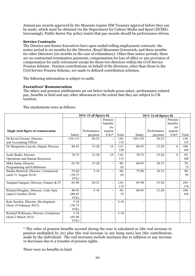Annual pay awards approved by the Museum require HM Treasury approval before they can be made, which must be obtained via the Department for Culture Media and Sport (DCMS). Increasingly, Public Sector Pay policy insists that pay awards should be performance-driven.

#### **Service Contracts**

The Director and Senior Executives have open-ended rolling employment contracts: the notice period is six months for the Director, Royal Museums Greenwich, and three months for other Directors (six months in the case of redundancy). Other than notice periods, there are no contractual termination payments, compensation for loss of office or any provision of compensation for early retirement except for those two directors within the Civil Service Pension Scheme. Pension contributions on behalf of the directors, other than those in the Civil Service Pension Scheme, are made to defined-contribution schemes.

The following information is subject to audit.

#### **Executives' Remuneration**

The salary and pension entitlements set out below include gross salary, performance-related pay, benefits in kind and any other allowances to the extent that they are subject to UK taxation.

The emoluments were as follows:

|                                          | 2014-15 all figures £k |             |                          | 2013-14 all figures £k |           |             |                |         |
|------------------------------------------|------------------------|-------------|--------------------------|------------------------|-----------|-------------|----------------|---------|
|                                          |                        |             | Pension                  |                        |           |             | Pension        |         |
|                                          |                        |             | benefits                 |                        |           |             | benefits       |         |
|                                          |                        |             | (t <sub>0</sub> )        |                        |           |             | (to            |         |
| Single total figure of remuneration      |                        | Performance | nearest                  |                        |           | Performance | nearest        |         |
|                                          | Salary                 | payment     | $£1k)*$                  | Total                  | Salary    | payment     | $£1k)*$        | Total   |
| Dr Kevin Fewster, Director               | 110-115                | $20 - 25$   |                          | $130-$                 | 105-110   | $20 - 25$   |                | $130 -$ |
| and Accounting Officer                   |                        |             |                          | 135                    |           |             |                | 135     |
| Dr Margarette Lincoln, Deputy Director   | 80-85                  | $15 - 20$   | 16                       | $115 -$                | 80-85     | $15 - 20$   | 6              | $100 -$ |
|                                          |                        |             |                          | 120                    |           |             |                | 105     |
| Andy Bodle, Director                     | 70-75                  | $15 - 20$   | 19                       | $110-$                 | $70 - 75$ | $15 - 20$   | 8              | $95 -$  |
| Operations and Human Resources           |                        |             |                          | 115                    |           |             |                | 100     |
| Mike Sarna, Director,                    | 65-70                  | $15 - 20$   | $\blacksquare$           | $80 -$                 | 60-65     | $10 - 15$   | $\blacksquare$ | $70-$   |
| Programming and Exhibitions              |                        |             |                          | 85                     |           |             |                | 75      |
| Sandra Botterell, Director, Commercial   | 55-60                  | $5 - 10$    | $\overline{\phantom{0}}$ | $60 -$                 | 75-80     | $10 - 15$   | $\sim$         | $90 -$  |
| (until 31 August 2014)                   | $(70-75)$              |             |                          | 65                     |           |             |                | 95      |
|                                          | FTE)                   |             |                          |                        |           |             |                |         |
| Anupam Ganguli, Director, Finance & IT   | 85-90                  | $20 - 25$   |                          | $110-$                 | 85-90     | $15 - 20$   |                | $105 -$ |
|                                          |                        |             |                          | 115                    |           |             |                | 110     |
| Richard Doughty, Director, Cutty Sark    | $40 - 45$              | $5-10$      |                          | $50 -$                 | 80-85     | $15 - 20$   |                | $100 -$ |
| (until 6 October 2014)                   | $(80 - 85)$            |             |                          | 55                     |           |             |                | 105     |
|                                          | FTE)                   |             |                          |                        |           |             |                |         |
| Kate Seeckts, Director, Development      | $5 - 10$               |             |                          | $5 - 10$               |           |             |                |         |
| (from 18 February 2015)                  | $(70-75)$              |             |                          |                        |           |             |                |         |
|                                          | FTE)                   |             |                          |                        |           |             |                |         |
| Richard Wilkinson, Director, Enterprises | $5 - 10$               |             |                          | $5 - 10$               |           |             |                |         |
| (from 2 March 2015)                      | $(85-90)$              |             |                          |                        |           |             |                |         |
|                                          | FTE)                   |             |                          |                        |           |             |                |         |

\* The value of pension benefits accrued during the year is calculated as (the real increase in pension multiplied by 20) plus (the real increase in any lump sum) less (the contributions made by the individual). The real increases exclude increases due to inflation or any increase or decreases due to a transfer of pension rights.

There were no benefits in kind.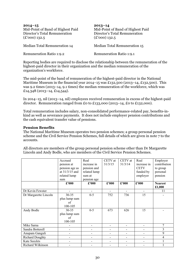| $2014 - 15$<br>Mid-Point of Band of Highest Paid<br>Director's Total Remuneration<br>$(\pounds'000)$ 132.5 | $2013 - 14$<br>Mid-Point of Band of Highest Paid<br>Director's Total Remuneration<br>$(\pounds'000)$ 132.5 |
|------------------------------------------------------------------------------------------------------------|------------------------------------------------------------------------------------------------------------|
| Median Total Remuneration 14                                                                               | Median Total Remuneration 15                                                                               |
| <b>Remuneration Ratio 1:9.2</b>                                                                            | <b>Remuneration Ratio 1:9.1</b>                                                                            |

Reporting bodies are required to disclose the relationship between the remuneration of the highest-paid director in their organization and the median remuneration of the organization's workforce.

The mid-point of the band of remuneration of the highest-paid director in the National Maritime Museum in the financial year 2014–15 was £132,500 (2013–14, £132,500). This was 9.2 times (2013–14, 9.1 times) the median remuneration of the workforce, which was £14,348 (2013–14, £14,544).

In 2014–15, nil (2013–14, nil) employees received remuneration in excess of the highest-paid director. Remuneration ranged from £0 to £133,000 (2013–14, £0 to £132,000).

Total remuneration includes salary, non-consolidated performance-related pay, benefits-inkind as well as severance payments. It does not include employer pension contributions and the cash equivalent transfer value of pensions.

#### **Pension Benefits**

The National Maritime Museum operates two pension schemes; a group personal pension scheme and the Civil Service Pension Schemes, full details of which are given in note 7 to the accounts.

| Lincoln and Andy Bodle, who are members of the Civil Service Pension Schemes. |                       |                     |                                       |         |             |                          |
|-------------------------------------------------------------------------------|-----------------------|---------------------|---------------------------------------|---------|-------------|--------------------------|
|                                                                               | Accrued<br>pension at | Real<br>increase in | $CETV$ at $CETV$ at $Red$<br>131/3/15 | 31/3/14 | increase in | Employer<br>contribution |

All directors are members of the group personal pension scheme other than Dr Margarette

|                        | Accrued<br>pension at<br>pension age as<br>at $31/3/15$ and<br>related lump<br>sum | Real<br>increase in<br>pension and<br>related lump<br>sum at<br>pension age | CETV at<br>31/3/15 | CETV at<br>31/3/14       | Real<br>increase in<br><b>CETV</b><br>funded by<br>employer | Employer<br>contribution<br>to group<br>personal<br>pension |
|------------------------|------------------------------------------------------------------------------------|-----------------------------------------------------------------------------|--------------------|--------------------------|-------------------------------------------------------------|-------------------------------------------------------------|
|                        | $\pounds$ '000                                                                     | $\pounds$ '000                                                              | $\pounds$ '000     | £'000                    | £'000                                                       | <b>Nearest</b><br>£1,000                                    |
| Dr Kevin Fewster       |                                                                                    |                                                                             |                    |                          |                                                             | 11                                                          |
| Dr Margarette Lincoln  | $30 - 35$                                                                          | $0 - 5$                                                                     | 752                | 736                      | 15                                                          |                                                             |
|                        | plus lump sum<br>of<br>100-105                                                     |                                                                             |                    |                          |                                                             |                                                             |
| Andy Bodle             | $30 - 35$<br>plus lump sum<br>of<br>100-105                                        | $0 - 5$                                                                     | 673                | 626                      | 15                                                          |                                                             |
| Mike Sarna             |                                                                                    |                                                                             |                    |                          |                                                             | 7                                                           |
| Sandra Botterell       |                                                                                    |                                                                             |                    |                          |                                                             | 3                                                           |
| Anupam Ganguli         |                                                                                    |                                                                             |                    |                          |                                                             | 9                                                           |
| <b>Richard Doughty</b> |                                                                                    |                                                                             |                    |                          |                                                             | 4                                                           |
| Kate Seeckts           |                                                                                    |                                                                             |                    | $\overline{\phantom{0}}$ | -                                                           | 1                                                           |
| Richard Wilkinson      |                                                                                    |                                                                             |                    |                          |                                                             |                                                             |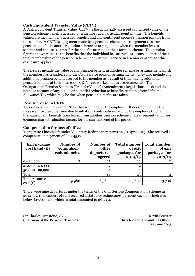# **Cash Equivalent Transfer Value (CETV)**

A Cash Equivalent Transfer Value (CETV) is the actuarially assessed capitalized value of the pension scheme benefits accrued by a member at a particular point in time. The benefits valued are the member's accrued benefits and any contingent spouse's pension payable from the scheme. A CETV is a payment made by a pension scheme or arrangement to secure pension benefits in another pension scheme or arrangement when the member leaves a scheme and chooses to transfer the benefits accrued in their former scheme. The pension figures shown relate to the benefits that the individual has accrued as a consequence of their total membership of the pension scheme, not just their service in a senior capacity to which disclosure applies.

The figures include the value of any pension benefit in another scheme or arrangement which the member has transferred to the Civil Service pension arrangements. They also include any additional pension benefit accrued to the member as a result of their buying additional pension benefits at their own cost. CETVs are worked out in accordance with The Occupational Pension Schemes (Transfer Values) (Amendment) Regulations 2008 and do not take account of any actual or potential reduction to benefits resulting from Lifetime Allowance Tax which may be due when pension benefits are taken.

#### **Real Increase in CETV**

This reflects the increase in CETV that is funded by the employer. It does not include the increase in accrued pension due to inflation, contributions paid by the employee (including the value of any benefits transferred from another pension scheme or arrangement) and uses common market valuation factors for the start and end of the period.

#### **Compensation for loss of office**

Margarette Lincoln left under Voluntary Redundancy terms on 30 April 2015. She received a compensation payment of £40-45,000.

| <b>Exit package</b><br>cost band(f) | Number of<br>compulsory<br>redundancies | Number of<br>other<br>departures<br>agreed | <b>Total number</b><br>of exit<br>packages for<br>2014/15 | <b>Total number</b><br>of exit<br>packages for<br>2013/14 |
|-------------------------------------|-----------------------------------------|--------------------------------------------|-----------------------------------------------------------|-----------------------------------------------------------|
| $0 - 24,999$                        | 7                                       | 15                                         | 22                                                        |                                                           |
| 25,000 - 49,999                     |                                         | $\overline{2}$                             | $\mathbf 2$                                               |                                                           |
| $50,000 - 99,999$                   |                                         |                                            |                                                           |                                                           |
| Total                               | 7                                       | 18                                         | 25                                                        | $\mathbf{2}^{\prime}$                                     |
| Total resource<br>cost(E)           | 9,980                                   | 263,622                                    | 273,602                                                   | 13,706                                                    |

There were nine departures under the terms of the Civil Service Compensation Scheme in 2014–15: 13 members of staff received a statutory redundancy payment each of which was below £13,500 and which in total amounted to £61,354.

Sir Charles Dunstone, CVO **Kevin Fewster** Kevin Fewster Chairman of the Board of Trustees Director and Accounting Officer

22 June 2015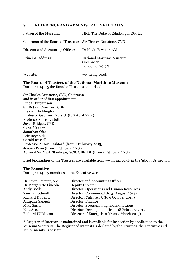# **8. REFERENCE AND ADMINISTRATIVE DETAILS**

| Patron of the Museum:                                        | HRH The Duke of Edinburgh, KG, KT                                           |
|--------------------------------------------------------------|-----------------------------------------------------------------------------|
| Chairman of the Board of Trustees: Sir Charles Dunstone, CVO |                                                                             |
| Director and Accounting Officer:                             | Dr Kevin Fewster, AM                                                        |
| Principal address:                                           | <b>National Maritime Museum</b><br>Greenwich<br>London SE <sub>10</sub> 9NF |
| Website:                                                     | www.rmg.co.uk                                                               |

# **The Board of Trustees of the National Maritime Museum**

During 2014–15 the Board of Trustees comprised:

Sir Charles Dunstone, CVO, Chairman and in order of first appointment: Linda Hutchinson Sir Robert Crawford, CBE Eleanor Boddington Professor Geoffrey Crossick (to 7 April 2014) Professor Chris Lintott Joyce Bridges, CBE Carol Marlow Jonathan Ofer Eric Reynolds Gerald Russell Professor Alison Bashford (from 1 February 2015) Jeremy Penn (from 1 February 2015) Admiral Sir Mark Stanhope, GCB, OBE, DL (from 1 February 2015)

Brief biographies of the Trustees are available from www.rmg.co.uk in the 'About Us' section.

# **The Executive**

During 2014–15 members of the Executive were:

| Dr Kevin Fewster, AM     | Director and Accounting Officer               |
|--------------------------|-----------------------------------------------|
| Dr Margarette Lincoln    | Deputy Director                               |
| Andy Bodle               | Director, Operations and Human Resources      |
| Sandra Botterell         | Director, Commercial (to 31 August 2014)      |
| <b>Richard Doughty</b>   | Director, Cutty Sark (to 6 October 2014)      |
| Anupam Ganguli           | Director, Finance                             |
| Mike Sarna               | Director, Programming and Exhibitions         |
| <b>Kate Seeckts</b>      | Director, Development (from 18 February 2015) |
| <b>Richard Wilkinson</b> | Director of Enterprises (from 2 March 2015)   |

A Register of Interests is maintained and is available for inspection by application to the Museum Secretary. The Register of Interests is declared by the Trustees, the Executive and senior members of staff.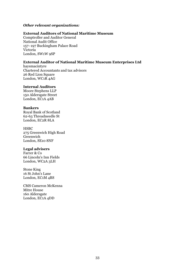# *Other relevant organizations:*

## **External Auditors of National Maritime Museum**

Comptroller and Auditor General National Audit Office 157–197 Buckingham Palace Road Victoria London, SW1W 9SP

# **External Auditor of National Maritime Museum Enterprises Ltd**

haysmacintyre Chartered Accountants and tax advisors 26 Red Lion Square London, WC1R 4AG

## **Internal Auditors**

Moore Stephens LLP 150 Aldersgate Street London, EC1A 4AB

## **Bankers**

Royal Bank of Scotland 62-63 Threadneedle St London, EC2R 8LA

# **HSBC** 275 Greenwich High Road Greenwich

London, SE10 8NF

# **Legal advisers**

Farrer & Co 66 Lincoln's Inn Fields London, WC2A 3LH

Stone King 16 St John's Lane London, EC1M 4BS

CMS Cameron McKenna Mitre House 160 Aldersgate London, EC1A 4DD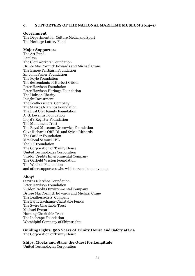## **9. SUPPORTERS OF THE NATIONAL MARITIME MUSEUM 2014–15**

## **Government**

The Department for Culture Media and Sport The Heritage Lottery Fund

## **Major Supporters**

The Art Fund Barclays The Clothworkers' Foundation Dr Lee MacCormick Edwards and Michael Crane The Esmée Fairbairn Foundation Sir John Fisher Foundation The Foyle Foundation The descendants of Herbert Gibson Peter Harrison Foundation Peter Harrison Heritage Foundation The Hobson Charity Insight Investment The Leathersellers' Company The Stavros Niarchos Foundation The Eyal Ofer Family Foundation A. G. Leventis Foundation Lloyd's Register Foundation The Monument Trust The Royal Museums Greenwich Foundation Clive Richards OBE DL and Sylvia Richards The Sackler Foundation Mrs Coral Samuel CBE The TK Foundation The Corporation of Trinity House United Technologies Corporation Viridor Credits Environmental Company The Garfield Weston Foundation The Wolfson Foundation and other supporters who wish to remain anonymous

## **Ahoy!**

Stavros Niarchos Foundation Peter Harrison Foundation Viridor Credits Environmental Company Dr Lee MacCormick Edwards and Michael Crane The Leathersellers' Company The Baltic Exchange Charitable Funds The Swire Charitable Trust Michael Everard Hunting Charitable Trust The Inchcape Foundation Worshipful Company of Shipwrights

**Guiding Lights: 500 Years of Trinity House and Safety at Sea**  The Corporation of Trinity House

**Ships, Clocks and Stars: the Quest for Longitude**  United Technologies Corporation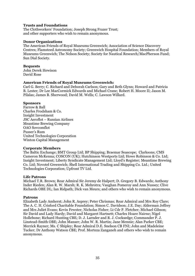# **Trusts and Foundations**

The Clothworkers' Foundation; Joseph Strong Frazer Trust; and other supporters who wish to remain anonymous.

## **Donor Organizations**

The American Friends of Royal Museums Greenwich; Association of Science Discovery Centres; Flamsteed Astronomy Society; Greenwich Hospital Foundation; Members of Royal Museums Greenwich; The Nelson Society; Society for Nautical Research/MacPherson Fund; Sun Dial Society.

## **Bequests**

John Derek Hewison David Rose

## **American Friends of Royal Museums Greenwich:**

Carl G. Berry; C. Richard and Deborah Carlson; Gary and Beth Glynn; Howard and Patricia B. Lester; Dr Lee MacCormick Edwards and Michael Crane; Robert H. Moore II; Jason M. Pilalas; James B. Sherwood; David M. Wells; C. Lawson Willard.

## **Sponsors**

Farrow & Ball Charles Frodsham & Co. Insight Investment JSC Aeroflot – Russian Airlines Meantime Brewing Company OAO Sovcomflot Pusser's Rum United Technologies Corporation Winton Capital Management

# **Corporate Members**

The Baltic Exchange; BMT Group Ltd; BP Shipping; Braemar Seascope; Clarksons; CMS Cameron McKenna; COSCON (UK); Hutchinson Westports Ltd; Howe Robinson & Co. Ltd; Insight Investment; Liberty Syndicate Management Ltd; Lloyd's Register; Meantime Brewing Co. Ltd; Novotel Greenwich; Shell International Trading and Shipping Co. Ltd.; United Technologies Corporation; Upfront TV Ltd.

## **Life Patrons**

Michael T.R. Brown; Rear Admiral Sir Jeremy de Halpert; D. Gregory B. Edwards; Anthony Inder Rieden; Alan R. W. Marsh; R. K. Mehrotra; Vaughan Pomeroy and Ann Nussey; Clive Richards OBE DL; Ian Ridpath; Dick van Meurs; and others who wish to remain anonymous.

## **Patrons**

Elizabeth Lady Amherst; John R. Asprey; Peter Chrismas; Rear Admiral and Mrs Roy Clare; The A. C. H. Crisford Charitable Foundation; Simon C. Davidson; J.E. Day; Alderman Jeffrey and Mrs Juliet Evans; Kevin Fewster; Nicholas Fisher; Lt Cdr P. Fletcher; Michael Gibson; Sir David and Lady Hardy; David and Margaret Hartnett; Charles Hoare Nairne; Nigel Hollebone; Richard Hunting CBE; D. J. Larnder and R. J. Cocksedge; Commander P. J. Linstead-Smith OBE; John Manser; John W. R. Martin; Jane Mennie; Alan Parker CBE; Merrick Rayner; Ms. C Shipley; Rear Admiral D.E. Snelson CB FNI; John and Madeleine Tucker; Dr Anthony Watson CBE; Prof. Morteza Zanganeh and others who wish to remain anonymous.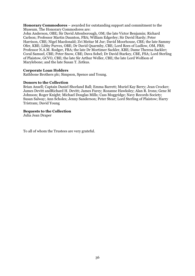**Honorary Commodores** – awarded for outstanding support and commitment to the Museum. The Honorary Commodores are:

John Anderson, OBE; Sir David Attenborough, OM; the late Victor Benjamin; Richard Carlson; Professor Martin Daunton, FBA; William Edgerley; Sir David Hardy; Peter Harrison, CBE; Nigel Macdonald; Zvi Meitar M Jur; David Moorhouse, CBE; the late Sammy Ofer, KBE; Libby Purves, OBE; Dr David Quarmby, CBE; Lord Rees of Ludlow, OM, FRS; Professor N.A.M. Rodger, FBA; the late Dr Mortimer Sackler, KBE; Dame Theresa Sackler; Coral Samuel, CBE; Peter Snow, CBE; Dava Sobel; Dr David Starkey, CBE, FSA; Lord Sterling of Plaistow, GCVO, CBE; the late Sir Arthur Weller, CBE; the late Lord Wolfson of Marylebone; and the late Susan T. Zetkus.

# **Corporate Loan Holders**

Rathbone Brothers plc; Simpson, Spence and Young.

## **Donors to the Collection**

Brian Ansell; Captain Daniel Shorland Ball; Emma Barrett; Muriel Kay Berry; Jean Crocker; James Devitt andRichard H. Devitt; James Furey; Rozanne Hawksley; Alan R. Irons; Gene M Johnson; Roger Knight; Michael Douglas Mills; Cass Moggridge; Navy Records Society; Susan Salway; Ann Scholes; Jenny Sanderson; Peter Stear; Lord Sterling of Plaistow; Harry Tristram; David Young

# **Bequests to the Collection**

Julia Jean Draper

To all of whom the Trustees are very grateful.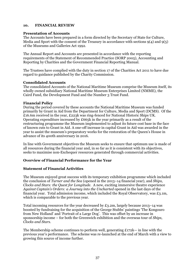# **10. FINANCIAL REVIEW**

## **Presentation of Accounts**

The Accounts have been prepared in a form directed by the Secretary of State for Culture, Media and Sport with the consent of the Treasury in accordance with sections  $9(4)$  and  $9(5)$ of the Museums and Galleries Act 1992.

The Annual Report and Accounts are presented in accordance with the reporting requirements of the Statement of Recommended Practice (SORP 2005), Accounting and Reporting by Charities and the Government Financial Reporting Manual.

The Trustees have complied with the duty in section 17 of the Charities Act 2011 to have due regard to guidance published by the Charity Commission.

# **Consolidated Accounts**

The consolidated Accounts of the National Maritime Museum comprise the Museum itself, its wholly owned subsidiary National Maritime Museum Enterprises Limited (NMME), the Caird Fund, the Development Fund and the Number 3 Trust Fund.

## **Financial Policy**

During the period covered by these accounts the National Maritime Museum was funded primarily by Grant in Aid from the Department for Culture, Media and Sport (DCMS). Of the £16.6m received in the year, £223k was ring-fenced for National Historic Ships UK. Operating expenditure increased by £665k in the year primarily as a result of the restructuring programme the Museum implemented to adjust its future cost base in the face of known cuts to Grant in Aid. A one-off increase in capital Grant in Aid was awarded in the year to assist the museum's preparatory works for the restoration of the Queen's House in advance of its 400th anniversary in 2016.

In line with Government objectives the Museum seeks to ensure that optimum use is made of all resources during the financial year and, in so far as it is consistent with its objectives, seeks to maximise non-Exchequer resources generated through commercial activities.

# **Overview of Financial Performance for the Year**

# **Statement of Financial Activities**

The Museum enjoyed great success with its temporary exhibition programme which included the conclusion of *Turner and the Sea* (opened in the 2013–14 financial year), and *Ships, Clocks and Stars: the Quest for Longitude.* A new, exciting immersive theatre experience Against Captain's Orders: a Journey into the Uncharted opened in the last days of the financial year. Total admission income, which included the Royal Observatory, was £3.1m, which is comparable to the previous year.

Total incoming resources for the year decreased by £3.2m, largely because 2013–14 was boosted by fundraising for the acquisition of the George Stubbs' paintings 'The Kongouro from New Holland' and 'Portrait of a Large Dog'. This was offset by an increase in sponsorship income – for both the Greenwich exhibition and the overseas tour of *Ships, Clocks and Stars*.

The Membership scheme continues to perform well, generating  $E172k$ — in line with the previous year's performance. The scheme was re-launched at the end of March with a view to growing this source of income further.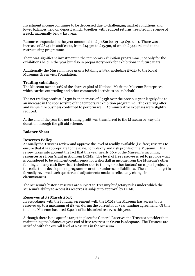Investment income continues to be depressed due to challenging market conditions and lower balances held on deposit which, together with reduced returns, resulted in revenue of £145k, marginally below last year.

Resources expended in the year amounted to  $E_30.8m$  (2013-14:  $E_30.2m$ ). There was an increase of £874k in staff costs, from £14.5m to £15.3m, of which £544k related to the restructuring programme.

There was significant investment in the temporary exhibition programme, not only for the exhibitions held in the year but also in preparatory work for exhibitions in future years.

Additionally the Museum made grants totalling £738k, including £702k to the Royal Museums Greenwich Foundation.

## **Trading subsidiary**

The Museum owns 100% of the share capital of National Maritime Museum Enterprises which carries out trading and other commercial activities on its behalf.

The net trading profit at £1.3m is an increase of £513k over the previous year largely due to an increase in the sponsorship of the temporary exhibition programme. The catering offer and venue hire business continued to perform well. Administrative expenses were slightly reduced.

At the end of the year the net trading profit was transferred to the Museum by way of a donation through the gift aid scheme.

## **Balance Sheet**

## **Reserves Policy**

Annually the Trustees review and approve the level of readily available (i.e. free) reserves to ensure that it is appropriate to the scale, complexity and risk profile of the Museum. This review takes into account the fact that this year nearly 60% of the Museum's incoming resources are from Grant in Aid from DCMS. The level of free reserves is set to provide what is considered to be sufficient contingency for a shortfall in income from the Museum's other funding and any cash flow risks (whether due to timing or other factors) on capital projects, the collections development programme or other unforeseen liabilities. The annual budget is formally reviewed each quarter and adjustments made to reflect any change in circumstances.

The Museum's historic reserves are subject to Treasury budgetary rules under which the Museum's ability to access its reserves is subject to approval by DCMS.

## **Reserves at 31 March 2015**

In accordance with the funding agreement with the DCMS the Museum has access to its reserves up to a maximum of  $£8.7m$  during the current four year funding agreement. Of this total the Museum has used £400k of its historical reserves this year.

Although there is no specific target in place for General Reserves the Trustees consider that maintaining the balance at year end of free reserves at £2.2m is adequate. The Trustees are satisfied with the overall level of Reserves in the Museum.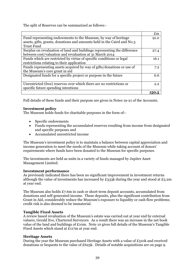The split of Reserves can be summarized as follows:-

|                                                                          | $\mathbf{f}_{\text{m}}$ |
|--------------------------------------------------------------------------|-------------------------|
| Fund representing endowments to the Museum, by way of heritage           | 91.0                    |
| assets, gifts, grants, donations and amounts held in the Caird and No.3  |                         |
| <b>Trust Fund</b>                                                        |                         |
| Surplus on revaluation of land and buildings representing the difference | 27.4                    |
| between cost/valuation and revaluation at 31 March 2014                  |                         |
| Funds which are restricted by virtue of specific conditions or legal     | 16.1                    |
| restrictions relating to their application                               |                         |
| Funds representing assets acquired by way of gifts/donations or use of   | 7.2                     |
| the Museum's core grant in aid                                           |                         |
| Designated funds for a specific project or purpose in the future         | 6.6                     |
|                                                                          |                         |
| Unrestricted (free) reserves over which there are no restrictions or     | 2.2                     |
| specific future spending intentions                                      |                         |
|                                                                          | 150.5                   |

Full details of these funds and their purpose are given in Notes 19-21 of the Accounts.

# **Investment policy**

The Museum holds funds for charitable purposes in the form of:-

- $\bullet$  Specific endowments
- Funds representing the accumulated reserves resulting from income from designated and specific purposes and
- Accumulated unrestricted income

The Museum's investment policy is to maintain a balance between capital appreciation and income generation to meet the needs of the Museum while taking account of donors' requirements where funds have been donated to the Museum for specific purposes.

The investments are held as units in a variety of funds managed by Jupiter Asset Management Limited.

# **Investment performance**

As previously indicated there has been no significant improvement in investment returns although the value of investments has increased by £333k during the year and stood at £5.2m at year end.

The Museum also holds £7.6m in cash or short-term deposit accounts, accumulated from donations and self-generated income. These deposits, plus the significant contribution from Grant in Aid, considerably reduce the Museum's exposure to liquidity or cash flow problems; credit risk is also deemed to be immaterial.

# **Tangible Fixed Assets**

A review based revaluation of the Museum's estate was carried out at year end by external valuers, Gerald Eve, Chartered Surveyors. As a result there was an increase in the net book value of the land and buildings of £10m. Note 10 gives full details of the Museum's Tangible Fixed Assets which stand at £117m at year end.

# **Heritage Assets**

During the year the Museum purchased Heritage Assets with a value of £510k and received donations or bequests to the value of £625k. Details of notable acquisitions are on page 9.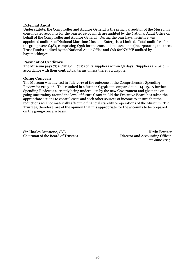## **External Audit**

Under statute, the Comptroller and Auditor General is the principal auditor of the Museum's consolidated accounts for the year 2014-15 which are audited by the National Audit Office on behalf of the Comptroller and Auditor General. During the year haysmacintyre was appointed auditors of National Maritime Museum Enterprises Limited. Total audit fees for the group were £48k, comprising £39k for the consolidated accounts (incorporating the three Trust Funds) audited by the National Audit Office and £9k for NMME audited by haysmackintyre.

## **Payment of Creditors**

The Museum pays 75% (2013-14: 74%) of its suppliers within 30 days. Suppliers are paid in accordance with their contractual terms unless there is a dispute.

## **Going Concern**

The Museum was advised in July 2013 of the outcome of the Comprehensive Spending Review for 2015–16. This resulted in a further £479k cut compared to 2014–15. A further Spending Review is currently being undertaken by the new Government and given the ongoing uncertainty around the level of future Grant in Aid the Executive Board has taken the appropriate actions to control costs and seek other sources of income to ensure that the reductions will not materially affect the financial stability or operations of the Museum. The Trustees, therefore, are of the opinion that it is appropriate for the accounts to be prepared on the going-concern basis.

Sir Charles Dunstone, CVO Kevin Fewster<br>
Chairman of the Board of Trustees Director and Accounting Officer

Director and Accounting Officer 22 June 2015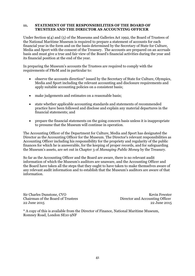## **11. STATEMENT OF THE RESPONSIBILITIES OF THE BOARD OF TRUSTEES AND THE DIRECTOR AS ACCOUNTING OFFICER**

Under Section 9(4) and (5) of the Museums and Galleries Act 1992, the Board of Trustees of the National Maritime Museum is required to prepare a statement of accounts for each financial year in the form and on the basis determined by the Secretary of State for Culture, Media and Sport with the consent of the Treasury. The accounts are prepared on an accruals basis and must give a true and fair view of the Board's financial activities during the year and its financial position at the end of the year.

In preparing the Museum's accounts the Trustees are required to comply with the requirements of FReM and in particular to:

- observe the accounts direction\* issued by the Secretary of State for Culture, Olympics, Media and Sport including the relevant accounting and disclosure requirements and apply suitable accounting policies on a consistent basis;
- make judgements and estimates on a reasonable basis;
- state whether applicable accounting standards and statements of recommended practice have been followed and disclose and explain any material departures in the financial statements; and
- prepare the financial statements on the going concern basis unless it is inappropriate to presume that the Museum will continue in operation.

The Accounting Officer of the Department for Culture, Media and Sport has designated the Director as the Accounting Officer for the Museum. The Director's relevant responsibilities as Accounting Officer including his responsibility for the propriety and regularity of the public finances for which he is answerable, for the keeping of proper records, and for safeguarding the Museum's assets, are set out in Chapter 3 of *Managing Public Money* by the Treasury.

So far as the Accounting Officer and the Board are aware, there is no relevant audit information of which the Museum's auditors are unaware, and the Accounting Officer and the Board have taken all the steps that they ought to have taken to make themselves aware of any relevant audit information and to establish that the Museum's auditors are aware of that information.

Sir Charles Dunstone, CVO **Kevin Fewster** Chairman of the Board of Trustees Director and Accounting Officer 22 June 2015 22 June 2015

\* A copy of this is available from the Director of Finance, National Maritime Museum, Romney Road, London SE10 9NF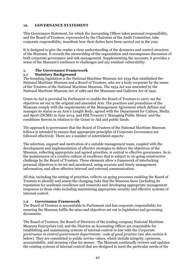# **12. GOVERNANCE STATEMENT**

This Governance Statement, for which the Accounting Officer takes personal responsibility, and the Board of Trustees, represented by the Chairman of the Audit Committee, take corporate responsibility, manifests how their duties have been carried out in the year.

It is designed to give the reader a clear understanding of the dynamics and control structure of the Museum. It records the stewardship of the organization and encompasses discussion of both corporate governance and risk management. Supplementing the accounts, it provides a sense of the Museum's resilience to challenges and any residual vulnerability.

# **1. The Governance Framework**

# **1.1 Statutory Background**

The founding legislation is the National Maritime Museum Act 1934 that established the National Maritime Museum and a Board of Trustees, who are a body corporate by the name of the Trustees of the National Maritime Museum. The 1934 Act was amended by the National Maritime Museum Act of 1989 and the Museums and Galleries Act of 1992.

Grant-in-Aid is provided by Parliament to enable the Board of Trustees to carry out the objectives set out in the original and amended Acts. The practices and procedures of the Museum comply with the requirements of the Management Agreement which defines and manages its status as an Arm's Length Body, agreed with the Department for Culture, Media and Sport (DCMS) in June 2014, and HM Treasury's 'Managing Public Money' and the conditions therein in relation to the Grant-in-Aid and public funds.

The approach to governance that the Board of Trustees of the National Maritime Museum follows is intended to ensure that appropriate principles of Corporate Governance are followed effectively. There are a number of interrelated aspects:

The selection, support and motivation of a suitable management team, coupled with the development and implementation of effective strategies to deliver the objectives of the Museum, reflecting appropriate and agreed priorities, is central to effective governance. So is the maintenance of a creative culture of excellence that is subject to on-going constructive challenge by the Board of Trustees. These elements allow a framework of interlocking personal objectives to be set and monitored, using accurate and timely management information, and allow effective internal and external communication.

All this, including the setting of priorities, reflects on-going processes enabling the Board of Trustees to identify and assess the changing risks that the Museum faces (including its reputation for academic excellence and research) and developing appropriate management responses to those risks including maintaining appropriate security and effective systems of internal control.

# **1.2 Governance Framework**

The Board of Trustees is accountable to Parliament and has corporate responsibility for ensuring the Museum fulfils the aims and objectives set out in legislation and governing documents.

The Board of Trustees, the Board of Directors of the trading company National Maritime Museum Enterprises Ltd, and the Director as Accounting Officer are responsible for establishing and maintaining systems of internal control in line with the *Corporate governance in central government departments: code of good practice* (see also section 8 below). They are committed to public service values, which include integrity, openness, accountability, and securing value for money. The Museum continually reviews and updates the existing systems of internal control that are designed to meet the particular needs of the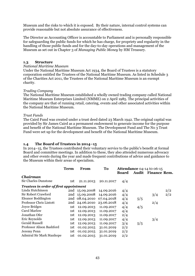Museum and the risks to which it is exposed. By their nature, internal control systems can provide reasonable but not absolute assurance of effectiveness.

The Director as Accounting Officer is accountable to Parliament and is personally responsible for safeguarding the public funds for which he has charge, for propriety and regularity in the handling of those public funds and for the day-to-day operations and management of the Museum as set out in Chapter 3 of *Managing Public Money* by HM Treasury.

# **1.3 Structure**

## *National Maritime Museum*

Under the National Maritime Museum Act 1934, the Board of Trustees is a statutory corporation entitled the Trustees of the National Maritime Museum. As listed in Schedule 3 of the Charities Act 2011, the Trustees of the National Maritime Museum is an exempt charity.

# *Trading Company*

The National Maritime Museum established a wholly owned trading company called National Maritime Museum Enterprises Limited (NMME) on 2 April 1985. The principal activities of the company are that of running retail, catering, events and other associated activities within the National Maritime Museum.

## *Trust Funds*

The Caird Fund was created under a trust deed dated 23 March 1942. The original capital was provided by Sir James Caird as a permanent endowment to generate income for the purpose and benefit of the National Maritime Museum. The Development Fund and The No 3 Trust Fund were set up for the development and benefit of the National Maritime Museum.

# **1.4 The Board of Trustees in 2014–15**

In 2014–15, the Trustees contributed their voluntary service to the public's benefit at formal Board and committee meetings. In addition to these, they also attended numerous advocacy and other events during the year and made frequent contributions of advice and guidance to the Museum within their areas of specialism.

|                                        | <b>Term</b> | From           | To         |              | Attendance 04-14 to 06-15 |                           |     |
|----------------------------------------|-------------|----------------|------------|--------------|---------------------------|---------------------------|-----|
|                                        |             |                |            | <b>Board</b> |                           | <b>Audit</b> Finance Rem. |     |
| Chairman                               |             |                |            |              |                           |                           |     |
| <b>Sir Charles Dunstone</b>            | 1st.        | 21.11.2013     | 20.11.2017 | 4/4          |                           |                           |     |
| Trustees in order of first appointment |             |                |            |              |                           |                           |     |
| Linda Hutchinson                       |             | 2nd 15.09.2008 | 14.09.2016 | 4/4          |                           |                           | 2/2 |
| Sir Robert Crawford                    |             | 2nd 15.09.2008 | 14.09.2016 | 4/4          |                           | 3/4                       | 2/2 |
| <b>Eleanor Boddington</b>              |             | 2nd 08.04.2010 | 07.04.2018 | 4/4          | 5/5                       |                           |     |
| <b>Professor Chris Lintott</b>         |             | 2nd 24.06.2010 | 23.06.2018 | 4/4          |                           | 2/4                       |     |
| Joyce Bridges                          | 1st.        | 12.09.2013     | 11.09.2017 | 4/4          | 4/5                       |                           |     |
| <b>Carol Marlow</b>                    | 1st         | 12.09.2013     | 11.09.2017 | 4/4          |                           |                           |     |
| Jonathan Ofer                          | 1st         | 12.09.2013     | 11.09.2017 | 2/4          |                           |                           |     |
| Eric Reynolds                          | 1st         | 12.09.2013     | 11.09.2017 | 4/4          |                           | 3/4                       |     |
| <b>Gerald Russell</b>                  | 1st         | 12.09.2013     | 11.09.2017 | 3/4          | 5/5                       |                           |     |
| Professor Alison Bashford              | 1st         | 01.02.2015     | 31.01.2019 | 2/2          |                           |                           |     |
| Jeremy Penn                            | 1st         | 01.02.2015     | 31.01.2019 | 2/2          |                           |                           |     |
| <b>Admiral Sir Mark Stanhope</b>       | 1st.        | 01.02.2015     | 31.01.2019 | 2/2          |                           |                           |     |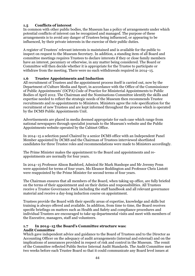# **1.5 Conflicts of interest**

In common with other public bodies, the Museum has a policy of arrangements under which potential conflicts of interest can be recognized and managed. The purpose of these arrangements is to avoid any danger of Trustees being influenced, or appearing to be influenced, by their private interests in the exercise of their public duties.

A register of Trustees' relevant interests is maintained and is available for the public to inspect on request to the Museum Secretary. In addition, a standing item of all Board and committee meetings requires Trustees to declare interests if they or close family members have an interest, pecuniary or otherwise, in any matter being considered. The Board or Committee will then decide whether it is appropriate for the Trustee to participate or withdraw from the meeting. There were no such withdrawals required in 2014–15.

# **1.6 Trustee Appointments and Induction**

All recruitment of Trustees and the appointment process itself is carried out, now by the Department of Culture Media and Sport, in accordance with the Office of the Commissioner of Public Appointments' (OCPA) Code of Practice for Ministerial Appointments to Public Bodies of April 2012. The Chairman and the Nominations Committee identify the skills and expertise needed to reflect the strategic needs of the Museum then recommends Trustee recruitments and re-appointments to Ministers. Ministers agree the role specification for the recruitment of new Trustees and are kept informed throughout the process which is operated by the DCMS Public Appointments Unit.

Advertisements are placed in media deemed appropriate for each case which range from national newspapers through specialist journals to the Museum's website and the Public Appointments website operated by the Cabinet Office.

In 2014–15 a selection panel Chaired by a senior DCMS office with an Independent Panel Member appointed by DCMS and the Chairman of Trustees interviewed shortlisted candidates for three Trustee roles and recommendations were made to Ministers accordingly.

The Prime Minister makes the appointment to the Board and appointments and reappointments are normally for four years.

In 2014–15 Professor Alison Bashford, Admiral Sir Mark Stanhope and Mr Jeremy Penn were appointed for terms of four years. Ms Eleanor Boddington and Professor Chris Lintott were reappointed by the Prime Minister for second terms of four years.

The Chairman ensures that all members of the Board, when taking up office, are fully briefed on the terms of their appointment and on their duties and responsibilities. All Trustees receive a Trustee Governance Pack including the staff handbook and all relevant governance material and receive a day-long induction course on appointment.

Trustees provide the Board with their specific areas of expertise, knowledge and skills but training is always offered and available. In addition, from time to time, the Board receives specific briefings on matters such as Health and Safety and compliance procedures and individual Trustees are encouraged to take up departmental visits and meet with members of the Executive, managers, staff and volunteers.

## **1.7 In 2014–15 the Board's Committee structure was: Audit Committee**

Which gave independent advice and guidance to the Board of Trustees and to the Director as Accounting Officer on the adequacy of audit arrangements (internal and external) and on the implications of assurances provided in respect of risk and control in the Museum. The remit of the Committee reflected Public Sector Internal Audit Standards. The Audit Committee met two weeks before each Trustee Board so that it could communicate any Board level issues at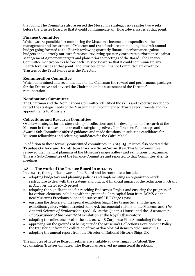that point. The Committee also assessed the Museum's strategic risk register two weeks before the Trustee Board so that it could communicate any Board-level issues at that point.

# **Finance Committee**

Which was responsible for: monitoring the Museum's income and expenditure; the management and investment of Museum and trust funds; recommending the draft annual budget going forward to the Board; reviewing quarterly financial performance against budgets and quarterly out-turn forecasts; reviewing quarterly corporate performance against Management Agreement targets and plans prior to meetings of the Board. The Finance Committee met two weeks before each Trustee Board so that it could communicate any Board- level issues at that point. The Trustees of the Finance Committee are ex-officio Trustees of the Trust Funds as is the Director.

# **Remuneration Committee**

Which determined and recommended to the Chairman the reward and performance packages for the Executive and advised the Chairman on his assessment of the Director's remuneration.

# **Nominations Committee**

The Chairman and the Nominations Committee identified the skills and expertise needed to reflect the strategic needs of the Museum then recommended Trustee recruitments and reappointments to Ministers.

# **Collections and Research Committee**

Oversaw strategies for the stewardship of collections and the development of research at the Museum in the context of its overall strategic objectives. The Trustees Fellowships and Awards Sub-Committee offered guidance and made decisions on selecting candidates for Museum fellowships and selecting candidates for the Caird Medal.

In addition to these formally constituted committees, in 2014–15 Trustees also operated the **Trustee Gallery and Exhibition Finance Sub-Committee**. This Sub-Committee reviewed the financial planning of the Museum's major gallery and exhibitions programme. This is a Sub-Committee of the Finance Committee and reported to that Committee after its meetings.

# **1.8 The work of the Trustee Board in 2014–15**

In 2014–15 the significant work of the Board and its committees included:

- x adopting budgetary and planning policies and implementing an organization-wide restructure to deal with the strategic and practical financial impact of the reductions in Grant in Aid over the 2015–16 period
- x adopting the significant and far-reaching Endeavour Project and ensuring the progress of its various elements including with the grant of a £6m capital loan from DCMS via the new Museums Freedoms pilot and a successful HLF Stage 1 pass
- x ensuring the delivery of the special exhibition *Ships Clocks and Stars* in the special exhibitions gallery which attracted some 95k incremental visitors to the Museum and *The Art and Science of Exploration, 1768–80* at the Queen's House, and the *Astronomy Photographer of the Year 2014* exhibition at the Royal Observatory
- x adopting the milestone level of the new 2014–18 Corporate Plan 'Stimulating Curiosity'.
- x approving, on the grounds of being outside the Museum's Collections Development Policy, the transfer out from the collection of two archaeological items to other museums
- x adopting the annual report from the Director of National Historic Ships UK.

The minutes of Trustee Board meetings are available at www.rmg.co.uk/about/theorganization/trustees/minutes. The Board has received no ministerial directions.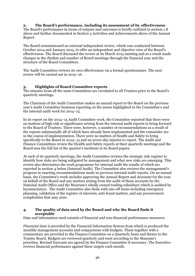# **2. The Board's performance, including its assessment of its effectiveness**

The Board's performance in terms of outputs and outcomes is briefly outlined in section 1.8 above and further documented in Section 3 Activities and Achievements above of the Annual Report.

The Board commissioned an external independent review, which was conducted between October 2014 and January 2015, to offer an independent and objective view of the Board's effectiveness. The Board discussed the review at its March 2015 meeting and as a result made changes to the rhythm and number of Board meetings through the financial year and the structure of the Board Committees.

The Audit Committee reviews its own effectiveness via a formal questionnaire. The next review will be carried out in 2015–16.

# **3. Highlights of Board Committee reports**

The minutes from all the main Committees are circulated to all Trustees prior to the Board's quarterly meetings.

The Chairman of the Audit Committee makes an annual report to the Board on the previous year's Audit Committee business reporting on the issues highlighted in the Committee's and the internal audit work for 2014–15.

In its report on the 2014–15 Audit Committee work, the Committee reported that there were no matters of high risk or significance arising from the internal audit reports to bring forward to the Board of Trustees. There were, however, a number of recommendations as a result of the reports substantially all of which have already been implemented and the remainder are in the course of implementation. There were no matters of Health and Safety to bring specifically to the Board in 2014–15 and no seven-day injuries to report. The Audit and Finance Committees review the Health and Safety reports at their quarterly meetings and the Board sees the full list of the quarter's incidents in its Board papers.

At each of its quarterly meetings, the Audit Committee reviews the strategic risk register to identify how risks are being mitigated by management and what new risks are emerging. This review also determines the work programme for internal audit the results of which are reported in section 4 below (Internal Audit). The Committee also reviews the management's progress in enacting recommendations made in previous internal audit reports. On an annual basis, the Committee's work includes approving the Annual Report and Accounts for the year on behalf of the Board and any matters arising from the audit of those accounts by the National Audit Office and the Museum's wholly owned trading subsidiary which is audited by haysmacintyre. The Audit Committee also deals with one-off items including emergency planning, validation of the register of interests, anti-fraud matters, and any procurement complexities that may arise.

# **4. The quality of data used by the Board and why the Board finds it acceptable**

Data and information used consists of financial and non-financial performance measures.

*Financial data* is provided by the Financial Information System from which is produced the monthly management accounts and comparisons with budgets. These together with a commentary are provided to the Finance Committee on a Quarterly basis and thence to the Trustee Board. Budgets are reviewed quarterly and reset according to the Museum's priorities. Revised forecasts are agreed by the Finance Committee if necessary. The Executive reviews financial performance against these targets each month.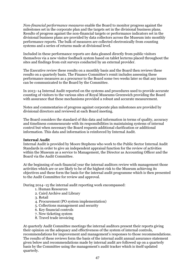*Non-financial performance measures* enable the Board to monitor progress against the milestones set in the corporate plan and the targets set in the divisional business plans. Results of progress against the non-financial targets or performance indicators set in the divisional business plans are provided by data collectors across the Museum into monthly performance reports. The bulk of measures are collected electronically from counting systems and a series of returns made at divisional level.

Included in these performance reports are data gleaned directly from public visitors themselves via a new visitor feedback system based on tablet lecterns placed throughout the sites and findings from exit surveys conducted by an external provider.

The Executive review these results on a monthly basis and the Board then reviews these results on a quarterly basis. The Finance Committee's remit includes assessing these performance measures as a precursor to the Board some two weeks later so that any issues can be communicated to the Board by the Committee.

In 2013–14 Internal Audit reported on the systems and procedures used to provide accurate counting of visitors to the various sites of Royal Museums Greenwich providing the Board with assurance that these mechanisms provided a robust and accurate measurement.

Notes and commentaries of progress against corporate plan milestones are provided by divisional directors and reviewed at each Board meeting.

The Board considers the standard of this data and information in terms of quality, accuracy and timeliness commensurate with its responsibilities in maintaining systems of internal control but when necessary the Board requests additional clarification or additional information. This data and information is reinforced by Internal Audit.

## **Internal Audit**

Internal Audit is provided by Moore Stephens who work to the Public Sector Internal Audit Standards in order to give an independent appraisal function for the review of activities within the Museum as a service to Management, the Director as Accounting Officer and the Board via the Audit Committee.

At the beginning of each financial year the internal auditors review with management those activities which are or are likely to be of the highest risk to the Museum achieving its objectives and these form the basis for the internal audit programme which is then presented to the Audit Committee for review and approval.

During 2014–15 the internal audit reporting work encompassed:

- 1. Human Resources
- 2. Caird Archive and Library
- 3. Retail
- 4. Procurement (PO system implementation)
- 5. Collections management and security
- 6. Key financial controls
- 7. New ticketing system
- 8. Travel trade invoicing

At quarterly Audit Committee meetings the internal auditors present their reports giving their opinion on the adequacy and effectiveness of the system of internal controls, recommendations for improvement and management's responses to those recommendations. The results of these reviews form the basis of the internal audit annual assurance statement given below and recommendations made by internal audit are followed up on a quarterly basis by the Committee using the management's audit tracker which is itself updated quarterly.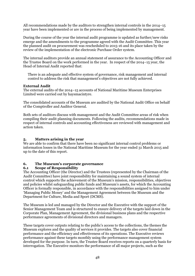All recommendations made by the auditors to strengthen internal controls in the 2014–15 year have been implemented or are in the process of being implemented by management.

During the course of the year the internal audit programme is updated as further/new risks emerge and the amendments to the programme agreed with the Audit Committee. This year the planned audit on procurement was rescheduled to 2015-16 and its place taken by the review of the implementation of the electronic Purchase Order system.

The internal auditors provide an annual statement of assurance to the Accounting Officer and the Trustee Board on the work performed in the year. In respect of the 2014–15 year, the Head of Internal Audit reported that:

There is an adequate and effective system of governance, risk management and internal control to address the risk that management's objectives are not fully achieved.

## **External Audit**

The external audits of the 2014–15 accounts of National Maritime Museum Enterprises Limited were carried out by haysmacintyre.

The consolidated accounts of the Museum are audited by the National Audit Office on behalf of the Comptroller and Auditor General.

Both sets of auditors discuss with management and the Audit Committee areas of risk when compiling their audit planning documents. Following the audits, recommendations made in respect of internal controls and accounting effectiveness are reviewed with management and action taken.

## **5. Matters arising in the year**

We are able to confirm that there have been no significant internal control problems or information losses in the National Maritime Museum for the year ended 31 March 2015 and up to the date of this report.

# **6. The Museum's corporate governance**

## **6.1 Scope of Responsibility**

The Accounting Officer (the Director) and the Trustees (represented by the Chairman of the Audit Committee) have joint responsibility for maintaining a sound system of internal control which supports the achievement of the Museum's mission, responsibilities, objectives and policies whilst safeguarding public funds and Museum's assets, for which the Accounting Officer is formally responsible, in accordance with the responsibilities assigned to him under 'Managing Public Money' and the Management Agreement between the Museum and the Department for Culture, Media and Sport (DCMS).

The Museum is led and managed by the Director and the Executive with the support of the Senior Management Team and is structured to ensure delivery of the targets laid down in the Corporate Plan, Management Agreement, the divisional business plans and the respective performance agreements of divisional directors and managers.

These targets cover outputs relating to the public's access to the collections, the themes the Museum explores and the quality of services it provides. The targets also cover financial performance and the efficiency and effectiveness of its operations. The Executive reviews performance against these targets monthly using the performance management system developed for the purpose. In turn, the Trustee Board receives reports on a quarterly basis for interrogation. The Executive monitors the performance of all major projects, such as the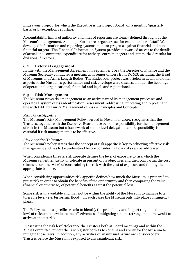Endeavour project (for which the Executive is the Project Board) on a monthly/quarterly basis, or by exception reporting.

Accountability, limits of authority and lines of reporting are clearly defined throughout the Museum's management. Annual performance targets are set for each member of staff. Welldeveloped information and reporting systems monitor progress against financial and nonfinancial targets. The Financial Information System provides networked access to the details of actual and committed expenditure for activity centre managers and summarized results for divisional directors.

# **6.2 External engagement**

In line with the Management Agreement, in September 2014 the Director of Finance and the Museum Secretary conducted a meeting with senior officers from DCMS, including the Head of Museums and Arm's Length Bodies. The Endeavour project was briefed in detail and other aspects of the Museum's performance and risk envelope were discussed under the headings of operational; organizational; financial and legal; and reputational.

# **6.3 Risk Management**

The Museum views risk management as an active part of its management processes and operates a system of risk identification, assessment, addressing, reviewing and reporting in line with HM Treasury's Management of Risk – Principles and Concepts.

# *Risk Policy/Appetite*

The Museum's Risk Management Policy, agreed in November 2009, recognizes that the Trustees, together with the Executive Board, have overall responsibility for the management of risk in the Museum but a framework of senior level delegation and responsibility is essential if risk management is to be effective.

## *Risk Appetite/Tolerance*

The Museum's policy states that the concept of risk appetite is key to achieving effective risk management and has to be understood before considering how risks can be addressed.

When considering threats, risk appetite defines the level of exposure to risk which the Museum can either justify or tolerate in pursuit of its objectives and then comparing the cost (financial or otherwise) of constraining the risk with the cost of exposure and finding the appropriate balance.

When considering opportunities risk appetite defines how much the Museum is prepared to put at risk in order to obtain the benefits of the opportunity and then comparing the value (financial or otherwise) of potential benefits against the potential loss.

Some risk is unavoidable and may not be within the ability of the Museum to manage to a tolerable level (e.g. terrorism, flood). In such cases the Museum puts into place contingency plans.

The Policy includes specific criteria to identify the probability and impact (high, medium and low) of risks and to evaluate the effectiveness of mitigating actions (strong, medium, weak) to arrive at the net risk.

In assessing the risk level/tolerance the Trustees both at Board meetings and within the Audit Committee, review the risk register both as to content and ability for the Museum to mitigate those risks. In addition, any activities of an unusual nature are considered by Trustees before the Museum is exposed to any significant risk.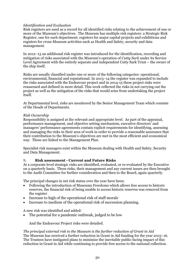# *Identification and Evaluation*

Risk registers are used as a record for all identified risks relating to the achievement of one or more of the Museum's objectives. The Museum has multiple risk registers: a Strategic Risk Register; one for each department; registers for major capital projects and exhibitions and registers for cross-Museum activities such as Health and Safety, security and data management.

In 2012–13 an additional risk register was introduced for the identification, recording and mitigation of risks associated with the Museum's operation of *Cutty Sark* under its Service Level Agreement with the entirely separate and independent Cutty Sark Trust – the owner of the ship itself.

Risks are usually classified under one or more of the following categories: operational, environmental, financial and reputational. In 2013–14 the register was expanded to include the risks associated with the Endeavour project and in 2014-15 these project risks were reassessed and defined in more detail. This work reflected the risks in not carrying out the project as well as the mitigation of the risks that would arise from undertaking the project itself.

At Departmental level, risks are monitored by the Senior Management Team which consists of the Heads of Departments.

# *Risk Ownership*

Responsibility is assigned at the relevant and appropriate level. As part of the appraisal, performance management, and objective setting mechanism, executive directors' and managers' performance agreements contain explicit requirements for identifying, assessing and managing the risks in their area of work in order to provide a reasonable assurance that their contribution to the Museum's objectives are met in the most efficient and economical way. These are linked to the Management Plan.

Specialist risk managers exist within the Museum dealing with Health and Safety, Security and Data Management.

# **7. Risk assessment - Current and Future Risks**

At a corporate level strategic risks are identified, evaluated, or re-evaluated by the Executive on a quarterly basis. These risks, their management and any current issues are then brought to the Audit Committee for further consideration and then to the Board, again quarterly.

The principal changes in net risk status over the year have been:

- x Following the introduction of Museums Freedoms which allows free access to historic reserves, the financial risk of being unable to access historic reserves was removed from the register
- x Increase to high of the operational risk of staff morale
- Increase to medium of the operational risk of succession planning.

A new risk was identified and added:

The potential for a pandemic outbreak, judged to be low

And the Endeavour Project risks were detailed.

*The principal external risk to the Museum is the further reduction of Grant in Aid*  The Museum has received a further reduction in Grant in Aid funding for the year 2015–16. The Trustees have instigated plans to minimize the inevitable public-facing impact of this reduction in Grant in Aid while continuing to provide free access to the national collection.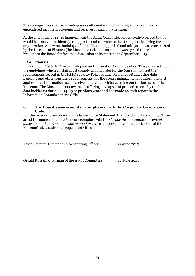The strategic importance of finding more efficient ways of working and growing selfengendered income is on-going and receives maximum attention.

At the end of the 2014–15 financial year the Audit Committee and Executive agreed that it would be timely to re-identify, re-appraise and re-evaluate the strategic risks facing the organization. A new methodology of identification, appraisal and mitigation was constructed by the Director of Finance (the Museum's risk sponsor) and it was agreed this would be brought to the Board for focussed discussion at its meeting in September 2015.

## *Information risk*

In December 2010 the Museum adopted an Information Security policy. This policy sets out the guidelines which all staff must comply with in order for the Museum to meet the requirements set out in the HMG Security Policy Framework of 2008 and other data handling and other legislative requirements, for the secure management of information. It applies to all information used, received or created whilst carrying out the business of the Museum. The Museum is not aware of suffering any lapses of protective security (including data incidents) during 2014–15 or previous years and has made no such report to the Information Commissioner's Office.

## **8. The Board's assessment of compliance with the Corporate Governance Code**

For the reasons given above in this Governance Statement, the Board and Accounting Officer are of the opinion that the Museum complies with the *Corporate governance in central government departments: code of good practice* as appropriate for a public body of the Museum's size, scale and scope of activities.

| Kevin Fewster, Director and Accounting Officer  | 22 June 2015 |
|-------------------------------------------------|--------------|
|                                                 |              |
|                                                 |              |
| Gerald Russell, Chairman of the Audit Committee | 22 June 2015 |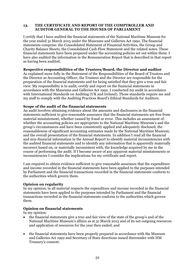# **13. THE CERTIFICATE AND REPORT OF THE COMPTROLLER AND AUDITOR GENERAL TO THE HOUSES OF PARLIAMENT**

I certify that I have audited the financial statements of the National Maritime Museum for the year ended 31 March 2015 under the Museums and Galleries Act 1992. The financial statements comprise: the Consolidated Statement of Financial Activities, the Group and Charity Balance Sheets, the Consolidated Cash Flow Statement and the related notes. These financial statements have been prepared under the accounting policies set out within them. I have also audited the information in the Remuneration Report that is described in that report as having been audited.

# **Respective responsibilities of the Trustees/Board, the Director and auditor**

As explained more fully in the Statement of the Responsibilities of the Board of Trustees and the Director as Accounting Officer, the Trustees and the Director are responsible for the preparation of the financial statements and for being satisfied that they give a true and fair view. My responsibility is to audit, certify and report on the financial statements in accordance with the Museums and Galleries Act 1992. I conducted my audit in accordance with International Standards on Auditing (UK and Ireland). Those standards require me and my staff to comply with the Auditing Practices Board's Ethical Standards for Auditors.

# **Scope of the audit of the financial statements**

An audit involves obtaining evidence about the amounts and disclosures in the financial statements sufficient to give reasonable assurance that the financial statements are free from material misstatement, whether caused by fraud or error. This includes an assessment of: whether the accounting policies are appropriate to the National Maritime Museum's and the group's circumstances and have been consistently applied and adequately disclosed; the reasonableness of significant accounting estimates made by the National Maritime Museum; and the overall presentation of the financial statements. In addition I read all the financial and non-financial information in the Annual Report to identify material inconsistencies with the audited financial statements and to identify any information that is apparently materially incorrect based on, or materially inconsistent with, the knowledge acquired by me in the course of performing the audit. If I become aware of any apparent material misstatements or inconsistencies I consider the implications for my certificate and report.

I am required to obtain evidence sufficient to give reasonable assurance that the expenditure and income recorded in the financial statements have been applied to the purposes intended by Parliament and the financial transactions recorded in the financial statements conform to the authorities which govern them.

# **Opinion on regularity**

In my opinion, in all material respects the expenditure and income recorded in the financial statements have been applied to the purposes intended by Parliament and the financial transactions recorded in the financial statements conform to the authorities which govern them.

# **Opinion on financial statements**

In my opinion:

- x the financial statements give a true and fair view of the state of the group's and of the National Maritime Museum's affairs as at 31 March 2015 and of its net outgoing resources and application of resources for the year then ended; and
- the financial statements have been properly prepared in accordance with the Museum and Galleries Act 1992 and Secretary of State directions issued thereunder with HM Treasury's consent.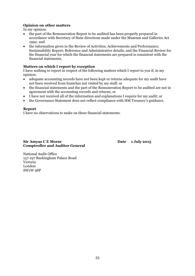# **Opinion on other matters**

In my opinion:

- the part of the Remuneration Report to be audited has been properly prepared in accordance with Secretary of State directions made under the Museum and Galleries Act 1992; and
- the information given in the Review of Activities, Achievements and Performance; Sustainability Report; Reference and Administrative details; and the Financial Review for the financial year for which the financial statements are prepared is consistent with the financial statements.

# **Matters on which I report by exception**

I have nothing to report in respect of the following matters which I report to you if, in my opinion:

- adequate accounting records have not been kept or returns adequate for my audit have not been received from branches not visited by my staff; or
- x the financial statements and the part of the Remuneration Report to be audited are not in agreement with the accounting records and returns; or
- I have not received all of the information and explanations I require for my audit; or
- the Governance Statement does not reflect compliance with HM Treasury's guidance.

# **Report**

I have no observations to make on these financial statements.

# **Sir Amyas C E Morse** Date 1 July 2015 **Comptroller and Auditor General**

National Audit Office 157-197 Buckingham Palace Road Victoria London SW1W 9SP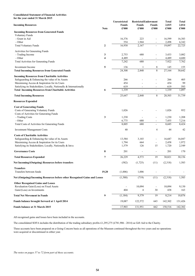# **Consolidated Statement of Financial Activities**

| for the year ended 31 March 2015 |  |  |  |
|----------------------------------|--|--|--|
|----------------------------------|--|--|--|

|                                                                            |                | <b>Unrestricted</b>   | <b>Restricted Endowment</b> |                                                   | <b>Total</b>   | <b>Total</b>   |
|----------------------------------------------------------------------------|----------------|-----------------------|-----------------------------|---------------------------------------------------|----------------|----------------|
| <b>Incoming Resources</b>                                                  | <b>Note</b>    | <b>Funds</b><br>£'000 | <b>Funds</b><br>£'000       | <b>Funds</b><br>$\pmb{\pounds}^{\pmb{\cdot}} 000$ | 2,015<br>£'000 | 2,014<br>£'000 |
| <b>Incoming Resources from Generated Funds</b>                             |                |                       |                             |                                                   |                |                |
| <b>Voluntary Funds</b>                                                     |                |                       |                             |                                                   |                |                |
| - Grant in Aid                                                             |                | 16,376                | 223                         | ÷,                                                | 16,599         | 16,383         |
| - Other                                                                    |                | 554                   | 1,944                       | $\overline{\phantom{a}}$                          | 2,498          | 6,342          |
| <b>Total Voluntary Funds</b>                                               | $\mathbf{2}$   | 16,930                | 2,167                       | $\overline{\phantom{a}}$                          | 19,097         | 22,725         |
| Activities for Generating Funds                                            |                |                       |                             |                                                   |                |                |
| - Trading Income                                                           | 3              | 2,753                 | 680                         |                                                   | 3,433          | 3,082          |
| - Other                                                                    | 4              | 4,489                 |                             |                                                   | 4,489          | 4,680          |
| <b>Total Activities for Generating Funds</b>                               |                | 7,242                 | 680                         | L,                                                | 7,922          | 7,762          |
| Investment Income                                                          | 5              | 136                   |                             | 8                                                 | 145            | 155            |
| <b>Total Incoming Resources from Generated Funds</b>                       |                | 24,308                | 2,848                       | $\,$ 8 $\,$                                       | 27,164         | 30,642         |
| <b>Incoming Resources from Charitable Activities</b>                       |                |                       |                             |                                                   |                |                |
| Safeguarding & Enhancing the value of its Assets                           |                | 266                   |                             |                                                   | 266            | 405            |
| Maximising Access & Inspiration for its Users                              |                | 454                   |                             |                                                   | 454            | 99             |
| Satisfying its Stakeholders; Locally, Nationally & Internationally         |                | 619                   |                             |                                                   | 619            | 593            |
| <b>Total Incoming Resources from Charitable Activities</b>                 | 6              | 1,339                 |                             | L,                                                | 1,339          | 1,097          |
| <b>Total Incoming Resources</b>                                            |                | 25,647                | 2,848                       | 8                                                 | 28,503         | 31,739         |
| <b>Resources Expended</b>                                                  |                |                       |                             |                                                   |                |                |
| <b>Cost of Generating Funds</b>                                            |                |                       |                             |                                                   |                |                |
| Costs of Generating Voluntary Funds                                        |                | 1,026                 |                             | ÷,                                                | 1,026          | 952            |
| Costs of Activities for Generating Funds                                   |                |                       |                             |                                                   |                |                |
| - Trading Costs                                                            | 3              | 1,230                 |                             |                                                   | 1,230          | 1,208          |
| - Other                                                                    |                | 6,775                 | 680                         | $\overline{\phantom{a}}$                          | 7,455          | 7,216          |
| Total Costs of Activities for Generating Funds                             |                | 8,005                 | 680                         | $\overline{\phantom{a}}$                          | 8,685          | 8,424          |
| <b>Investment Management Costs</b>                                         |                | 40                    |                             | $\overline{4}$                                    | 44             | 42             |
| <b>Costs of Charitable Activities</b>                                      |                |                       |                             |                                                   |                |                |
| Safeguarding & Enhancing the value of its Assets                           |                | 13,584                | 3,103                       | ÷,                                                | 16,687         | 16,047         |
| Maximising Access & Inspiration for its Users                              |                | 1,794                 | 664                         | $\blacksquare$                                    | 2,458          | 1,972          |
| Satisfying its Stakeholders; Locally, Nationally & Inteu                   |                | 1,579                 | 126                         | 15                                                | 1,720          | 2,549          |
| <b>Governance Costs</b>                                                    | 8              | 201                   | ÷,                          | L,                                                | 201            | 170            |
| <b>Total Resources Expended</b>                                            | $\overline{7}$ | 26,229                | 4,573                       | 19                                                | 30,821         | 30,156         |
| Net Incoming/(Outgoing) Resources before transfers                         |                | (582)                 | (1,725)                     | (11)                                              | (2,318)        | 1,583          |
| <b>Transfers</b>                                                           |                |                       |                             |                                                   |                |                |
| Transfers between funds                                                    | 19,20          | (1,006)               | 1,006                       |                                                   |                |                |
| Net (Outgoing)/Incoming Resources before other Recognised Gains and Losses |                | (1, 588)              | (719)                       | (11)                                              | (2,318)        | 1,583          |
| <b>Other Recognised Gains and Losses</b>                                   |                |                       |                             |                                                   |                |                |
| Revaluation Gain/(Loss) on Fixed Assets                                    |                |                       | 10,094                      | $\blacksquare$                                    | 10,094         | 9,130          |
| Gain/(Loss) on Investments                                                 |                | 404                   | 4                           | 30                                                | 438            | 163            |
| <b>Total Net Movement in Funds</b>                                         | 9              | (1, 184)              | 9,379                       | 19                                                | 8,214          | 10,876         |
| Funds balance brought forward at 1 April 2014                              |                | 19,087                | 122,572                     | 643                                               | 142,302        | 131,426        |
| Funds balance at 31 March 2015                                             |                | 17,903                | 131,951                     | 662                                               | 150,516        | 142,302        |
|                                                                            |                |                       |                             |                                                   |                |                |

All recognised gains and losses have been included in the accounts.

The consolidated SOFA includes the distribution of the trading subsidiary profits £1,295,275 (£781,906 - 2014) as Gift Aid to the Charity.

These accounts have been prepared on a Going Concern basis as all operations of the Museum continued throughout the two years and no operations were acquired or discontinued in either year.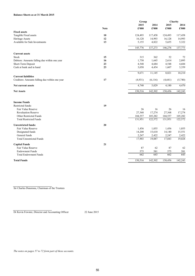## **Balance Sheets as at 31 March 2015**

|                                                |             | Group   |         | Charity |         |  |
|------------------------------------------------|-------------|---------|---------|---------|---------|--|
|                                                |             | 2015    | 2014    | 2015    | 2014    |  |
|                                                | <b>Note</b> | £'000   | £'000   | £'000   | £'000   |  |
| <b>Fixed assets</b>                            |             |         |         |         |         |  |
| Tangible Fixed assets                          | 10          | 124,493 | 117,458 | 124,493 | 117,458 |  |
| Heritage Assets                                | 12          | 16,128  | 14,993  | 16,128  | 14,993  |  |
| Available for Sale Investments                 | 13          | 5,155   | 4,822   | 5,655   | 5,322   |  |
|                                                |             | 145,776 | 137,273 | 146,276 | 137,773 |  |
| <b>Current assets</b>                          |             |         |         |         |         |  |
| Stock                                          | 15          | 315     | 362     | 52      | 72      |  |
| Debtors: Amounts falling due within one year   | 16          | 1,750   | 1,645   | 2,614   | 2,095   |  |
| Short-Term Deposit                             | 23          | 4,548   | 4,684   | 4,548   | 4,684   |  |
| Cash at bank and in hand                       | 23          | 3,058   | 4,454   | 1,607   | 3,359   |  |
|                                                |             | 9,671   | 11,145  | 8,821   | 10,210  |  |
| <b>Current liabilities</b>                     |             |         |         |         |         |  |
| Creditors: Amounts falling due within one year | 17          | (4,931) | (6,116) | (4,641) | (5,740) |  |
| Net current assets                             |             | 4,740   | 5,029   | 4,180   | 4,470   |  |
| <b>Net Assets</b>                              |             | 150,516 | 142,302 | 150,456 | 142,243 |  |
|                                                |             |         |         |         |         |  |
| <b>Income Funds</b>                            |             |         |         |         |         |  |
| Restricted funds:                              | 19          |         |         |         |         |  |
| Fair Value Reserve                             |             | 26      | 16      | 26      | 16      |  |
| <b>Revaluation Reserve</b>                     |             | 27,368  | 17,274  | 27,368  | 17,274  |  |
| Other Restricted Funds                         |             | 104,557 | 105,282 | 104,557 | 105,282 |  |
| <b>Total Restricted Funds</b>                  |             | 131,951 | 122,572 | 131,951 | 122,572 |  |
| <b>Unrestricted funds:</b>                     | 20          |         |         |         |         |  |
| Fair Value Reserve                             |             | 1,456   | 1,055   | 1,456   | 1,055   |  |
| Designated funds                               |             | 14,200  | 15,610  | 14,140  | 15,551  |  |
| General funds                                  |             | 2,247   | 2,422   | 2,247   | 2,422   |  |
| <b>Total Unrestricted Funds</b>                |             | 17,903  | 19,087  | 17,843  | 19,028  |  |
| <b>Capital Funds</b>                           | 21          |         |         |         |         |  |
| Fair Value Reserve                             |             | 87      | 62      | 87      | 62      |  |
| <b>Endowment Funds</b>                         |             | 575     | 581     | 575     | 581     |  |
| <b>Total Endowment Funds</b>                   |             | 662     | 643     | 662     | 643     |  |
| <b>Total Funds</b>                             |             | 150,516 | 142,302 | 150,456 | 142,243 |  |

Sir Charles Dunstone, Chairman of the Trustees

Dr Kevin Fewster, Director and Accounting Officer 22 June 2015

*The notes on pages 57 to 72 form part of these accounts.*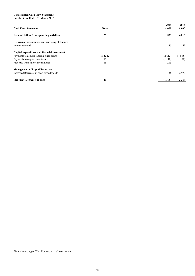## **Consolidated Cash Flow Statement For the Year Ended 31 March 2015**

| <b>Cash Flow Statement</b>                                           | <b>Note</b> | 2015<br>£'000 | 2014<br>£'000 |
|----------------------------------------------------------------------|-------------|---------------|---------------|
| Net cash inflow from operating activities                            | 23          | 830           | 6,813         |
| Returns on investments and servicing of finance<br>Interest received |             | 145           | 155           |
| Capital expenditure and financial investment                         |             |               |               |
| Payments to acquire tangible fixed assets                            | 10 & 12     | (2,612)       | (7, 555)      |
| Payments to acquire investments                                      | 13          | (1,110)       | (1)           |
| Proceeds from sale of investments                                    | 13          | 1,215         |               |
| <b>Management of Liquid Resources</b>                                |             |               |               |
| Increase/(Decrease) in short term deposits                           |             | 136           | 2,972         |
| Increase/ (Decrease) in cash                                         | 23          | (1,396)       | 2,384         |

*The notes on pages 57 to 72 form part of these accounts.*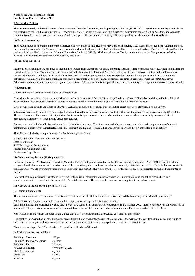## **Notes to the Consolidated Accounts For the Year Ended 31 March 2015**

## **1 Accounting Policies**

The accounts comply with the Statement of Recommended Practice: Accounting and Reporting by Charities (SORP 2005), applicable accounting standards, the requirements of the HM Treasury's Financial Reporting Manual, Charities Act 2011 and in the case of the subsidiary the Companies Act 2006, and Accounts Direction issued by the Department for Culture, Media and Sport. The particular accounting policies adopted by the Museum are described below.

### **(a) Basis of accounting**

The accounts have been prepared under the historical cost convention as modified by the revaluation of tangible fixed assets and the required valuation methods for financial instruments. The Museum (Group) accounts includes the three Trusts (The Caird Fund, The Development Fund and The No. 3 Trust Fund) and the trading subsidiary, National Maritime Museum Enterprises Limited (NMME). All figures shown as Charity are comprised of the Group results excluding NMME. The accounts are consolidated on a line-by-line basis.

## **(b) Incoming resources**

Income is classified under the headings of Incoming Resources from Generated Funds and Incoming Resources from Charitable Activities. Grant-in-aid from the Department for Culture, Media and Sport is recognised in the Statement of Financial Activities in the year that it is received. Lottery and grant income is recognised when the conditions for its receipt have been met. Donations are recognised on a receipts basis unless there is earlier certainty of amount and entitlement. Commercial income including sponsorship is recognised upon performance of services rendered in accordance with the contractual terms. Admissions and membership income is recognised as received. All other income is recognised where there is certainty of receipt and the amount is quantifiable.

### **(c) Expenditure**

All expenditure has been accounted for on an accruals basis.

Expenditure is matched to the income classifications under the headings of Costs of Generating Funds and Costs of Charitable Activities with the additional classification of Governance rather than the type of expense in order to provide more useful information to users of the accounts.

Costs of Generating Funds and Costs of Charitable Activities comprise direct expenditure including direct staff costs attributable to the activity.

Where costs are unable to be directly attributed they are allocated to activities on a basis consistent with use of the resources in accordance with SORP 2005. The use of resources for costs not directly attributable to an activity are allocated in accordance with resource use (based on activity income and direct expenditure divided by total income and direct expenditure).

Governance costs include audit fees and a portion of administration costs. The Governance administration costs are calculated as a percentage of the total administration costs for the Directorate, Finance Department and Human Resources Department which are not directly attributable to an activity.

This allocation includes an apportionment for the following expenditure:

Salaries - including Pensions and Social Security Staff Recruitment Staff Training and Development Professional Consultancy Fees Professional Legal Fees

### **(d) Collection acquisitions (Heritage Assets)**

In accordance with H.M. Treasury's Reporting Manual, additions to the collections (that is, heritage assets), acquired since 1 April 2001 are capitalised and recognised in the balance sheet at the cost or value of the acquisition, where such cost or value is reasonably obtainable and reliable. Objects that are donated to the Museum are valued by curators based on their knowledge and market value where available. Heritage assets are not depreciated or revalued as a matter of routine.

In respect of the collections that existed at 31 March 2001, reliable information on cost or valuation is not available and cannot be obtained at a cost commensurate with the benefits to the users of the financial statements. Therefore such assets are not recognised in the balance sheet.

An overview of the collection is given in Note 12.

### **(e) Tangible fixed assets**

The Museum capitalises the purchase of assets which cost more than £1,000 and which have lives beyond the financial year in which they are bought.

All fixed assets are reported at cost less accumulated depreciation, except in the following instance: Land and buildings are professionally fully valued every five years; a full valuation was undertaken as at 31 March 2012. In the years between full valuations of land and buildings a review based revaluation is undertaken. The next full valuation is due to be undertaken for the year ended 31 March 2017.

No revaluation is undertaken for other tangible fixed assets as it is considered that depreciated cost value is appropriate.

Depreciation is provided on all tangible assets, except freehold land and heritage assets, at rates calculated to write off the cost less estimated residual value of each asset on a straight line basis. For assets under construction, depreciation is not charged until the asset has come into use.

Fixed assets are depreciated from the date of acquisition to the date of disposal.

Indicative asset lives are as follows:

| Buildings - Structure         | 100 years           |
|-------------------------------|---------------------|
| Buildings - Plant & Machinery | 20 years            |
| Buildings - Fit out           | 20 years            |
| <b>Fixtures</b> and fittings  | 4 years or 10 years |
| Plant & Equipment             | 4 years             |
| Computers                     | 4 years             |
| Vehicles                      | 4 years             |
|                               |                     |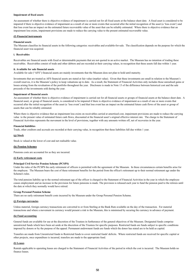### **Impairment of fixed assets**

An assessment of whether there is objective evidence of impairment is carried out for all fixed assets at the balance sheet date. A fixed asset is considered to be impaired if there is objective evidence of impairment as a result of one or more events that occurred after the initial recognition of the asset (a 'loss event') and that loss event has an impact on the estimated future recoverable value of the asset that can be reliably estimated. Where there is objective evidence that an impairment loss exists, impairment provisions are made to reduce the carrying value to the present estimated recoverable value.

### **(f) Financial instruments**

### **Financial assets**

The Museum classifies its financial assets in the following categories: receivables and available-for-sale. The classification depends on the purpose for which the financial asset was acquired.

### **i. Receivables**

Receivables are financial assets with fixed or determinable payments that are not quoted in an active market. The Museum has no intention of trading these receivables. Receivables consist of trade and other debtors and are recorded at their carrying values, in recognition that these assets fall due within 1 year.

#### **ii. Available for sale financial assets**

Available for sale ("AFS") financial assets are mainly investments that the Museum does not plan to hold until maturity.

Investments that are treated as AFS financial assets are stated at fair value (market value). Given that these investments are small in relation to the Museum's overall reserves, it is the Museum's policy to keep valuations up to date. As a result, the Statement of Financial Activities only includes those unrealised gains or losses arising from the revaluation of the portfolio throughout the year. Disclosure is made in Note 13 of the difference between historical cost and the sale proceeds of the investments sold during the year.

### **Impairment of financial assets**

An assessment of whether there is objective evidence of impairment is carried out for all financial assets or groups of financial assets at the balance sheet date. A financial asset, or group of financial assets, is considered to be impaired if there is objective evidence of impairment as a result of one or more events that occurred after the initial recognition of the asset (a 'loss event') and that loss event has an impact on the estimated future cash flows of the asset or group of assets that can be reliably estimated.

Where there is objective evidence that an impairment loss exists on receivables carried at amortised cost, impairment provisions are made to reduce the carrying value to the present value of estimated future cash flows, discounted at the financial asset's original effective interest rate. The charge to the Statement of Financial Activities represents the movement in the level of provisions, together with any amounts written off, net of recoveries in the year.

#### **Financial liabilities**

Trade, other creditors and accruals are recorded at their carrying value, in recognition that these liabilities fall due within 1 year.

#### **(g) Stock**

Stock is valued at the lower of cost and net realisable value.

## **(h) Pension Schemes**

Pensions costs are accounted for as they are incurred.

### **(i) Early retirement costs**

### **Principal Civil Service Pension Scheme (PCSPS)**

Under the rules of the PCSPS the early retirement of officers is permitted with the agreement of the Museum. In these circumstances certain benefits arise for the employee. The Museum bears the cost of these retirement benefits for the period from the officer's retirement up to their normal retirement age under the Scheme's rules.

The total pension liability up to the normal retirement age of the officer is charged to the Statement of Financial Activities in the year in which the employee ceases employment and an increase in the provision for future pensions is made. The provision is released each year to fund the pension paid to the retirees until the date at which they normally would have retired.

### **Group Personal Pension Scheme**

There are no early retirement benefit costs incurred by the Museum under the Group Personal Pension Scheme.

### **(j) Foreign currencies**

Unless material, foreign currency transactions are converted to or from Sterling at the Bank Rate available on the day of the transaction. For material transactions and where a movement in currency would present a risk to the Museum, this is minimised by securing the currency in advance of payment.

#### **(k) Fund accounting**

General funds are available for use at the discretion of the Trustees in furtherance of the general objectives of the Museum. Designated funds comprise unrestricted funds which have been set aside at the discretion of the Trustees for specific purposes. Restricted funds are funds subject to specific conditions imposed by donors or by the purpose of the appeal. Permanent endowment funds are funds which the donor has stated are to be held as capital.

Transfers are made from Unrestricted funds to Restricted funds to cover restricted funds' deficits. Where restricted funds are received for specific capital or other projects, once expenditure is incurred, transfers are made to the appropriate fund.

#### **(l) Leases**

Rentals applicable to operating leases are charged to the Statement of Financial Activities of the period in which the cost is incurred. The Museum holds no finance leases.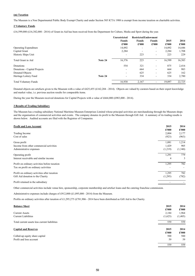## **(m) Taxation**

The Museum is a Non Departmental Public Body Exempt Charity and under Section 505 ICTA 1988 is exempt from income taxation on charitable activities.

## **2 Voluntary Funds**

£16,599,000 (£16,382,000 - 2014) of Grant-in-Aid has been received from the Department for Culture, Media and Sport during the year.

|                              |         | <b>Unrestricted</b> | <b>Restricted Endowment</b> |                          |        |               |
|------------------------------|---------|---------------------|-----------------------------|--------------------------|--------|---------------|
|                              |         | <b>Funds</b>        | <b>Funds</b>                | <b>Funds</b>             | 2015   | 2014          |
|                              |         | £'000               | £'000                       | £'000                    | £'000  | $\pounds 000$ |
| <b>Operating Expenditure</b> |         | 14,092              | ۰                           | Ξ.                       | 14,092 | 14,446        |
| Capital Grant                |         | 2,284               |                             | ۰                        | 2,284  | 1,708         |
| Historic Ships Unit          |         | -                   | 223                         | ۰                        | 223    | 229           |
| Total Grant in Aid           | Note 24 | 16,376              | 223                         | $\overline{\phantom{0}}$ | 16,599 | 16,383        |
| Donations                    |         | 554                 | 321                         | ۰                        | 875    | 2,416         |
| Donations - Capital Projects |         | -                   | 664                         | ۰                        | 664    | 983           |
| Donated Objects              |         | ۰.                  | 625                         | ۰                        | 625    | 162           |
| Heritage Lottery Fund        | Note 24 | ۰                   | 334                         | ۰                        | 334    | 2,780         |
| <b>Total Voluntary Funds</b> |         | 16,930              | 2,167                       |                          | 19,097 | 22,725        |

Donated objects are artefacts given to the Museum with a value of £625,455 (£162,204 - 2014). Objects are valued by curators based on their expert knowledge and market value, i.e. previous auction results for comparable items.

During the year the Museum received donations for Capital Projects with a value of £664,000 (£983,000 - 2014).

## **3 Results of Trading Subsidiary**

The Museum has a trading subsidiary National Maritime Museum Enterprises Limited whose principal activities are merchandising through the Museum shops and the organisation of commercial activities and events. The company donates its profit to the Museum through Gift Aid. A summary of its trading results is shown below. Audited accounts are filed with the Registrar of Companies.

| <b>Profit and Loss Account</b>                | 2015<br>£'000 | 2014<br>£'000 |
|-----------------------------------------------|---------------|---------------|
| Trading Income                                | 2,004         | 2,177         |
| Cost of sales                                 | (923)         | (963)         |
| Gross profit                                  | 1,081         | 1,214         |
| Income from other commercial activities       | 1,429         | 905           |
| Administrative expenses                       | (1,219)       | (1,340)       |
| Operating profit                              | 1,291         | 779           |
| Interest receivable and similar income        | 4             | 3             |
| Profit on ordinary activities before taxation | 1,295         | 782           |
| Tax on profit on ordinary activities          |               |               |
| Profit on ordinary activities after taxation  | 1,295         | 782           |
| Gift Aid donation to the Charity              | (1,295)       | (782)         |
| Profit retained in the subsidiary             |               |               |

Other commercial activities include venue hire, sponsorship, corporate membership and artefact loans and the catering franchise commission.

Administrative expenses include charges of £912,000 (£1,095,000 - 2014) from the Museum.

Profits on ordinary activities after taxation of £1,295,275 (£781,906 - 2014 have been distributed as Gift Aid to the Charity.

| <b>Balance Sheet</b>                          | 2015    | 2014    |
|-----------------------------------------------|---------|---------|
|                                               | £'000   | £'000   |
| <b>Current Assets</b>                         | 2,184   | 1,964   |
| <b>Current Liabilities</b>                    | (1,625) | (1,405) |
| Total current assets less current liabilities | 559     | 559     |
| <b>Capital and Reserves</b>                   | 2015    | 2014    |
|                                               | £'000   | £'000   |
| Called-up equity share capital                | 500     | 500     |
| Profit and loss account                       | 59      | 59      |
|                                               | 559     | 559     |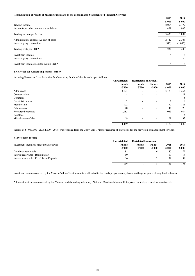## **Reconciliation of results of trading subsidiary to the consolidated Statement of Financial Activities**

|                                            | 2015  | 2014    |
|--------------------------------------------|-------|---------|
|                                            | £'000 | £'000   |
| Trading income                             | 2,004 | 2,177   |
| Income from other commercial activities    | 1,429 | 905     |
| Trading income per SOFA                    | 3,433 | 3,082   |
| Administrative expenses $\&$ cost of sales | 2,142 | 2,303   |
| Intercompany transactions                  | (912) | (1,095) |
| Trading costs per SOFA                     | 1,230 | 1,208   |
| Investment income                          | 4     | 3       |
| Intercompany transactions                  |       |         |
| Investment income included within SOFA     | 4     | 3       |

## **4 Activities for Generating Funds - Other**

Incoming Resources from Activities for Generating Funds - Other is made up as follows:

|                     | <b>Unrestricted</b> | <b>Restricted Endowment</b> |              |       |       |
|---------------------|---------------------|-----------------------------|--------------|-------|-------|
|                     | <b>Funds</b>        | <b>Funds</b>                | <b>Funds</b> | 2015  | 2014  |
|                     | £'000               | £'000                       | £'000        | £'000 | £'000 |
| Admissions          | 3,123               | $\overline{\phantom{a}}$    | ۰.           | 3,123 | 3,254 |
| Compensation        |                     |                             |              |       | 21    |
| Donations           | -                   |                             |              | ۰     | 5     |
| Event Attendance    | $\mathcal{D}$       | $\overline{\phantom{a}}$    | ۰            | C     | 8     |
| Membership          | 172                 | $\overline{\phantom{a}}$    | ۰            | 172   | 183   |
| Publications        | 40                  | -                           | ۰            | 40    | 28    |
| Recharged expenses  | 1,083               |                             | ۰            | 1,083 | 1,084 |
| Royalties           | ۰                   |                             |              | ۰     | 5     |
| Miscellaneous Other | 69                  | $\overline{\phantom{a}}$    | ۰            | 69    | 92    |
|                     | 4,489               |                             | -            | 4,489 | 4,680 |

Income of £1,083,000 (£1,084,000 - 2014) was received from the Cutty Sark Trust for recharge of staff costs for the provision of management services.

| <b>5 Investment Income</b>                |                     |                             |                          |       |       |
|-------------------------------------------|---------------------|-----------------------------|--------------------------|-------|-------|
|                                           | <b>Unrestricted</b> | <b>Restricted Endowment</b> |                          |       |       |
| Investment income is made up as follows:  | <b>Funds</b>        | <b>Funds</b>                | <b>Funds</b>             | 2015  | 2014  |
|                                           | £'000               | £'000                       | £'000                    | £'000 | £'000 |
| Dividends receivable                      | 81                  | $\overline{\phantom{0}}$    | 6                        | 87    | 79    |
| Interest receivable - Bank interest       | 19                  |                             | $\overline{\phantom{a}}$ | 19    | 18    |
| Interest receivable - Fixed Term Deposits | 36                  |                             |                          | 39    | 58    |
|                                           | 136                 |                             |                          | 145   | 155   |

Investment income received by the Museum's three Trust accounts is allocated to the funds proportionately based on the prior year's closing fund balances.

All investment income received by the Museum and its trading subsidiary, National Maritime Museum Enterprises Limited, is treated as unrestricted.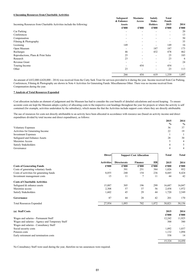## **6 Incoming Resources from Charitable Activities**

|                                                                      | Safeguard<br>& Enhance | <b>Maximise</b><br>Access | <b>Satisfy</b><br>Stake- | Total<br><b>Funds</b>    |               |
|----------------------------------------------------------------------|------------------------|---------------------------|--------------------------|--------------------------|---------------|
| Incoming Resources from Charitable Activities include the following: | Assets<br>£'000        | $\pounds 000$             | <b>Holders</b><br>£'000  | 2015<br>£'000            | 2014<br>£'000 |
| Car Parking                                                          | ۰                      |                           |                          |                          | 20            |
| Conferences                                                          | -                      |                           |                          | $\overline{\phantom{a}}$ | 13            |
| Compensation                                                         |                        | ۰.                        |                          | -                        | 50            |
| Filming & Photography                                                |                        | ۰.                        |                          | -                        | 35            |
| Licensing                                                            | 149                    | -                         |                          | 149                      | 16            |
| Open Museum                                                          |                        |                           | 187                      | 187                      | 173           |
| Recharges                                                            | 46                     | ۰                         | 432                      | 478                      | 462           |
| Reproductions, Plans & Print Sales                                   | 25                     | ۰                         | $\overline{\phantom{a}}$ | 25                       | 185           |
| Research                                                             | 23                     |                           | ۰                        | 23                       | 6             |
| Revenue Grant                                                        |                        |                           | $\overline{\phantom{0}}$ |                          | 24            |
| Touring Income                                                       |                        | 454                       | ۰                        | 454                      |               |
| Other                                                                | 23                     |                           |                          | 23                       | 113           |
|                                                                      | 266                    | 454                       | 619                      | 1,339                    | 1,097         |

An amount of £432,000 (£420,000 - 2014) was received from the Cutty Sark Trust for services provided to it during the year. Income received from Car Parking, Conferences, Filming & Photography are shown in Note 4 Activities for Generating Funds: Miscellaneous Other. There was no income received from Compensation during the year.

## **7 Analysis of Total Resources Expended**

Cost allocation includes an element of judgement and the Museum has had to consider the cost benefit of detailed calculations and record keeping. To ensure accurate costs are kept the Museum adopts a policy of allocating costs to the respective cost headings throughout the year for projects or where the activity is self contained (for example, activities undertaken by the subsidiary), which means the that the Activities include support costs where they are directly attributable.

The use of resources for costs not directly attributable to an activity have been allocated in accordance with resource use (based on activity income and direct expenditure divided by total income and direct expenditure), as follows:

|                                                 |                   |                    |                                |       | 2015           | 2014           |
|-------------------------------------------------|-------------------|--------------------|--------------------------------|-------|----------------|----------------|
|                                                 |                   |                    |                                |       | $\frac{0}{0}$  | $\frac{0}{0}$  |
| <b>Voluntary Expenses</b>                       |                   |                    |                                |       | 36             | 37             |
| Activities for Generating Income                |                   |                    |                                |       | 22             | 19             |
| <b>Investment Expenses</b>                      |                   |                    |                                |       | 1              | -1             |
| Safeguard and Enhance Assets                    |                   |                    |                                |       | 28             | 30             |
| Maximise Access                                 |                   |                    |                                |       | 5              | 4              |
| Satisfy Stakeholders                            |                   |                    |                                |       | $\overline{4}$ | 5              |
| Governance                                      |                   |                    |                                |       | $\overline{4}$ | $\overline{4}$ |
|                                                 | <b>Direct</b>     |                    | <b>Support Cost Allocation</b> |       | <b>Total</b>   | <b>Total</b>   |
|                                                 | <b>Activities</b> | <b>Directorate</b> | Finance                        | HR    | 2015           | 2014           |
| <b>Costs of Generating Funds</b>                | £'000             | £'000              | £'000                          | £'000 | £'000          | £'000          |
| Costs of generating voluntary funds             |                   | 391                | 251                            | 384   | 1,026          | 952            |
| Costs of activities for generating funds        | 8,055             | 240                | 154                            | 236   | 8,685          | 8,424          |
| Investment management costs                     | 15                | 11                 | 7                              | 11    | 44             | 42             |
| <b>Costs of Charitable Activities</b>           |                   |                    |                                |       |                |                |
| Safeguard & enhance assets                      | 15,887            | 305                | 196                            | 299   | 16,687         | 16,047         |
| Maximise access                                 | 2,308             | 57                 | 37                             | 56    | 2,458          | 1,972          |
| Satisfy Stakeholders                            | 1,602             | 45                 | 29                             | 44    | 1,720          | 2,549          |
| Governance                                      | 87                | 44                 | 28                             | 42    | 201            | 170            |
| <b>Total Resources Expended</b>                 | 27,954            | 1,093              | 702                            | 1,072 | 30,821         | 30,156         |
| (a) Staff Costs                                 |                   |                    |                                |       | 2015           | 2014           |
|                                                 |                   |                    |                                |       | £'000          | £'000          |
| Wages and salaries - Permanent Staff            |                   |                    |                                |       | 12,242         | 11,925         |
| Wages and salaries - Agency and Temporary Staff |                   |                    |                                |       | 300            | 380            |
| Wages and salaries - Consultancy Staff          |                   |                    |                                |       |                |                |
| Social security costs                           |                   |                    |                                |       | 1,092          | 1,037          |
| Pension costs                                   |                   |                    |                                |       | 1,132          | 1,094          |
| Early retirement and termination costs          |                   |                    |                                |       | 558            | 14             |
|                                                 |                   |                    |                                |       | 15.324         | 14,450         |

No Consultancy Staff were used during the year, therefore no tax assurances were required.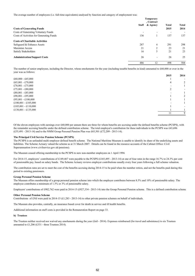The average number of employees (i.e. full-time equivalents) analysed by function and category of employment was:

|                                          | Temporary |            |              |       |
|------------------------------------------|-----------|------------|--------------|-------|
|                                          |           | , Contract |              |       |
|                                          | Staff     | & Agency   | <b>Total</b> | Total |
| <b>Costs of Generating Funds</b>         |           |            | 2015         | 2014  |
| Costs of Generating Voluntary Funds      |           | -          | -            | ۰     |
| Costs of Activities for Generating Funds | 136       |            | 137          | 137   |
| <b>Costs of Charitable Activities</b>    |           |            |              |       |
| Safeguard & Enhance Assets               | 287       | 4          | 291          | 298   |
| Maximise Access                          | 21        | 2          | 23           | 21    |
| Satisfy Stakeholders                     | 16        | 5          | 21           | 23    |
| <b>Administration/Support Costs</b>      | 26        | ۰          | 26           | 25    |
|                                          | 486       | 12         | 498          | 504   |

The number of senior employees, including the Director, whose emoluments for the year (including taxable benefits in kind) amounted to £60,000 or over in the year was as follows:

|                     | 2015 | 2014         |
|---------------------|------|--------------|
| £60,000 - £65,000   |      |              |
| £65,001 - £70,000   | 4    | $\mathbf{2}$ |
| £70,001 - £75,000   |      |              |
| £75,001 - £80,000   |      |              |
| £80,001 - £85,000   |      |              |
| £90,001 - £95,000   |      | 2            |
| £95,001 - £100,000  |      |              |
| £100,001 - £105,000 |      |              |
| £105,001 - £110,000 |      |              |
| £130,001 - £135,000 |      |              |
|                     |      | 9            |

Of the eleven employees with earnings over £60,000 per annum there are three for whom benefits are accruing under the defined benefits scheme (PCSPS), with the remainder accruing benefits under the defined contribution scheme. The total employer's contribution for these individuals to the PCSPS was £43,696 (£35,491 - 2013-14) and to the NMM Group Personal Pension Plan was £65,501 (£72,209 - 2013-14).

#### **The Principal Civil Service Pension Scheme (PCSPS)**

The PCSPS is an unfunded multi-employer defined benefit scheme. The National Maritime Museum is unable to identify its share of the underlying assets and liabilities. The Scheme Actuary valued the scheme as at 31 March 2007. Details can be found in the resource accounts of the Cabinet Office: Civil Superannuation (www.civilservice.gov.uk/pensions).

The Museum ceased offering membership to the PCSPS to new non-member employees on 1 April 1994.

For 2014-15, employers' contributions of £149,467 were payable to the PCSPS (£165,495 - 2013-14) at one of four rates in the range 16.7% to 24.3% per cent of pensionable pay, based on salary bands. The Scheme Actuary reviews employer contributions usually every four years following a full scheme valuation.

The contribution rates are set to meet the cost of the benefits accruing during 2014-15 to be paid when the member retires, and not the benefits paid during this period to existing pensioners.

#### **Group Personal Pension Scheme**

The Museum offers membership of a group personal pension scheme into which the employer contributes between 8.5% and 10% of pensionable salary. The employee contributes a minimum of 1.5% or 3% of pensionable salary.

Employers' contributions of £982,762 were paid in 2014-15 (£927,334 - 2013-14) into the Group Personal Pension scheme. This is a defined contribution scheme

### **Other Personal Pension Scheme**

Contributions of £Nil were paid in 2014-15 (£1,283 - 2013-14) to other private pension schemes on behalf of individuals.

The Museum also provides, centrally, an insurance based cover for death in service and ill health benefits.

Additional information on staff costs is provided in the Remuneration Report on page 33.

#### **b) Trustees**

The Trustees neither received nor waived any emoluments during the year (£nil - 2014). Expenses reimbursed (for travel and subsistence) to six Trustees amounted to £1,206 (£331 - three Trustees 2014).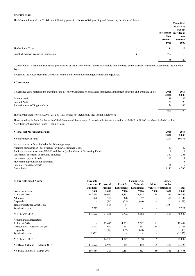## **c) Grants Made**

The Museum has made in 2014-15 the following grants in relation to Safeguarding and Enhancing the Value of Assets:

|                                    |                      |                         | Committed       |
|------------------------------------|----------------------|-------------------------|-----------------|
|                                    |                      |                         | for $2015 - 16$ |
|                                    |                      |                         | but not         |
|                                    |                      | Provided in provided in |                 |
|                                    |                      | these                   | these           |
|                                    |                      | accounts                | accounts        |
|                                    |                      | £000                    | £000            |
| The National Trust                 | $\ddot{\phantom{a}}$ | 36                      | 29              |
| Royal Museums Greenwich Foundation | ii                   | 702                     | $\sim$          |
|                                    |                      | 738                     | 29              |

i. Contribution to the maintenance and preservation of the historic vessel *Shamrock* which is jointly owned by the National Maritime Museum and the National Trust.

ii. Grant to the Royal Museums Greenwich Foundation for use in achieving its charitable objectives.

## **8 Governance**

| Governance costs represent the meeting of the Effective Organisation and Sound Financial Management objective and are made up of:                                                                                                                                                                                                                                                       | 2015<br>£'000 | 2014<br>£'000 |
|-----------------------------------------------------------------------------------------------------------------------------------------------------------------------------------------------------------------------------------------------------------------------------------------------------------------------------------------------------------------------------------------|---------------|---------------|
| External Audit                                                                                                                                                                                                                                                                                                                                                                          | 39            | 42            |
| Internal Audit                                                                                                                                                                                                                                                                                                                                                                          | 28            | 28            |
| Apportionment of Support Costs                                                                                                                                                                                                                                                                                                                                                          | 134           | 100           |
|                                                                                                                                                                                                                                                                                                                                                                                         | 201           | 170           |
| $\mathbf{1}^{\prime}$ , $\mathbf{0}^{\prime}$ , $\mathbf{0}^{\prime}$ , $\mathbf{0}^{\prime}$ , $\mathbf{0}^{\prime}$ , $\mathbf{0}^{\prime}$ , $\mathbf{0}^{\prime}$ , $\mathbf{0}^{\prime}$ , $\mathbf{0}^{\prime}$ , $\mathbf{0}^{\prime}$ , $\mathbf{0}^{\prime}$ , $\mathbf{0}^{\prime}$ , $\mathbf{0}^{\prime}$ , $\mathbf{0}^{\prime}$ , $\mathbf{0}^{\prime}$<br>T <sub>1</sub> |               |               |

The external audit fee of £39,000 (£41,500 - 2014) does not include any fees for non-audit work.

The external audit fee is for the audit of the Museum and Trusts only. External audit fees for the audits of NMME of £9,000 have been included within Activities for Generating Funds - Trading Costs.

| 9 Total Net Movement in Funds                                                   | 2015  | 2014          |
|---------------------------------------------------------------------------------|-------|---------------|
|                                                                                 | £'000 | $\pounds 000$ |
| Net movement in funds                                                           | 8,214 | 10,876        |
| Net movement in funds includes the following charges:                           |       |               |
| Auditors' remuneration - for Museum (within Governance Costs)                   | 39    | 42            |
| Auditors' remuneration - for NMME and Trusts (within Costs of Generating Funds) | 9     | 9             |
| Lease rental payments on land and buildings                                     | 380   | 363           |
| Lease rental payment - other                                                    | 11    | 14            |
| Movement in provision for bad debts                                             |       |               |
| Loss on Disposal of Assets                                                      | 16    |               |
| Depreciation                                                                    | 5.145 | 4.790         |

| <b>10 Tangible Fixed Assets</b>      | Freehold         |                                           |                      | Computer &                         |              | <b>Assets</b>                        |              |
|--------------------------------------|------------------|-------------------------------------------|----------------------|------------------------------------|--------------|--------------------------------------|--------------|
|                                      | <b>Buildings</b> | Land and Fixtures $\&$<br><b>Fittings</b> | Plant &<br>Equipment | <b>Network</b><br><b>Equipment</b> | <b>Motor</b> | under<br><b>Vehicles</b> onstruction | <b>Total</b> |
| Cost or valuation:                   | £'000            | £'000                                     | £'000                | £'000                              | £'000        | £'000                                | £'000        |
| At 1 April 2014                      | 107,454          | 19,997                                    | 5,452                | 3,245                              | 134          | 585                                  | 136,867      |
| Additions                            | 496              | 710                                       | 328                  | 57                                 |              | 511                                  | 2,102        |
| Disposals                            |                  | (14)                                      | (55)                 | (40)                               |              |                                      | (109)        |
| <b>Transfers Between Asset Class</b> |                  | 518                                       | 67                   |                                    | ۰.           | (585)                                |              |
| Revaluation gain                     | 7,722            |                                           |                      |                                    |              |                                      | 7,722        |
| At 31 March 2015                     | 115,672          | 21,211                                    | 5,792                | 3,262                              | 134          | 511                                  | 146,582      |
| Accumulated depreciation:            |                  |                                           |                      |                                    |              |                                      |              |
| At 1 April 2014                      |                  | 12,687                                    | 4,035                | 2,592                              | 95           |                                      | 19,409       |
| Depreciation Charge for the year     | 2,372            | 1,610                                     | 851                  | 298                                | 14           | ۰                                    | 5,145        |
| Disposals                            |                  | (14)                                      | (39)                 | (40)                               |              |                                      | (93)         |
| Revaluation gain                     | (2,372)          |                                           |                      |                                    |              | ٠.                                   | (2,372)      |
| At 31 March 2015                     |                  | 14,283                                    | 4,847                | 2,850                              | 109          |                                      | 22,089       |
| Net Book Value at 31 March 2015      | 115,672          | 6,928                                     | 945                  | 412                                | 25           | 511                                  | 124,493      |
| Net Book Value at 31 March 2014      | 107,454          | 7,310                                     | 1,417                | 653                                | 39           | 585                                  | 117,458      |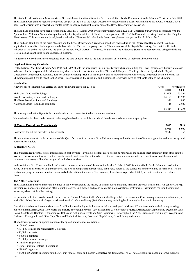The freehold title to the main Museum site at Greenwich was transferred from the Secretary of State for the Environment to the Museum Trustees in July 1989. The Museum was granted rights to occupy and use part of the site of the Royal Observatory, Greenwich in a Royal Warrant dated 1953. On 23 March 2004 a new Royal Warrant was signed which granted rights to occupy and use the entire site of the Royal Observatory, Greenwich.

The Land and Buildings have been professionally valued at 31 March 2015 by external valuers, Gerald Eve LLP, Chartered Surveyors in accordance with the Appraisal and Valuation Standards as published by the Royal Institution of Chartered Surveyors and FRS15 - The Financial Reporting Standards for Tangible Fixed Assets. This was a review based, interim valuation. The next full valuation is due to take place for the year ending 31 March 2017.

The Land and Buildings of the main Museum and the Royal Observatory, Greenwich have been revalued using the Depreciated Replacement Cost basis applicable to specialised buildings and on the basis that the Museum is a going concern. The revaluation of the Royal Observatory, Greenwich reflects the valuation of the entire site following the grant of the new Royal Warrant. The Brass Foundry and the Kidbrooke Stores have been revalued using the Existing Use Value basis applicable to non-specialised buildings.

All depreciable fixed assets are depreciated from the date of acquisition to the date of disposal or to the end of their useful economic life.

### **Legal and Statutory Constraints**

By the National Maritime Museum Acts 1934 and 1989, should the specialised buildings at Greenwich (not including the Royal Observatory, Greenwich) cease to be used for the purposes of the Museum, they shall be held in trust for the benefit of Greenwich Hospital. The Royal Warrant, by which the Royal Observatory, Greenwich is occupied, does not confer ownerships rights to the property and so should the Royal Observatory Greenwich cease to be used for Museum purposes it would revert to the Crown. In consequence, the entire site and buildings at Greenwich have no realisable value to the Museum.

#### **Revaluation**

| A review based valuation was carried out on the following assets for 2014-15: | Cost   | Revaluation |
|-------------------------------------------------------------------------------|--------|-------------|
|                                                                               | £'000  | £'000       |
| Main site - Land and Buildings                                                | 82,608 | 93.894      |
| Royal Observatory - Land and Buildings                                        | 14.158 | 17.996      |
| The Brass Foundry - Land and Buildings                                        | 331    | 860         |
| Kidbrooke Stores - Land and Buildings                                         | l.448  | 2.922       |
|                                                                               | 98.545 | 115.672     |

The closing revaluation figure is the sum of cost and the cumulative total of annual revaluations.

No revaluation has been undertaken for other tangible fixed assets as it is considered that depreciated cost value is appropriate.

| <b>11 Capital Expenditure Commitments</b>       | 2015  | 2014  |
|-------------------------------------------------|-------|-------|
|                                                 | £'000 | £'000 |
| Contracted for but not provided in the accounts | 2347  | 153   |

The commitments relate to the restoration of the Queen's House in advance of its 400th anniversary and to the creation of four new galleries and new storage and conservation studios.

### **12 Heritage Assets**

This Standard requires that where information on cost or value is available, heritage assets should be reported in the balance sheet separately from other tangible assets. However where this information is not available, and cannot be obtained at a cost which is commensurate with the benefit to users of the financial statements, the assets will not be recognised in the balance sheet.

In the opinion of the Trustees, reliable information on cost or valuation of the collection held at 31 March 2015 is not available for the Museum's collections owing to lack of information on purchase cost, the lack of comparable market value, the diverse nature of the collections and the volume of items held. As the costs of carrying out such a valuation far exceeds the benefits to the users of the accounts, the collections pre March 2001, are not reported in the balance sheet.

### **The NMM Collections**

The Museum has the most important holdings in the world related to the history of Britain at sea, including maritime art (both British and 17th-century Dutch), cartography, manuscripts including official public records, ship models and plans, scientific and navigational instruments, instruments for time-keeping and astronomy (based at the Observatory).

Its portraits' collection is only exceeded in size by the National Portrait Gallery's and its holdings related to Nelson and Cook, among many other individuals, are unrivalled. It has the world's largest maritime historical reference library (100,000 volumes) including books dating back to the 15th century.

Overall the total collection comprises some 3 million items (this figure includes material not catalogued in Mimsy XG database such as the Library working collection, manuscripts, post 1900 charts and historic photographic prints) sub-divided into 25 collection categories: Archaeology, Applied and Decorative Arts, Coins, Medals and Heraldry, Ethnography, Relics and Antiquities, Tools and Ship Equipment, Cartography, Fine Arts, Science and Technology, Weapons and Ordnance, Photographs and Film, Ship Plans and Technical Records, Boats and Ship Models, Caird Library and archive.

The following provides an approximation of the spread and extent of collections:-

- 100,000 books
- 397,500 items in the Manuscripts Collection
- 90,000 sea charts
- 4,000 oil paintings
- 70,000 prints and drawings
- 1 million Ship Plans
- Up to 1 million Historic Photographs
- 280,000 negatives

 • 44,500 3D objects: Including small craft, ship models, coins and medals, decorative art, figureheads, relics, horological instruments, uniforms, weapons etc.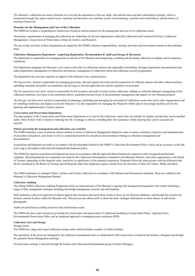The Museum's collections are used to illustrate for everyone the importance of the sea, ships, time and the stars and their relationship to people, which is interpreted through four major research areas: maritime and decorative art; maritime science and technology, maritime and world history, and the history of maritime Greenwich.

### **Structure for the Management and Care of the Collections**

The NMM has in place a comprehensive framework of policies and procedures for the management and care of its collections assets.

The primary requirements of managing the collections are undertaken by the four departments within the Collections and Curatorial Division: Collections Management; Conservation & Preservation, Library & Archive, and Research.

The day-to-day activities of these departments are shaped by the NMM's statutory responsibilities, strategic priorities and Government initiatives that underpin these.

## *Collections Management Department; comprising Registration, Documentation & Audit and Storage & Movement.*

The department is responsible for managing loans in and out of the Museum and transporting, installing and decanting collections on display and in temporary exhibitions.

The Department underpins the Museum's core remit to look after its collections and provide responsible stewardship, through acquisitions, documentation and audit programmes, management of collections information, management of collections stores and collections security programmes.

The department also provides expertise in support of the Museum's key capital projects.

*The Registration* section is responsible for managing processes, risk and logistics for loans and the acquisition of collection objects and other cultural artefacts, upholding standards and public accountability and advising on relevant applicable law and the regulatory environment.

*The Documentation and Audit* section is responsible for the inventory and audit activities across collections, leading on collection disposal, management of the collections databases, provision of documentation advice, guidelines and provision of documentation management and support for key Museum projects.

*The Storage and Movement* section is responsible for planning, scheduling and managing the movement of collections across sites and to other organisations and for installing exhibitions and displays across the Museum. It is also responsible for managing the Museum's offsite and on-site storage facilities and for the planning and implementation of stores' projects.

### *Conservation and Preservation Department*

The main purpose of the Conservation and Preservation Department is to care for the collections, ensure they are suitable for display and that they can be handled safely. Most of their work is related to reducing the risk of damage to objects, extending their life expectancy whilst ensuring they can be accessed and enjoyed.

### *Policies governing the management and collections care activities*

The NMM maintains a suite of policies which combine to create a Collections Management Manual in order to ensure continuity of practice and standardisation of procedure and policies, and ensure we have a centralised location for all policies and procedures relating to collections management and documentation.

Acquisitions and disposals are made in accordance with the principles detailed in the NMM's Collections Development Policy which can be accessed via the link www.rmg.co.uk/explore/collections/development/development-policy.

The NMM has rigorous acquisition and disposal processes in accordance with the legal and ethical framework required to meet recognised professional standards. Recommendations for acquisition are made by the Collections Development Committee to the Museum Director, and where appropriate, to the Board of Trustees, depending on the financial value, sensitivity or significance of the potential acquisition. Disposals follow the same process with the difference that all are considered by the Board of Trustees and all disposals other than duplicates require consent from the Secretary of State for Culture, Media and Sport.

The NMM undertakes to catalogue Object, Archive and Library collections in accordance with National and International standards. These are outlined in the Museum's Collections Management Manual.

#### *Collections Auditing*

The rolling NMM Collections Auditing Programme forms an important part of the Museum's ongoing risk management programme with results informing a range of other management strategies including knowledge management, security and staff training.

Staff undertake a physical inspection of objects against their locations and match these results to those on our Museum databases, and through this monitor the location controls in place within the Museum sites. This process also allows staff to check the basic catalogue information on these objects or add record photographs.

Audits are prioritised according to known risks and business needs.

The NMM also has a suite of policies governing the conservation and preservation of collections including a Conservation Policy, Lighting Policy, Environmental Preservation Policy and an integrated approach to managing insects and pests (IPM).

### *Collections Care and Storage*

Storage Estate:

The NMM has a large and varied collections storage estate which includes a number of offsite facilities.

The operations of the stores are managed by the collections management team in collaboration with Conservation, Curatorial and Estates colleagues and through the quarterly Stores Management meetings.

Overall estates strategy is directed through the Estates and Collections Rationalisation group of Senior Managers.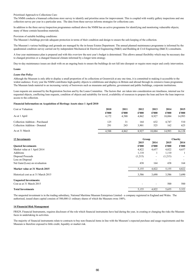Prioritised Approach to Collections Care:

The NMM conducts a biannual collections store survey to identify and prioritise areas for improvement. This is coupled with weekly gallery inspections and one collection survey per year in a particular area. The data from these surveys informs strategies for collections care.

In addition to the three survey/inspection programmes outlined above the NMM has an active programme for identifying and monitoring vulnerable objects; many of these contain hazardous materials.

### Provision of suitable building conditions:

The Museum's buildings provide adequate protection in terms of their condition and design to ensure the safe keeping of the collection.

The Museum's various buildings and grounds are managed by the in-house Estates Department. The annual planned maintenance programme is informed by the quadrennial condition survey carried out by independent Mechanical & Electrical Engineering (M&E) and Building & Civil Engineering (B&CE) consultants.

A four year maintenance plan is prepared and with this overview the next year's budget is determined. This allows annual flexibility which may be necessary due to changed priorities or a changed financial climate informed by a longer term strategy.

Day-to-day maintenance issues are dealt with on an ongoing basis to ensure the buildings do not fall into disrepair or require more major and costly intervention.

### **Loans**

### *Loans Out Policy*

Although the Museum is only able to display a small proportion of its collections at Greenwich at any one time, it is committed to making it accessible to the widest audience. Every year the NMM contributes high-quality objects to exhibitions and displays in Britain and abroad through its extensive loans programme. The Museum lends material to an increasing variety of borrowers such as museums and galleries, government and public buildings, corporate institutions.

Loan requests are assessed by the Registration Section and by the Loans Committee. The factors that are taken into consideration are timeliness, internal use for requested objects, conflicting loan requests, condition of objects and suitability for travel, availability of resources to prepare the loan and how the loan improves access to the collection.

### **Financial Information on Acquisition of Heritage Assets since 1 April 2010**

| Cost or Valuation:              | 2010  | 2011  | 2012  | 2013   | 2014   | 2015   |
|---------------------------------|-------|-------|-------|--------|--------|--------|
|                                 | £'000 | £'000 | £'000 | £'000  | £'000  | £'000  |
| As at 1 April                   | 4,172 | 4.588 | 4.862 | 8.927  | 10.084 | 14,993 |
| Collection Addition - Purchased | 125   | 31    | 164   | 632    | 4.747  | 510    |
| Collection Addition - Donated   | 291   | 243   | 3.901 | 525    | 162    | 625    |
| As at 31 March                  | 4,588 | 4.862 | 8.927 | 10.084 | 14.993 | 16.128 |

| <b>13 Investments</b>               |         | Group |         | Charity |  |
|-------------------------------------|---------|-------|---------|---------|--|
|                                     | 2015    | 2014  | 2015    | 2014    |  |
| <b>Ouoted Investments</b>           | £'000   | £'000 | £'000   | £'000   |  |
| Market value at 1 April 2014        | 4,822   | 4,657 | 4,822   | 4,657   |  |
| Additions                           | 1,110   |       | 1,110   |         |  |
| Disposal Proceeds                   | (1,215) | ۰.    | (1,215) |         |  |
| Loss on Disposal                    | -       | ۰     |         | ۰.      |  |
| Net Gain/(Loss) on revaluation      | 438     | 164   | 438     | 164     |  |
| Market value at 31 March 2015       | 5,155   | 4,822 | 5,155   | 4,822   |  |
| Historical cost as at 31 March 2015 | 3,586   | 3,690 | 3,586   | 3,690   |  |
| <b>Unquoted Investments:</b>        |         |       |         |         |  |
| Cost as at 31 March 2015            |         | ۰     | 500     | 500     |  |
| <b>Total Investments</b>            | 5,155   | 4,822 | 5,655   | 5,322   |  |

The unquoted investment is in the trading subsidiary, National Maritime Museum Enterprises Limited - a company registered in England and Wales. The authorised, issued share capital consists of 500,000 £1 ordinary shares of which the Museum owns 100%.

#### **14 Financial Risk Management**

FRS29, Financial Instruments, requires disclosure of the role which financial instruments have had during the year, in creating or changing the risks the Museum faces in undertaking its activities.

The majority of financial instruments relate to contracts to buy non-financial items in line with the Museum's expected purchase and usage requirements and the Museum is therefore exposed to little credit, liquidity or market risk.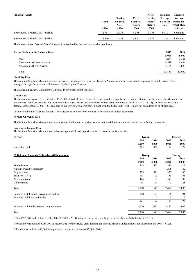| <b>Financial Assets</b>             | Total<br>£000 | Floating<br>Financial<br><b>Assets</b><br>£000 | Fixed<br>Financial<br><b>Assets</b><br>£000 | <b>Assets</b><br>Earning<br>Equity<br>Return<br>£000 | Weighted<br>Average<br><b>Fixed Int</b><br>Rate | Weighted<br>Average<br>Period for<br><b>Which Rate</b><br><b>Is Fixed</b> |
|-------------------------------------|---------------|------------------------------------------------|---------------------------------------------|------------------------------------------------------|-------------------------------------------------|---------------------------------------------------------------------------|
| Year ended 31 March 2015 - Sterling | 12.761        | 3.058                                          | 4.548                                       | 5.155                                                | $0.8\%$                                         | 3 Months                                                                  |
| Year ended 31 March 2014 - Sterling | 13.960        | 4.454                                          | 4.684                                       | 4.822                                                | $1.1\%$                                         | 3 Months                                                                  |

The interest rate on floating financial assets is determined by the bank and market conditions.

## **Reconciliation to the Balance Sheet 2015 2014**

| ixxviivinauvii to tiiv Dalailye Siivet | $-0.1$ | $-0.1$ |
|----------------------------------------|--------|--------|
|                                        | £'000  | £'000  |
| Cash                                   | 3,058  | 4,454  |
| Investments (Current Assets)           | 4.548  | 4,684  |
| Investments (Fixed Assets)             | 5,155  | 4,822  |
| Total                                  | 12.761 | 13,960 |
|                                        |        |        |

## **Liquidity Risk**

The National Maritime Museum receives the majority of its income by way of Grant in Aid and as a result there is little exposure to liquidity risk. This is managed through the reserves policies as established by the Trustees.

The Museum has sufficient unrestricted funds to cover its current liabilities.

### **Credit Risk**

The Museum is exposed to credit risk of £765,000 of trade debtors. This risk is not considered significant as major customers are familiar to the Museum. Bad and doubtful debts are provided for on an individual basis. Write offs in the year for bad debts amounted to £883 (£28,407 - 2014). Of the £765,000 trade debtors, £100,000 (£193,000 - 2014) relates to the service level agreement in place with the Cutty Sark Trust. This is not considered to be of high risk.

Cash is held by the Museum's bankers. The Museum has not suffered any loss in relation to cash held by bankers.

## **Foreign Currency Risk**

The National Maritime Museum has no exposure to foreign currency risk because no material transactions are carried out in foreign currencies.

## **Investment Income Risk**

The National Maritime Museum has no borrowings and all cash deposits are for terms of up to four months.

| 15 Stock                                        |       | Group            |       | Charity        |  |
|-------------------------------------------------|-------|------------------|-------|----------------|--|
|                                                 | 2015  | 2014             | 2015  | 2014           |  |
|                                                 | £000  | £000             | £000  | £000           |  |
| Goods for resale                                | 315   | 362              | 52    | 72             |  |
| 16 Debtors: Amounts falling due within one year |       | Charity<br>Group |       |                |  |
|                                                 | 2015  | 2014             | 2015  | 2014           |  |
|                                                 | £'000 | £'000            | £'000 | £'000          |  |
| Trade debtors                                   | 765   | 572              | 351   | 319            |  |
| Amount owed by subsidiary                       |       | -                | 1,295 | 782            |  |
| Prepayments                                     | 329   | 575              | 322   | 566            |  |
| Taxation (VAT)                                  | 118   | 105              | 155   | 105            |  |
| Accrued income                                  | 444   | 195              | 399   | 195            |  |
| Other debtors                                   | 94    | 198              | 92    | 128            |  |
| Total                                           | 1,750 | 1,645            | 2,614 | 2,095          |  |
| Balances with Central Government Bodies         | 120   | 191              | 156   | 191            |  |
| Balances with local authorities                 |       | 2                |       | $\overline{2}$ |  |
|                                                 | 121   | 193              | 157   | 193            |  |
| Balances with bodies external to government     | 1,629 | 1,452            | 2,457 | 1,902          |  |
| Total                                           | 1,750 | 1,645            | 2,614 | 2,095          |  |

Of the £765,000 trade debtors, £100,000 (£193,000 - 2014) relates to the service level agreement in place with the Cutty Sark Trust.

Accrued income includes £284,000 of income due from restricted grant funding for specific projects undertaken by the Museum in the 2014-15 year.

Other debtors includes £46,000 of unpresented credit card income (£63,000 - 2014).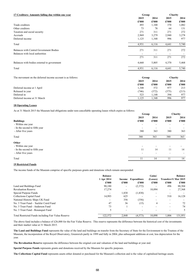| 17 Creditors: Amounts falling due within one year | Group |       |       | Charity |
|---------------------------------------------------|-------|-------|-------|---------|
|                                                   | 2015  | 2014  | 2015  | 2014    |
|                                                   | £'000 | £'000 | £'000 | £'000   |
| Trade creditors                                   | 493   | 1,100 | 370   | 1,082   |
| Other creditors                                   | 73    | 78    | 64    | 131     |
| Taxation and social security                      | 271   | 311   | 271   | 272     |
| Accruals                                          | 2,969 | 3,279 | 2,940 | 3,278   |
| Deferred income                                   | 1,125 | 1,348 | 996   | 977     |
| Total                                             | 4,931 | 6,116 | 4,641 | 5,740   |
| Balances with Central Government Bodies           | 271   | 311   | 271   | 272     |
| Balances with local authorities                   |       |       |       |         |
|                                                   | 271   | 311   | 271   | 272     |
| Balances with bodies external to government       | 4,660 | 5,805 | 4,370 | 5,468   |
| Total                                             | 4,931 | 6,116 | 4,641 | 5,740   |

| The movement on the deferred income account is as follows: | Group |       | Charity |       |
|------------------------------------------------------------|-------|-------|---------|-------|
|                                                            | 2015  | 2014  | 2015    | 2014  |
|                                                            | £'000 | £'000 | £'000   | £'000 |
| Deferred income at 1 April                                 | 1,348 | 572   | 977     | 213   |
| Released in year                                           | (746) | (372) | (375)   | (213) |
| Deferred in                                                | 523   | 1.148 | 394     | 977   |
| Deferred income at 31 March                                | 1.125 | .348  | 996     | 977   |

# **18 Operating Leases**

As at 31 March 2015 the Museum had obligations under non-cancellable operating leases which expire as follows:

|                               | Group                    |               | Charity       |                          |
|-------------------------------|--------------------------|---------------|---------------|--------------------------|
| <b>Buildings</b>              | 2015<br>£'000            | 2014<br>£'000 | 2015<br>£'000 | 2014<br>£'000            |
| - Within one year             | $\overline{\phantom{a}}$ | ۰             | ۰             | $\overline{\phantom{a}}$ |
| - In the second to fifth year |                          |               |               | ٠                        |
| - After five years            | 380                      | 363           | 380           | 363                      |
| Total                         | 380                      | 363           | 380           | 363                      |
| Other                         |                          |               |               |                          |
| - Within one year             |                          |               |               |                          |
| - In the second to fifth year | 11                       | 14            | 11            | 14                       |
| - After five years            | ۰.                       |               | ۰.            | $\overline{\phantom{a}}$ |
| Total                         | 11                       | 14            |               | 14                       |

# **19 Restricted Funds**

The income funds of the Museum comprise of specific purposes grants and donations which remain unexpended:

|                                                     | <b>Balance</b> |        |             | Gains/   |                       | <b>Balance</b> |
|-----------------------------------------------------|----------------|--------|-------------|----------|-----------------------|----------------|
|                                                     | 1 Apr 2014     | Income | Expenditure | (Losses) | Transfers 31 Mar 2015 |                |
|                                                     | £'000          | £'000  | £'000       | £'000    | £'000                 | $\pounds 000$  |
| Land and Buildings Fund                             | 90,180         |        | (2,372)     |          | 496                   | 88,304         |
| <b>Revaluation Reserve</b>                          | 17,274         |        |             | 10,094   | ۰.                    | 27,368         |
| Special Purpose Funds                               |                | 1,830  | (1,830)     |          |                       |                |
| Collections Capital Fund                            | 14,993         | 625    |             | ۰        | 510                   | 16,128         |
| National Historic Ships UK Fund                     |                | 356    | (356)       |          | ۰                     |                |
| No. 3 Trust Fund - Sackler Caird Fund               | 47             | 36     | (15)        | 4        | ۰                     | 72             |
| No. 3 Trust Fund - Anderson Fund                    | 73             |        |             |          |                       | 74             |
| No. 3 Trust Fund - Bosanguet Fund                   |                |        |             |          |                       |                |
| Total Restricted Funds including Fair Value Reserve | 122,572        | 2.848  | (4,573)     | 10.098   | 1.006                 | 131,951        |

The above fund includes a balance of  $£26,000$  for the Fair Value Reserve. This reserve represents the difference between the historical cost of the investments and their market value at 31 March 2015.

**The Land and Buildings Fund** represents the value of the land and buildings on transfer from the Secretary of State for the Environment to the Trustees of the Museum, the incorporation of the Royal Observatory, Greenwich partly in 1999 and fully in 2004, plus subsequent additions at cost, less depreciation for the year.

**The Revaluation Reserve** represents the difference between the original cost and valuation of the land and buildings at year end.

**Special Purpose Funds** represents grants and donations received by the Museum for specific purposes.

**The Collections Capital Fund** represents assets either donated or purchased for the Museum's collection and is the value of capitalised heritage assets.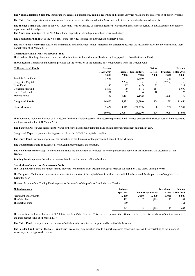The National Historic Ships UK Fund supports research, publications, training, recording and similar activities relating to the preservation of historic vessels.

**The Caird Trust** supports short term research fellows in areas directly related to the Museums collections or in particular related subjects.

**The Sackler Caird Fund** (part of the No.3 Trust Fund) was established to support a research fellowship in areas directly related to the Museums collections or in particular related subjects.

**The Anderson Fund** (part of the No.3 Trust Fund) supports a fellowship in naval and maritime history.

**The Bosanquet Fund** (part of the No.3 Trust Fund) provides funding for the purchase of library books.

**The Fair Value Reserve** (for Restricted, Unrestricted and Endowment Funds) represents the difference between the historical cost of the investments and their market value at 31 March 2015.

#### **Description of main transfers between funds**

The Land and Buildings Fund movement provides for a transfer for additions of land and buildings paid for from the General Fund.

The Collections Capital Fund movement provides for the relocation of the purchase of Heritage Assets from the General Fund.

| <b>20 Unrestricted Funds</b> | <b>Balance</b> |        |             | Gains/                   |                       | <b>Balance</b> |
|------------------------------|----------------|--------|-------------|--------------------------|-----------------------|----------------|
|                              | 1 Apr 2014     | Income | Expenditure | (Losses)                 | Transfers 31 Mar 2015 |                |
|                              | £'000          | £'000  | £'000       | £'000                    | £'000                 | £'000          |
| Tangible Asset Fund          | 8,663          |        | (2,790)     | ۰                        | 1,321                 | 7,194          |
| Designated Capital           |                | 2,284  |             | $\overline{\phantom{0}}$ | (2, 284)              |                |
| Caird Fund                   | 1,185          | 17     | (47)        | 73                       | ۰.                    | 1,228          |
| Development Fund             | 6,207          | 90     | (11)        | 313                      | ۰                     | 6,599          |
| No. 3 Trust Fund             | 551            | π      | $\theta$    | 18                       | ۰                     | 576            |
| <b>Trading Funds</b>         | 59             | 3,437  | (2,142)     | Ξ.                       | (1,295)               | 59             |
| <b>Designated Funds</b>      | 16,665         | 5,835  | (4,990)     | 404                      | (2,258)               | 15,656         |
| <b>General Funds</b>         | 2,422          | 19,812 | (21, 239)   | $\bf{0}$                 | 1,252                 | 2,247          |
|                              | 19.087         | 25,647 | (26, 229)   | 404                      | (1,006)               | 17,903         |

The above fund includes a balance of £1,456,000 for the Fair Value Reserve. This reserve represents the difference between the historical cost of the investments and their market value at 31 March 2015.

**The Tangible Asset Fund** represents the value of the fixed assets (excluding land and buildings) plus subsequent additions at cost.

**Designated Capital** represents funding received from the DCMS for capital expenditure.

**The Caird Fund** is available for use at the discretion of the Trustees for the purpose and benefit of the Museum.

**The Development Fund** is designated for development projects at the Museum.

**The No.3 Trust Fund** (except to the extent that funds are endowment or restricted) is for the purpose and benefit of the Museum at the discretion of the **Trustees** 

**Trading Funds** represent the value of reserves held in the Museums trading subsidiary.

### **Description of main transfers between funds**

The Tangible Assets Fund movement mainly provides for a transfer from Designated Capital reserves for spend on fixed assets during the year.

The Designated Capital fund movement provides for the transfer of the capital Grant in Aid received which has been used for the purchase of tangible assets during the year.

The transfers out of the Trading Funds represents the transfer of the profit as Gift Aid to the Charity.

| 21 Endowments         | <b>Balance</b> |                           |                          | Investment               | <b>Balance</b>           |
|-----------------------|----------------|---------------------------|--------------------------|--------------------------|--------------------------|
|                       | 1 Apr 2014     | <b>Income Expenditure</b> |                          |                          | <b>Gains</b> 31 Mar 2015 |
| Permanent endowments: | £'000          | £'000                     | £'000                    | £'000                    | £'000                    |
| The Caird Fund        | 483            |                           | (19)                     | 30                       | 501                      |
| The Sackler Fund      | 160            |                           | $\overline{\phantom{a}}$ | $\overline{\phantom{a}}$ | 161                      |
|                       | 643            |                           | (19)                     | 30                       | 662                      |

The above fund includes a balance of £87,000 for the Fair Value Reserve. This reserve represents the difference between the historical cost of the investments and their market value at 31 March 2015.

**The Caird Fund** is a capital sum the income of which is to be used for the purpose and benefit of the Museum.

**The Sackler Fund (part of the No.3 Trust Fund)** is a capital sum which is used to support a research fellowship in areas directly relating to the history of astronomy and navigational sciences.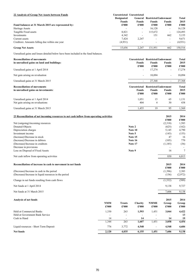| 22 Analysis of Group Net Assets between Funds      |                   | Unrestricted Unrestricted |                                     |                          |         |
|----------------------------------------------------|-------------------|---------------------------|-------------------------------------|--------------------------|---------|
|                                                    | <b>Designated</b> |                           | <b>General</b> Restricted Endowment |                          | Total   |
|                                                    | <b>Funds</b>      | Funds                     | Funds                               | <b>Funds</b>             | 2015    |
| Fund balances at 31 March 2015 are represented by: | £'000             | £'000                     | £'000                               | £'000                    | £'000   |
| Heritage Assets                                    |                   | ۰                         | 16,128                              | $\overline{\phantom{a}}$ | 16,128  |
| Tangible Fixed assets                              | 8.821             | $\sim$                    | 115.672                             | ۰.                       | 124.493 |
| Investments                                        | 4.342             |                           | 151                                 | 662                      | 5.155   |
| Current assets                                     | 7.424             | 2.247                     | ۰                                   | ۰.                       | 9.671   |
| Creditors: Amounts falling due within one year     | (4,931)           |                           |                                     | $\sim$                   | (4,931) |
| <b>Group Net Assets</b>                            | 15.656            | 2.247                     | 131.951                             | 662                      | 150,516 |

Unrealised gains and losses detailed below have been included in the fund balances.

| <b>Reconciliation of movements</b>                                                       |                             |                                                        |                                                  | <b>Unrestricted Restricted Endowment</b>             |                                                | <b>Total</b>                                   |
|------------------------------------------------------------------------------------------|-----------------------------|--------------------------------------------------------|--------------------------------------------------|------------------------------------------------------|------------------------------------------------|------------------------------------------------|
| in unrealised gains on land and buildings:                                               |                             |                                                        | <b>Funds</b><br>£'000                            | <b>Funds</b><br>£'000                                | <b>Funds</b><br>£'000                          | 2015<br>£'000                                  |
| Unrealised gains at 1 April 2014                                                         |                             |                                                        |                                                  | 17,274                                               |                                                | 17,274                                         |
| Net gain arising on revaluation                                                          |                             |                                                        | $\overline{\phantom{a}}$                         | 10,094                                               | $\overline{\phantom{a}}$                       | 10,094                                         |
| Unrealised gains at 31 March 2015                                                        |                             |                                                        | $\overline{\phantom{a}}$                         | 27,368                                               | $\blacksquare$                                 | 27,368                                         |
| <b>Reconciliation of movements</b>                                                       |                             |                                                        |                                                  | Unrestricted Restricted Endowment                    |                                                | <b>Total</b>                                   |
| in unrealised gains on investments:                                                      |                             |                                                        | <b>Funds</b>                                     | <b>Funds</b>                                         | <b>Funds</b><br>£'000                          | 2015                                           |
|                                                                                          |                             |                                                        | £'000                                            | £'000                                                |                                                | £'000                                          |
| Unrealised gains at 1 April 2014<br>Net gain arising on revaluations                     |                             |                                                        | 1,051<br>404                                     | 15<br>$\overline{4}$                                 | 65<br>30                                       | 1,131<br>438                                   |
|                                                                                          |                             |                                                        |                                                  |                                                      |                                                |                                                |
| Unrealised gains at 31 March 2015                                                        |                             |                                                        | 1,455                                            | 19                                                   | 95                                             | 1,569                                          |
| 23 Reconciliation of net incoming resources to net cash inflow from operating activities |                             |                                                        |                                                  |                                                      | 2015                                           | 2014                                           |
|                                                                                          |                             |                                                        |                                                  |                                                      | £'000                                          | £'000                                          |
| Net (outgoing)/incoming resources                                                        |                             |                                                        |                                                  |                                                      | (2,318)                                        | 1,583                                          |
| Donated Objects                                                                          |                             |                                                        | Note 2                                           |                                                      | (625)                                          | (162)                                          |
| Depreciation charges                                                                     |                             |                                                        | Note 10                                          |                                                      | 5,145                                          | 4,790                                          |
| Investment income                                                                        |                             |                                                        | Note 5                                           |                                                      | (145)                                          | (155)                                          |
| (Increase)/Decrease in stock                                                             |                             |                                                        | Note 15                                          |                                                      | 47                                             | 16                                             |
| (Increase)/Decrease in debtors                                                           |                             |                                                        | Note 16                                          |                                                      | (105)                                          | 770                                            |
| (Decrease)/Increase in creditors                                                         |                             |                                                        | Note 17                                          |                                                      | (1,185)                                        | (36)                                           |
| Decrease in provisions                                                                   |                             |                                                        |                                                  |                                                      |                                                |                                                |
| Loss on Disposal of Fixed Assets                                                         |                             |                                                        | Note 9                                           |                                                      | 16                                             | 7                                              |
| Net cash inflow from operating activities                                                |                             |                                                        |                                                  |                                                      | 830                                            | 6,813                                          |
| Reconciliation of increase in cash to movement in net funds                              |                             |                                                        |                                                  |                                                      | 2015                                           | 2014                                           |
|                                                                                          |                             |                                                        |                                                  |                                                      | £'000                                          | £'000                                          |
| (Decrease)/Increase in cash in the period                                                |                             |                                                        |                                                  |                                                      | (1,396)                                        | 2,383                                          |
| (Decrease)/Increase in liquid resources in the period                                    |                             |                                                        |                                                  |                                                      | (136)                                          | (2,972)                                        |
| Change in net funds resulting from cash flows                                            |                             |                                                        |                                                  |                                                      | (1, 532)                                       | (589)                                          |
| Net funds at 1 April 2014                                                                |                             |                                                        |                                                  |                                                      | 9,138                                          | 9,727                                          |
| Net funds at 31 March 2015                                                               |                             |                                                        |                                                  |                                                      | 7,606                                          | 9,138                                          |
|                                                                                          |                             |                                                        |                                                  |                                                      |                                                |                                                |
| Analysis of net funds                                                                    |                             |                                                        |                                                  |                                                      | 2015                                           | 2014                                           |
|                                                                                          | <b>NMM</b><br>$\pounds 000$ | <b>Trusts</b><br>$\pmb{\pounds}^{\bullet}\mathbf{000}$ | Charity<br>$\pmb{\pounds}^{\bullet}\mathbf{000}$ | <b>NMME</b><br>$\pmb{\pounds}^{\bullet}\mathbf{000}$ | Group<br>$\pmb{\pounds}^{\bullet}\mathbf{000}$ | Group<br>$\pmb{\pounds}^{\bullet}\mathbf{000}$ |
| Held at Commercial Banks                                                                 | 1,330                       | 263                                                    | 1,593                                            | 1,451                                                | 3,044                                          | 4,422                                          |
| Held at Government Bank Service                                                          |                             |                                                        |                                                  |                                                      |                                                | 13                                             |
| Cash in Hand                                                                             | 14                          | $\overline{\phantom{a}}$                               | 14                                               |                                                      | 14                                             | 19                                             |
|                                                                                          | 1,344                       | 263                                                    | 1,607                                            | 1,451                                                | 3,058                                          | 4,454                                          |
| Liquid resources - Short Term Deposit                                                    | 776                         | 3,772                                                  | 4,548                                            |                                                      | 4,548                                          | 4,684                                          |
| Net funds                                                                                | 2,120                       | 4,035                                                  | 6,155                                            | $\overline{1,}451$                                   | 7,606                                          | 9,138                                          |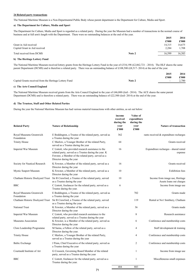## **24 Related party transactions**

The National Maritime Museum is a Non-Departmental Public Body whose parent department is the Department for Culture, Media and Sport.

### **a) The Department for Culture, Media and Sport**

The Department for Culture, Media and Sport is regarded as a related party. During the year the Museum had a number of transactions in the normal course of business and at full arm's length with the Department. There were no outstanding balances at the end of the year.

|                               |        | 2015   | 2014   |
|-------------------------------|--------|--------|--------|
|                               |        | £'000  | £'000  |
| Grant in Aid received         |        | 14.315 | 14,675 |
| Capital Grant in Aid received |        | 2,284  | 1,708  |
| Total received from DCMS      | Note 2 | 16.599 | 16.383 |
|                               |        |        |        |

# **b) The Heritage Lottery Fund**

The National Maritime Museum received lottery grants from the Heritage Lottery Fund in the year of £334,198 (£2,862,721 - 2014). The HLF shares the same parent Department (DCMS) and is therefore a related party. There was an outstanding balance of £108,500 (£8,517- 2014) at the end of the year.

|                                                        |        | 2015  | 2014  |
|--------------------------------------------------------|--------|-------|-------|
|                                                        |        | £'000 | £'000 |
| Capital Grants received from the Heritage Lottery Fund | Note 2 |       | 2.780 |

### **c) The Arts Council England**

The National Maritime Museum received grants from the Arts Council England in the year of £46,000 (£nil - 2014). The ACE shares the same parent Department (DCMS) and is therefore a related party. There was an outstanding balance of £22,500 (£nil- 2014) at the end of the year.

### **d) The Trustees, Staff and Other Related Parties**

During the year the National Maritime Museum has had various material transactions with other entities, as set out below:

| <b>Related Party</b>                  | <b>Nature of Relationship</b>                                                                                                                                                                  | income<br>received<br>during the<br>year<br>£'000 | Value of<br>expenditure<br>during the<br>year<br>£'000 | <b>Nature of transaction</b>                                |
|---------------------------------------|------------------------------------------------------------------------------------------------------------------------------------------------------------------------------------------------|---------------------------------------------------|--------------------------------------------------------|-------------------------------------------------------------|
| Royal Museums Greenwich<br>Foundation | E Boddington, a Trustee of the related party, served as<br>a Trustee during the year                                                                                                           | 362                                               |                                                        | rants received & expenditure recharges                      |
| <b>Trinity House</b>                  | C Marlow, a Younger Brother of the related Party,<br>served as a Trustee during the year                                                                                                       | 64                                                |                                                        | Grants received                                             |
| Imperial War Museum                   | C Lintott, who provided research assistance to the<br>related party, served as a Trustee during the year. K<br>Fewster, a Member of the related party, served as a<br>Director during the year | 16                                                |                                                        | Expenditure recharges - shared rental<br>expense            |
| Society for Nautical Research         | K Fewster, a Member of the related party, served as a<br>Director during the year                                                                                                              | 16                                                |                                                        | Grants received                                             |
| Mystic Seaport Museum                 | K Fewster, a Member of the related party, served as a<br>Director during the year                                                                                                              | 10                                                |                                                        | <b>Exhibition</b> fees                                      |
| Chatham Historic Dockyard Trust       | Sir R Crawford, a Trustee of the related party, served<br>as a Trustee during the year                                                                                                         | 10                                                |                                                        | Income from image use, Heritage<br>Assets loans out charges |
| <b>BBC</b>                            | C Lintott, freelancer for the related party, served as a<br>Trustee during the year.                                                                                                           | 6                                                 |                                                        | Income from image use                                       |
| Royal Museums Greenwich<br>Foundation | E Boddington, a Trustee of the related party, served as<br>a Trustee during the year                                                                                                           |                                                   | 702                                                    | Grants made                                                 |
| Chatham Historic Dockyard Trust       | Sir R Crawford, a Trustee of the related party, served<br>as a Trustee during the year                                                                                                         |                                                   | 119                                                    | Rental at No1 Smithery, Chatham                             |
| National Trust                        | K Fewster, a Member of the related party, served as a<br>Director during the year                                                                                                              |                                                   | 36                                                     | Grants made                                                 |
| Imperial War Museum                   | C Lintott, who provided research assistance to the<br>related party, served as a Trustee during the year                                                                                       |                                                   | 8                                                      | Research assistance                                         |
| Museums Association                   | K Fewster, is a Member of the related party, served as<br>Director during the year                                                                                                             |                                                   | 6                                                      | Conference and membership costs                             |
| Clore Leadership Programme            | M Sarna, a Fellow of the related party, served as a<br>Director during the year.                                                                                                               |                                                   | 4                                                      | Staff development & training                                |
| <b>Trinity House</b>                  | C Marlow, a Younger Brother of the related Party,<br>served as a Trustee during the year                                                                                                       |                                                   | 4                                                      | Conference and membership costs                             |
| <b>Baltic Exchange</b>                | J Penn, Chief Executive of the related party, served as<br>a Trustee during the year                                                                                                           |                                                   | $\overline{2}$                                         | Conference and membership costs                             |
| Courtauld Institute of Art            | G Crossick, Governing Board Member of the related<br>party, served as a Trustee during the year                                                                                                |                                                   | $\mathbf{1}$                                           | Income from image use                                       |
| <b>BBC</b>                            | C Lintott, freelancer for the related party, served as a<br>Trustee during the year.                                                                                                           |                                                   | $\mathbf{1}$                                           | Miscelleneous small expenses                                |

484 883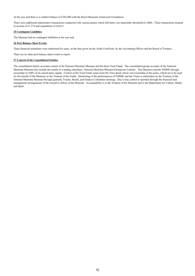At the year end there is a creditor balance of £702,000 with the Royal Museums Greenwich Foundation.

There were additional related party transactions conducted with various parties which fall below our materiality threshold  $(E1,000)$ . These transactions resulted in income of £1,374 and expenditure of £4,813

### **25 Contingent Liabilities**

The Museum had no contingent liabilities at the year end.

## **26 Post Balance Sheet Events**

These financial statements were authorised for issue, on the date given on the Audit Certificate, by the Accounting Officer and the Board of Trustees.

There are no other post balance sheet events to report.

## **27 Control of the Consolidated Entities**

The consolidated charity accounts consist of the National Maritime Museum and the three Trust Funds. The consolidated group accounts of the National Maritime Museum also include the results of a trading subsidiary, National Maritime Museum Enterprises Limited. The Museum controls NMME through ownership of 100% of its issued share capital. Control of the Trust Funds arises from the Trust deeds which vest ownership of the assets, which are to be used for the benefit of the Museum, in the Trustees of the Funds. Monitoring of the performances of NMME and the Trusts is undertaken by the Trustees of the National Maritime Museum through quarterly Trustee, Board, and Finance Committee meetings. Day to day control is operated through the financial and management arrangements of the executive offices of the Museum. Accountability is to the Trustees of the Museum and to the Department for Culture, Media and Sport.